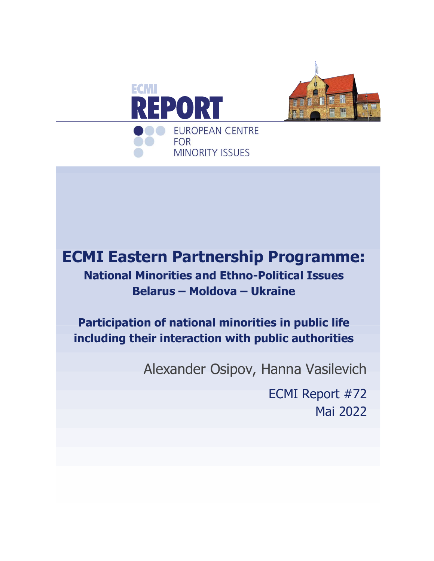



# **ECMI Eastern Partnership Programme: National Minorities and Ethno-Political Issues Belarus – Moldova – Ukraine**

**Participation of national minorities in public life including their interaction with public authorities**

Alexander Osipov, Hanna Vasilevich

ECMI Report #72 Mai 2022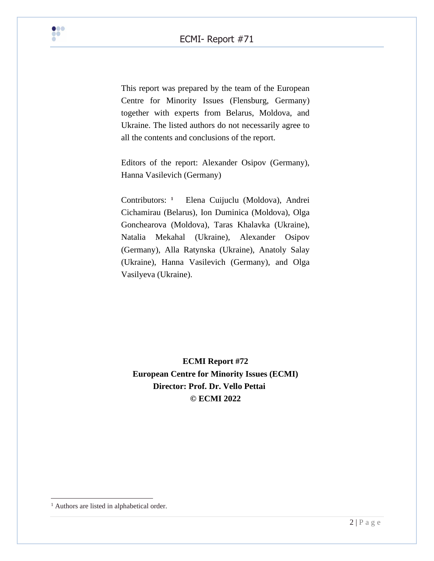This report was prepared by the team of the European Centre for Minority Issues (Flensburg, Germany) together with experts from Belarus, Moldova, and Ukraine. The listed authors do not necessarily agree to all the contents and conclusions of the report.

Editors of the report: Alexander Osipov (Germany), Hanna Vasilevich (Germany)

Contributors: **<sup>1</sup>** Elena Cuijuclu (Moldova), Andrei Cichamirau (Belarus), Ion Duminica (Moldova), Olga Gonchearova (Moldova), Taras Khalavka (Ukraine), Natalia Mekahal (Ukraine), Alexander Osipov (Germany), Alla Ratynska (Ukraine), Anatoly Salay (Ukraine), Hanna Vasilevich (Germany), and Olga Vasilyeva (Ukraine).

**ECMI Report #72 European Centre for Minority Issues (ECMI) Director: Prof. Dr. Vello Pettai © ECMI 2022**

<sup>&</sup>lt;sup>1</sup> Authors are listed in alphabetical order.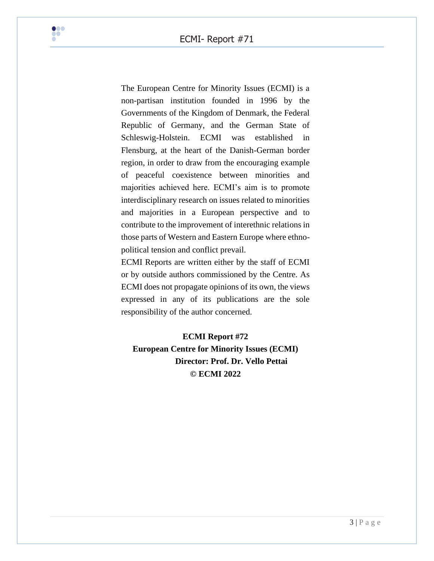

The European Centre for Minority Issues (ECMI) is a non-partisan institution founded in 1996 by the Governments of the Kingdom of Denmark, the Federal Republic of Germany, and the German State of Schleswig-Holstein. ECMI was established in Flensburg, at the heart of the Danish-German border region, in order to draw from the encouraging example of peaceful coexistence between minorities and majorities achieved here. ECMI's aim is to promote interdisciplinary research on issues related to minorities and majorities in a European perspective and to contribute to the improvement of interethnic relations in those parts of Western and Eastern Europe where ethnopolitical tension and conflict prevail.

ECMI Reports are written either by the staff of ECMI or by outside authors commissioned by the Centre. As ECMI does not propagate opinions of its own, the views expressed in any of its publications are the sole responsibility of the author concerned.

**ECMI Report #72 European Centre for Minority Issues (ECMI) Director: Prof. Dr. Vello Pettai © ECMI 2022**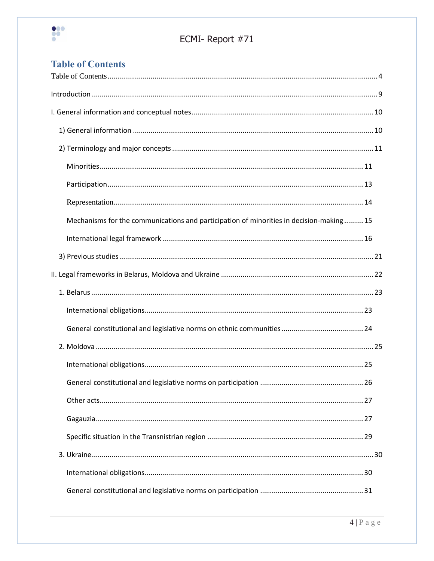

# <span id="page-3-0"></span>**Table of Contents**

| Mechanisms for the communications and participation of minorities in decision-making15 |  |
|----------------------------------------------------------------------------------------|--|
|                                                                                        |  |
|                                                                                        |  |
|                                                                                        |  |
|                                                                                        |  |
|                                                                                        |  |
|                                                                                        |  |
|                                                                                        |  |
|                                                                                        |  |
|                                                                                        |  |
|                                                                                        |  |
|                                                                                        |  |
|                                                                                        |  |
|                                                                                        |  |
|                                                                                        |  |
|                                                                                        |  |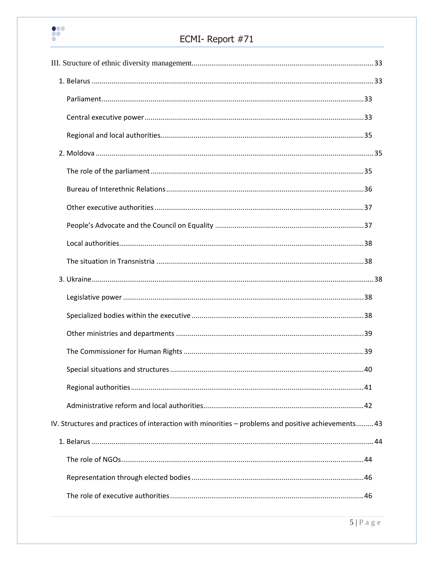

# ECMI-Report #71

| IV. Structures and practices of interaction with minorities - problems and positive achievements 43 |  |
|-----------------------------------------------------------------------------------------------------|--|
|                                                                                                     |  |
|                                                                                                     |  |
|                                                                                                     |  |
|                                                                                                     |  |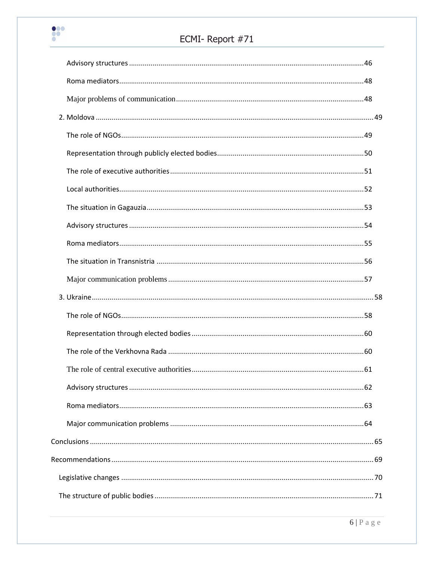

# ECMI-Report #71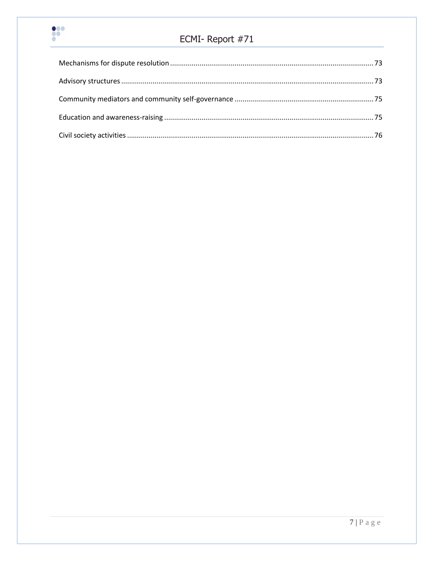

# ECMI-Report #71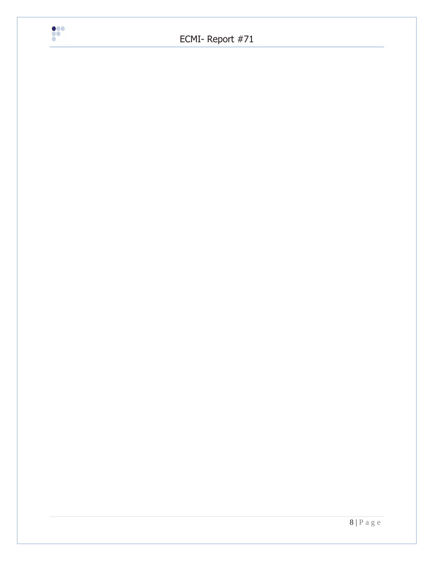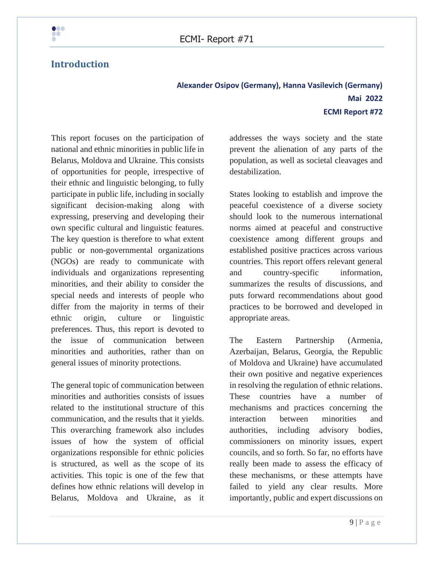

# <span id="page-8-0"></span>**Introduction**

# **Alexander Osipov (Germany), Hanna Vasilevich (Germany) Mai 2022 ECMI Report #72**

This report focuses on the participation of national and ethnic minorities in public life in Belarus, Moldova and Ukraine. This consists of opportunities for people, irrespective of their ethnic and linguistic belonging, to fully participate in public life, including in socially significant decision-making along with expressing, preserving and developing their own specific cultural and linguistic features. The key question is therefore to what extent public or non-governmental organizations (NGOs) are ready to communicate with individuals and organizations representing minorities, and their ability to consider the special needs and interests of people who differ from the majority in terms of their ethnic origin, culture or linguistic preferences. Thus, this report is devoted to the issue of communication between minorities and authorities, rather than on general issues of minority protections.

The general topic of communication between minorities and authorities consists of issues related to the institutional structure of this communication, and the results that it yields. This overarching framework also includes issues of how the system of official organizations responsible for ethnic policies is structured, as well as the scope of its activities. This topic is one of the few that defines how ethnic relations will develop in Belarus, Moldova and Ukraine, as it addresses the ways society and the state prevent the alienation of any parts of the population, as well as societal cleavages and destabilization.

States looking to establish and improve the peaceful coexistence of a diverse society should look to the numerous international norms aimed at peaceful and constructive coexistence among different groups and established positive practices across various countries. This report offers relevant general and country-specific information, summarizes the results of discussions, and puts forward recommendations about good practices to be borrowed and developed in appropriate areas.

The Eastern Partnership (Armenia, Azerbaijan, Belarus, Georgia, the Republic of Moldova and Ukraine) have accumulated their own positive and negative experiences in resolving the regulation of ethnic relations. These countries have a number of mechanisms and practices concerning the interaction between minorities and authorities, including advisory bodies, commissioners on minority issues, expert councils, and so forth. So far, no efforts have really been made to assess the efficacy of these mechanisms, or these attempts have failed to yield any clear results. More importantly, public and expert discussions on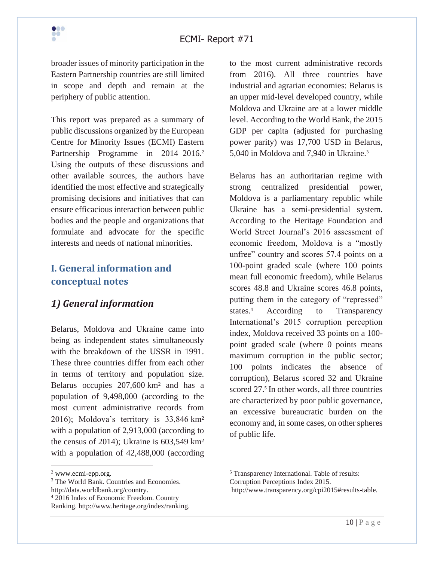broader issues of minority participation in the Eastern Partnership countries are still limited in scope and depth and remain at the periphery of public attention.

This report was prepared as a summary of public discussions organized by the European Centre for Minority Issues (ECMI) Eastern Partnership Programme in 2014–2016.<sup>2</sup> Using the outputs of these discussions and other available sources, the authors have identified the most effective and strategically promising decisions and initiatives that can ensure efficacious interaction between public bodies and the people and organizations that formulate and advocate for the specific interests and needs of national minorities.

# <span id="page-9-0"></span>**I. General information and conceptual notes**

## <span id="page-9-1"></span>*1) General information*

Belarus, Moldova and Ukraine came into being as independent states simultaneously with the breakdown of the USSR in 1991. These three countries differ from each other in terms of territory and population size. Belarus occupies 207,600 km² and has a population of 9,498,000 (according to the most current administrative records from 2016); Moldova's territory is 33,846 km² with a population of 2,913,000 (according to the census of 2014); Ukraine is 603,549 km² with a population of 42,488,000 (according

to the most current administrative records from 2016). All three countries have industrial and agrarian economies: Belarus is an upper mid-level developed country, while Moldova and Ukraine are at a lower middle level. According to the World Bank, the 2015 GDP per capita (adjusted for purchasing power parity) was 17,700 USD in Belarus, 5,040 in Moldova and 7,940 in Ukraine.<sup>3</sup>

Belarus has an authoritarian regime with strong centralized presidential power, Moldova is a parliamentary republic while Ukraine has a semi-presidential system. According to the Heritage Foundation and World Street Journal's 2016 assessment of economic freedom, Moldova is a "mostly unfree" country and scores 57.4 points on a 100-point graded scale (where 100 points mean full economic freedom), while Belarus scores 48.8 and Ukraine scores 46.8 points, putting them in the category of "repressed" states.<sup>4</sup> According to Transparency International's 2015 corruption perception index, Moldova received 33 points on a 100 point graded scale (where 0 points means maximum corruption in the public sector; 100 points indicates the absence of corruption), Belarus scored 32 and Ukraine scored 27.<sup>5</sup> In other words, all three countries are characterized by poor public governance, an excessive bureaucratic burden on the economy and, in some cases, on other spheres of public life.



<sup>2</sup> www.ecmi-epp.org.

<sup>&</sup>lt;sup>3</sup> The World Bank. Countries and Economies. http://data.worldbank.org/country.

<sup>4</sup> 2016 Index of Economic Freedom. Country Ranking. http://www.heritage.org/index/ranking.

<sup>5</sup> Transparency International. Table of results:

Corruption Perceptions Index 2015.

http://www.transparency.org/cpi2015#results-table.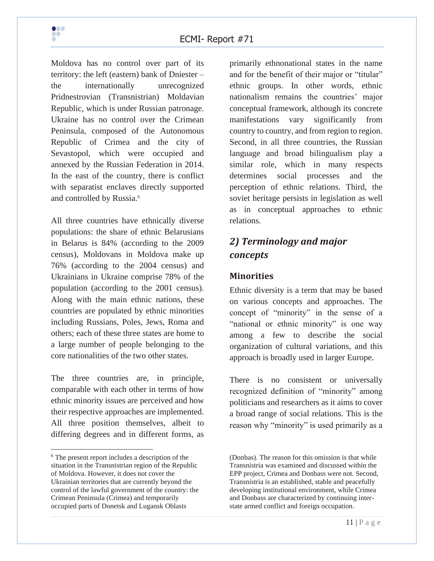

Moldova has no control over part of its territory: the left (eastern) bank of Dniester – the internationally unrecognized Pridnestrovian (Transnistrian) Moldavian Republic, which is under Russian patronage. Ukraine has no control over the Crimean Peninsula, composed of the Autonomous Republic of Crimea and the city of Sevastopol, which were occupied and annexed by the Russian Federation in 2014. In the east of the country, there is conflict with separatist enclaves directly supported and controlled by Russia.<sup>6</sup>

All three countries have ethnically diverse populations: the share of ethnic Belarusians in Belarus is 84% (according to the 2009 census), Moldovans in Moldova make up 76% (according to the 2004 census) and Ukrainians in Ukraine comprise 78% of the population (according to the 2001 census). Along with the main ethnic nations, these countries are populated by ethnic minorities including Russians, Poles, Jews, Roma and others; each of these three states are home to a large number of people belonging to the core nationalities of the two other states.

The three countries are, in principle, comparable with each other in terms of how ethnic minority issues are perceived and how their respective approaches are implemented. All three position themselves, albeit to differing degrees and in different forms, as

primarily ethnonational states in the name and for the benefit of their major or "titular" ethnic groups. In other words, ethnic nationalism remains the countries' major conceptual framework, although its concrete manifestations vary significantly from country to country, and from region to region. Second, in all three countries, the Russian language and broad bilingualism play a similar role, which in many respects determines social processes and the perception of ethnic relations. Third, the soviet heritage persists in legislation as well as in conceptual approaches to ethnic relations.

# <span id="page-10-0"></span>*2) Terminology and major concepts*

### <span id="page-10-1"></span>**Minorities**

Ethnic diversity is a term that may be based on various concepts and approaches. The concept of "minority" in the sense of a "national or ethnic minority" is one way among a few to describe the social organization of cultural variations, and this approach is broadly used in larger Europe.

There is no consistent or universally recognized definition of "minority" among politicians and researchers as it aims to cover a broad range of social relations. This is the reason why "minority" is used primarily as a

<sup>6</sup> The present report includes a description of the situation in the Transnistrian region of the Republic of Moldova. However, it does not cover the Ukrainian territories that are currently beyond the control of the lawful government of the country: the Crimean Peninsula (Crimea) and temporarily occupied parts of Donetsk and Lugansk Oblasts

<sup>(</sup>Donbas). The reason for this omission is that while Transnistria was examined and discussed within the EPP project, Crimea and Donbass were not. Second, Transnistria is an established, stable and peacefully developing institutional environment, while Crimea and Donbass are characterized by continuing interstate armed conflict and foreign occupation.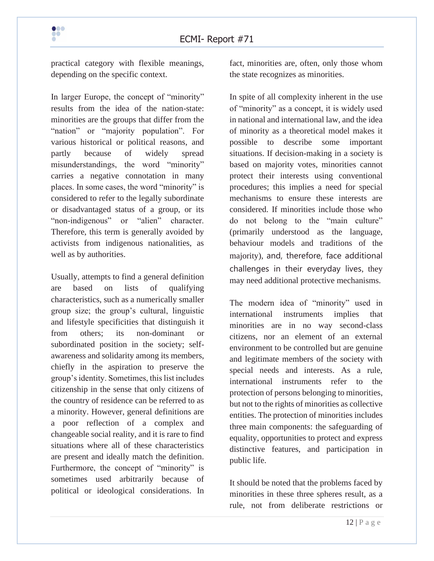practical category with flexible meanings, depending on the specific context.

In larger Europe, the concept of "minority" results from the idea of the nation-state: minorities are the groups that differ from the "nation" or "majority population". For various historical or political reasons, and partly because of widely spread misunderstandings, the word "minority" carries a negative connotation in many places. In some cases, the word "minority" is considered to refer to the legally subordinate or disadvantaged status of a group, or its "non-indigenous" or "alien" character. Therefore, this term is generally avoided by activists from indigenous nationalities, as well as by authorities.

Usually, attempts to find a general definition are based on lists of qualifying characteristics, such as a numerically smaller group size; the group's cultural, linguistic and lifestyle specificities that distinguish it from others; its non-dominant or subordinated position in the society; selfawareness and solidarity among its members, chiefly in the aspiration to preserve the group's identity. Sometimes, this list includes citizenship in the sense that only citizens of the country of residence can be referred to as a minority. However, general definitions are a poor reflection of a complex and changeable social reality, and it is rare to find situations where all of these characteristics are present and ideally match the definition. Furthermore, the concept of "minority" is sometimes used arbitrarily because of political or ideological considerations. In

fact, minorities are, often, only those whom the state recognizes as minorities.

In spite of all complexity inherent in the use of "minority" as a concept, it is widely used in national and international law, and the idea of minority as a theoretical model makes it possible to describe some important situations. If decision-making in a society is based on majority votes, minorities cannot protect their interests using conventional procedures; this implies a need for special mechanisms to ensure these interests are considered. If minorities include those who do not belong to the "main culture" (primarily understood as the language, behaviour models and traditions of the majority), and, therefore, face additional challenges in their everyday lives, they may need additional protective mechanisms.

The modern idea of "minority" used in international instruments implies that minorities are in no way second-class citizens, nor an element of an external environment to be controlled but are genuine and legitimate members of the society with special needs and interests. As a rule, international instruments refer to the protection of persons belonging to minorities, but not to the rights of minorities as collective entities. The protection of minorities includes three main components: the safeguarding of equality, opportunities to protect and express distinctive features, and participation in public life.

It should be noted that the problems faced by minorities in these three spheres result, as a rule, not from deliberate restrictions or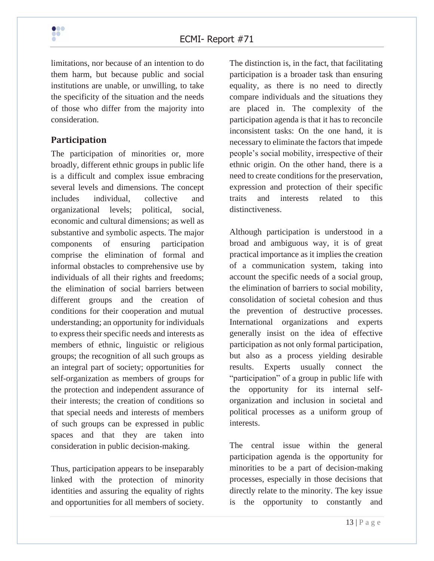

limitations, nor because of an intention to do them harm, but because public and social institutions are unable, or unwilling, to take the specificity of the situation and the needs of those who differ from the majority into consideration.

#### <span id="page-12-0"></span>**Participation**

The participation of minorities or, more broadly, different ethnic groups in public life is a difficult and complex issue embracing several levels and dimensions. The concept includes individual, collective and organizational levels; political, social, economic and cultural dimensions; as well as substantive and symbolic aspects. The major components of ensuring participation comprise the elimination of formal and informal obstacles to comprehensive use by individuals of all their rights and freedoms; the elimination of social barriers between different groups and the creation of conditions for their cooperation and mutual understanding; an opportunity for individuals to express their specific needs and interests as members of ethnic, linguistic or religious groups; the recognition of all such groups as an integral part of society; opportunities for self-organization as members of groups for the protection and independent assurance of their interests; the creation of conditions so that special needs and interests of members of such groups can be expressed in public spaces and that they are taken into consideration in public decision-making.

Thus, participation appears to be inseparably linked with the protection of minority identities and assuring the equality of rights and opportunities for all members of society.

The distinction is, in the fact, that facilitating participation is a broader task than ensuring equality, as there is no need to directly compare individuals and the situations they are placed in. The complexity of the participation agenda is that it has to reconcile inconsistent tasks: On the one hand, it is necessary to eliminate the factors that impede people's social mobility, irrespective of their ethnic origin. On the other hand, there is a need to create conditions for the preservation, expression and protection of their specific traits and interests related to this distinctiveness.

Although participation is understood in a broad and ambiguous way, it is of great practical importance as it implies the creation of a communication system, taking into account the specific needs of a social group, the elimination of barriers to social mobility, consolidation of societal cohesion and thus the prevention of destructive processes. International organizations and experts generally insist on the idea of effective participation as not only formal participation, but also as a process yielding desirable results. Experts usually connect the "participation" of a group in public life with the opportunity for its internal selforganization and inclusion in societal and political processes as a uniform group of interests.

The central issue within the general participation agenda is the opportunity for minorities to be a part of decision-making processes, especially in those decisions that directly relate to the minority. The key issue is the opportunity to constantly and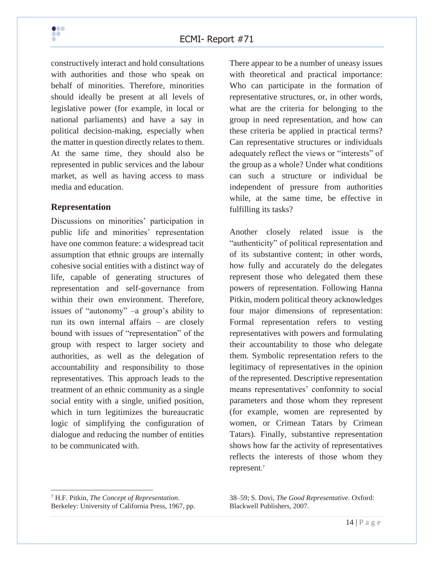

constructively interact and hold consultations with authorities and those who speak on behalf of minorities. Therefore, minorities should ideally be present at all levels of legislative power (for example, in local or national parliaments) and have a say in political decision-making, especially when the matter in question directly relates to them. At the same time, they should also be represented in public services and the labour market, as well as having access to mass media and education.

#### <span id="page-13-0"></span>**Representation**

Discussions on minorities' participation in public life and minorities' representation have one common feature: a widespread tacit assumption that ethnic groups are internally cohesive social entities with a distinct way of life, capable of generating structures of representation and self-governance from within their own environment. Therefore, issues of "autonomy" –a group's ability to run its own internal affairs – are closely bound with issues of "representation" of the group with respect to larger society and authorities, as well as the delegation of accountability and responsibility to those representatives. This approach leads to the treatment of an ethnic community as a single social entity with a single, unified position, which in turn legitimizes the bureaucratic logic of simplifying the configuration of dialogue and reducing the number of entities to be communicated with.

There appear to be a number of uneasy issues with theoretical and practical importance: Who can participate in the formation of representative structures, or, in other words, what are the criteria for belonging to the group in need representation, and how can these criteria be applied in practical terms? Can representative structures or individuals adequately reflect the views or "interests" of the group as a whole? Under what conditions can such a structure or individual be independent of pressure from authorities while, at the same time, be effective in fulfilling its tasks?

Another closely related issue is the "authenticity" of political representation and of its substantive content; in other words, how fully and accurately do the delegates represent those who delegated them these powers of representation. Following Hanna Pitkin, modern political theory acknowledges four major dimensions of representation: Formal representation refers to vesting representatives with powers and formulating their accountability to those who delegate them. Symbolic representation refers to the legitimacy of representatives in the opinion of the represented. Descriptive representation means representatives' conformity to social parameters and those whom they represent (for example, women are represented by women, or Crimean Tatars by Crimean Tatars). Finally, substantive representation shows how far the activity of representatives reflects the interests of those whom they represent. 7

<sup>7</sup> H.F. Pitkin, *The Concept of Representation*. Berkeley: University of California Press, 1967, pp.

<sup>38–59;</sup> S. Dovi, *The Good Representative.* Oxford: Blackwell Publishers, 2007.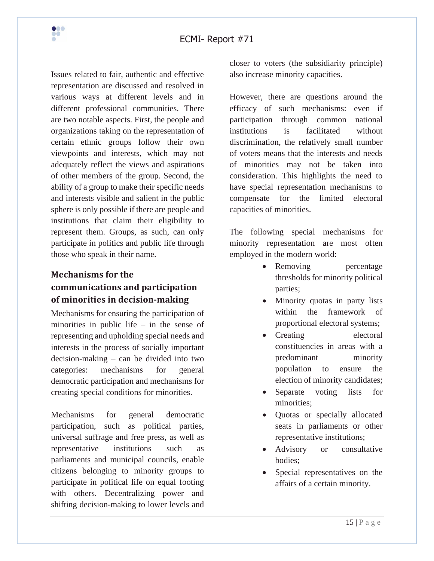Issues related to fair, authentic and effective representation are discussed and resolved in various ways at different levels and in different professional communities. There are two notable aspects. First, the people and organizations taking on the representation of certain ethnic groups follow their own viewpoints and interests, which may not adequately reflect the views and aspirations of other members of the group. Second, the ability of a group to make their specific needs and interests visible and salient in the public sphere is only possible if there are people and institutions that claim their eligibility to represent them. Groups, as such, can only participate in politics and public life through those who speak in their name.

# <span id="page-14-0"></span>**Mechanisms for the communications and participation of minorities in decision-making**

Mechanisms for ensuring the participation of minorities in public life – in the sense of representing and upholding special needs and interests in the process of socially important decision-making – can be divided into two categories: mechanisms for general democratic participation and mechanisms for creating special conditions for minorities.

Mechanisms for general democratic participation, such as political parties, universal suffrage and free press, as well as representative institutions such as parliaments and municipal councils, enable citizens belonging to minority groups to participate in political life on equal footing with others. Decentralizing power and shifting decision-making to lower levels and

closer to voters (the subsidiarity principle) also increase minority capacities.

However, there are questions around the efficacy of such mechanisms: even if participation through common national institutions is facilitated without discrimination, the relatively small number of voters means that the interests and needs of minorities may not be taken into consideration. This highlights the need to have special representation mechanisms to compensate for the limited electoral capacities of minorities.

The following special mechanisms for minority representation are most often employed in the modern world:

- Removing percentage thresholds for minority political parties;
- Minority quotas in party lists within the framework of proportional electoral systems;
- Creating electoral constituencies in areas with a predominant minority population to ensure the election of minority candidates;
- Separate voting lists for minorities;
- Quotas or specially allocated seats in parliaments or other representative institutions;
- Advisory or consultative bodies;
- Special representatives on the affairs of a certain minority.

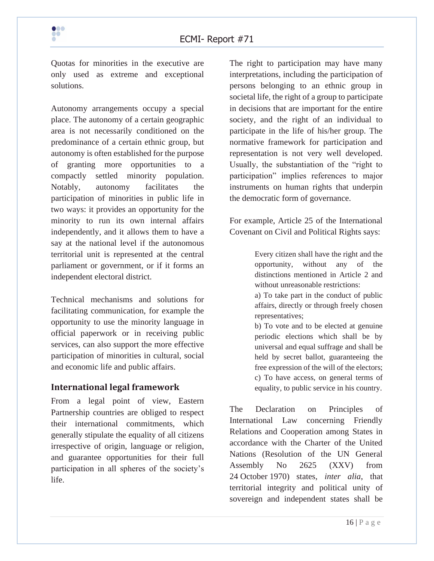Quotas for minorities in the executive are only used as extreme and exceptional solutions.

Autonomy arrangements occupy a special place. The autonomy of a certain geographic area is not necessarily conditioned on the predominance of a certain ethnic group, but autonomy is often established for the purpose of granting more opportunities to a compactly settled minority population. Notably, autonomy facilitates the participation of minorities in public life in two ways: it provides an opportunity for the minority to run its own internal affairs independently, and it allows them to have a say at the national level if the autonomous territorial unit is represented at the central parliament or government, or if it forms an independent electoral district.

Technical mechanisms and solutions for facilitating communication, for example the opportunity to use the minority language in official paperwork or in receiving public services, can also support the more effective participation of minorities in cultural, social and economic life and public affairs.

#### <span id="page-15-0"></span>**International legal framework**

From a legal point of view, Eastern Partnership countries are obliged to respect their international commitments, which generally stipulate the equality of all citizens irrespective of origin, language or religion, and guarantee opportunities for their full participation in all spheres of the society's life.

The right to participation may have many interpretations, including the participation of persons belonging to an ethnic group in societal life, the right of a group to participate in decisions that are important for the entire society, and the right of an individual to participate in the life of his/her group. The normative framework for participation and representation is not very well developed. Usually, the substantiation of the "right to participation" implies references to major instruments on human rights that underpin the democratic form of governance.

For example, Article 25 of the International Covenant on Civil and Political Rights says:

> Every citizen shall have the right and the opportunity, without any of the distinctions mentioned in Article 2 and without unreasonable restrictions:

> a) To take part in the conduct of public affairs, directly or through freely chosen representatives;

> b) To vote and to be elected at genuine periodic elections which shall be by universal and equal suffrage and shall be held by secret ballot, guaranteeing the free expression of the will of the electors; c) To have access, on general terms of equality, to public service in his country.

The Declaration on Principles of International Law concerning Friendly Relations and Cooperation among States in accordance with the Charter of the United Nations (Resolution of the UN General Assembly No 2625 (XXV) from 24 October 1970) states, *inter alia*, that territorial integrity and political unity of sovereign and independent states shall be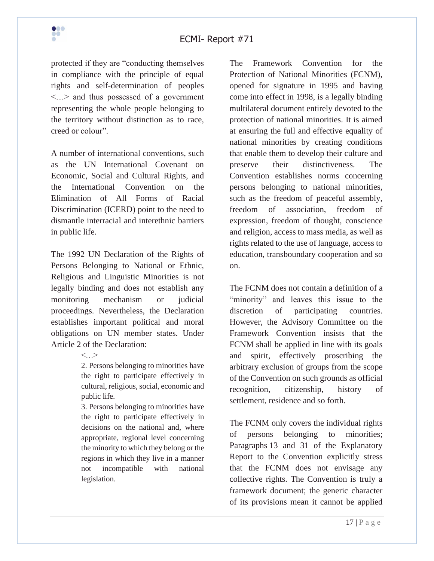protected if they are "conducting themselves in compliance with the principle of equal rights and self-determination of peoples <…> and thus possessed of a government representing the whole people belonging to the territory without distinction as to race, creed or colour".

A number of international conventions, such as the UN International Covenant on Economic, Social and Cultural Rights, and the International Convention on the Elimination of All Forms of Racial Discrimination (ICERD) point to the need to dismantle interracial and interethnic barriers in public life.

The 1992 UN Declaration of the Rights of Persons Belonging to National or Ethnic, Religious and Linguistic Minorities is not legally binding and does not establish any monitoring mechanism or judicial proceedings. Nevertheless, the Declaration establishes important political and moral obligations on UN member states. Under Article 2 of the Declaration:

#### <…>

2. Persons belonging to minorities have the right to participate effectively in cultural, religious, social, economic and public life.

3. Persons belonging to minorities have the right to participate effectively in decisions on the national and, where appropriate, regional level concerning the minority to which they belong or the regions in which they live in a manner not incompatible with national legislation.

The Framework Convention for the Protection of National Minorities (FCNM), opened for signature in 1995 and having come into effect in 1998, is a legally binding multilateral document entirely devoted to the protection of national minorities. It is aimed at ensuring the full and effective equality of national minorities by creating conditions that enable them to develop their culture and preserve their distinctiveness. The Convention establishes norms concerning persons belonging to national minorities, such as the freedom of peaceful assembly, freedom of association, freedom of expression, freedom of thought, conscience and religion, access to mass media, as well as rights related to the use of language, access to education, transboundary cooperation and so on.

The FCNM does not contain a definition of a "minority" and leaves this issue to the discretion of participating countries. However, the Advisory Committee on the Framework Convention insists that the FCNM shall be applied in line with its goals and spirit, effectively proscribing the arbitrary exclusion of groups from the scope of the Convention on such grounds as official recognition, citizenship, history of settlement, residence and so forth.

The FCNM only covers the individual rights of persons belonging to minorities; Paragraphs 13 and 31 of the Explanatory Report to the Convention explicitly stress that the FCNM does not envisage any collective rights. The Convention is truly a framework document; the generic character of its provisions mean it cannot be applied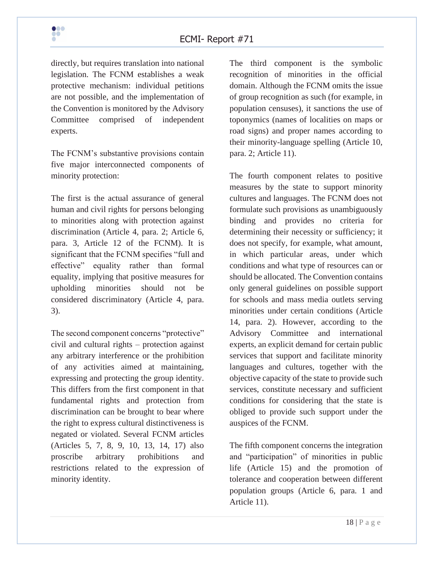directly, but requires translation into national legislation. The FCNM establishes a weak protective mechanism: individual petitions are not possible, and the implementation of the Convention is monitored by the Advisory Committee comprised of independent experts.

The FCNM's substantive provisions contain five major interconnected components of minority protection:

The first is the actual assurance of general human and civil rights for persons belonging to minorities along with protection against discrimination (Article 4, para. 2; Article 6, para. 3, Article 12 of the FCNM). It is significant that the FCNM specifies "full and effective" equality rather than formal equality, implying that positive measures for upholding minorities should not be considered discriminatory (Article 4, para. 3).

The second component concerns "protective" civil and cultural rights – protection against any arbitrary interference or the prohibition of any activities aimed at maintaining, expressing and protecting the group identity. This differs from the first component in that fundamental rights and protection from discrimination can be brought to bear where the right to express cultural distinctiveness is negated or violated. Several FCNM articles (Articles 5, 7, 8, 9, 10, 13, 14, 17) also proscribe arbitrary prohibitions and restrictions related to the expression of minority identity.

The third component is the symbolic recognition of minorities in the official domain. Although the FCNM omits the issue of group recognition as such (for example, in population censuses), it sanctions the use of toponymics (names of localities on maps or road signs) and proper names according to their minority-language spelling (Article 10, para. 2; Article 11).

The fourth component relates to positive measures by the state to support minority cultures and languages. The FCNM does not formulate such provisions as unambiguously binding and provides no criteria for determining their necessity or sufficiency; it does not specify, for example, what amount, in which particular areas, under which conditions and what type of resources can or should be allocated. The Convention contains only general guidelines on possible support for schools and mass media outlets serving minorities under certain conditions (Article 14, para. 2). However, according to the Advisory Committee and international experts, an explicit demand for certain public services that support and facilitate minority languages and cultures, together with the objective capacity of the state to provide such services, constitute necessary and sufficient conditions for considering that the state is obliged to provide such support under the auspices of the FCNM.

The fifth component concerns the integration and "participation" of minorities in public life (Article 15) and the promotion of tolerance and cooperation between different population groups (Article 6, para. 1 and Article 11).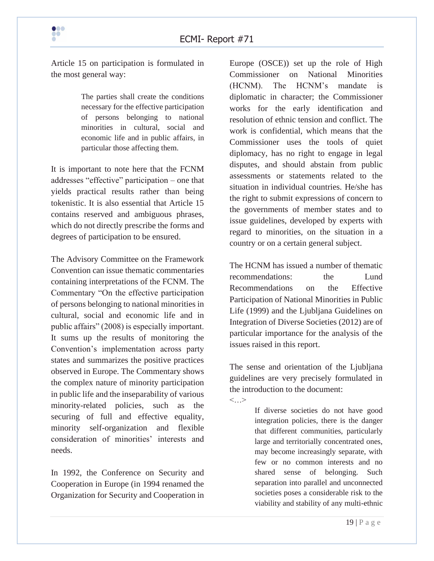Article 15 on participation is formulated in the most general way:

> The parties shall create the conditions necessary for the effective participation of persons belonging to national minorities in cultural, social and economic life and in public affairs, in particular those affecting them.

It is important to note here that the FCNM addresses "effective" participation – one that yields practical results rather than being tokenistic. It is also essential that Article 15 contains reserved and ambiguous phrases, which do not directly prescribe the forms and degrees of participation to be ensured.

The Advisory Committee on the Framework Convention can issue thematic commentaries containing interpretations of the FCNM. The Commentary "On the effective participation of persons belonging to national minorities in cultural, social and economic life and in public affairs" (2008) is especially important. It sums up the results of monitoring the Convention's implementation across party states and summarizes the positive practices observed in Europe. The Commentary shows the complex nature of minority participation in public life and the inseparability of various minority-related policies, such as the securing of full and effective equality, minority self-organization and flexible consideration of minorities' interests and needs.

In 1992, the Conference on Security and Cooperation in Europe (in 1994 renamed the Organization for Security and Cooperation in Europe (OSCE)) set up the role of High Commissioner on National Minorities (HCNM). The HCNM's mandate is diplomatic in character; the Commissioner works for the early identification and resolution of ethnic tension and conflict. The work is confidential, which means that the Commissioner uses the tools of quiet diplomacy, has no right to engage in legal disputes, and should abstain from public assessments or statements related to the situation in individual countries. He/she has the right to submit expressions of concern to the governments of member states and to issue guidelines, developed by experts with regard to minorities, on the situation in a country or on a certain general subject.

The HCNM has issued a number of thematic recommendations: the Lund Recommendations on the Effective Participation of National Minorities in Public Life (1999) and the Ljubljana Guidelines on Integration of Diverse Societies (2012) are of particular importance for the analysis of the issues raised in this report.

The sense and orientation of the Ljubljana guidelines are very precisely formulated in the introduction to the document:

<…>

If diverse societies do not have good integration policies, there is the danger that different communities, particularly large and territorially concentrated ones, may become increasingly separate, with few or no common interests and no shared sense of belonging. Such separation into parallel and unconnected societies poses a considerable risk to the viability and stability of any multi-ethnic

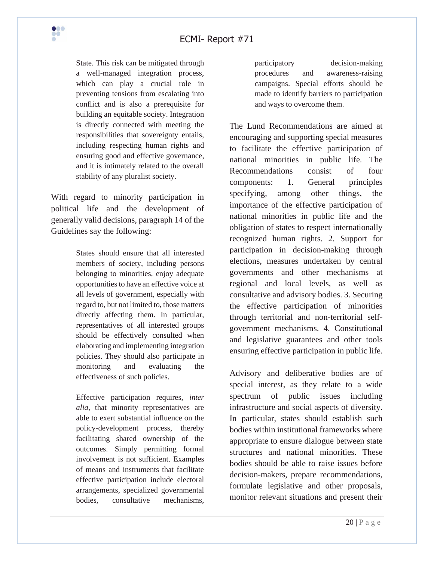

State. This risk can be mitigated through a well-managed integration process, which can play a crucial role in preventing tensions from escalating into conflict and is also a prerequisite for building an equitable society. Integration is directly connected with meeting the responsibilities that sovereignty entails, including respecting human rights and ensuring good and effective governance, and it is intimately related to the overall stability of any pluralist society.

With regard to minority participation in political life and the development of generally valid decisions, paragraph 14 of the Guidelines say the following:

> States should ensure that all interested members of society, including persons belonging to minorities, enjoy adequate opportunities to have an effective voice at all levels of government, especially with regard to, but not limited to, those matters directly affecting them. In particular, representatives of all interested groups should be effectively consulted when elaborating and implementing integration policies. They should also participate in monitoring and evaluating the effectiveness of such policies.

> Effective participation requires, *inter alia*, that minority representatives are able to exert substantial influence on the policy-development process, thereby facilitating shared ownership of the outcomes. Simply permitting formal involvement is not sufficient. Examples of means and instruments that facilitate effective participation include electoral arrangements, specialized governmental bodies, consultative mechanisms,

participatory decision-making procedures and awareness-raising campaigns. Special efforts should be made to identify barriers to participation and ways to overcome them.

The Lund Recommendations are aimed at encouraging and supporting special measures to facilitate the effective participation of national minorities in public life. The Recommendations consist of four components: 1. General principles specifying, among other things, the importance of the effective participation of national minorities in public life and the obligation of states to respect internationally recognized human rights. 2. Support for participation in decision-making through elections, measures undertaken by central governments and other mechanisms at regional and local levels, as well as consultative and advisory bodies. 3. Securing the effective participation of minorities through territorial and non-territorial selfgovernment mechanisms. 4. Constitutional and legislative guarantees and other tools ensuring effective participation in public life.

Advisory and deliberative bodies are of special interest, as they relate to a wide spectrum of public issues including infrastructure and social aspects of diversity. In particular, states should establish such bodies within institutional frameworks where appropriate to ensure dialogue between state structures and national minorities. These bodies should be able to raise issues before decision-makers, prepare recommendations, formulate legislative and other proposals, monitor relevant situations and present their

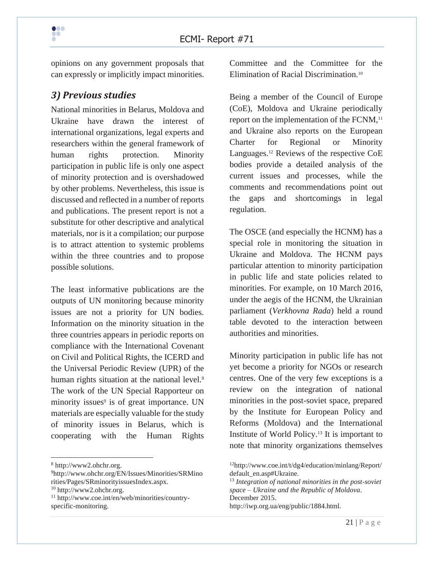

opinions on any government proposals that can expressly or implicitly impact minorities.

## <span id="page-20-0"></span>*3) Previous studies*

National minorities in Belarus, Moldova and Ukraine have drawn the interest of international organizations, legal experts and researchers within the general framework of human rights protection. Minority participation in public life is only one aspect of minority protection and is overshadowed by other problems. Nevertheless, this issue is discussed and reflected in a number of reports and publications. The present report is not a substitute for other descriptive and analytical materials, nor is it a compilation; our purpose is to attract attention to systemic problems within the three countries and to propose possible solutions.

The least informative publications are the outputs of UN monitoring because minority issues are not a priority for UN bodies. Information on the minority situation in the three countries appears in periodic reports on compliance with the International Covenant on Civil and Political Rights, the ICERD and the Universal Periodic Review (UPR) of the human rights situation at the national level.<sup>8</sup> The work of the UN Special Rapporteur on minority issues<sup>9</sup> is of great importance. UN materials are especially valuable for the study of minority issues in Belarus, which is cooperating with the Human Rights

Committee and the Committee for the Elimination of Racial Discrimination.<sup>10</sup>

Being a member of the Council of Europe (CoE), Moldova and Ukraine periodically report on the implementation of the FCNM,<sup>11</sup> and Ukraine also reports on the European Charter for Regional or Minority Languages.<sup>12</sup> Reviews of the respective CoE bodies provide a detailed analysis of the current issues and processes, while the comments and recommendations point out the gaps and shortcomings in legal regulation.

The OSCE (and especially the HCNM) has a special role in monitoring the situation in Ukraine and Moldova. The HCNM pays particular attention to minority participation in public life and state policies related to minorities. For example, on 10 March 2016, under the aegis of the HCNM, the Ukrainian parliament (*Verkhovna Rada*) held a round table devoted to the interaction between authorities and minorities.

Minority participation in public life has not yet become a priority for NGOs or research centres. One of the very few exceptions is a review on the integration of national minorities in the post-soviet space, prepared by the Institute for European Policy and Reforms (Moldova) and the International Institute of World Policy.<sup>13</sup> It is important to note that minority organizations themselves

<sup>8</sup> http://www2.ohchr.org.

<sup>9</sup>http://www.ohchr.org/EN/Issues/Minorities/SRMino rities/Pages/SRminorityissuesIndex.aspx.

<sup>10</sup> http://www2.ohchr.org.

<sup>11</sup> http://www.coe.int/en/web/minorities/countryspecific-monitoring.

<sup>12</sup>http://www.coe.int/t/dg4/education/minlang/Report/ default\_en.asp#Ukraine.

<sup>13</sup> *Integration of national minorities in the post-soviet space – Ukraine and the Republic of Moldova*. December 2015. http://iwp.org.ua/eng/public/1884.html.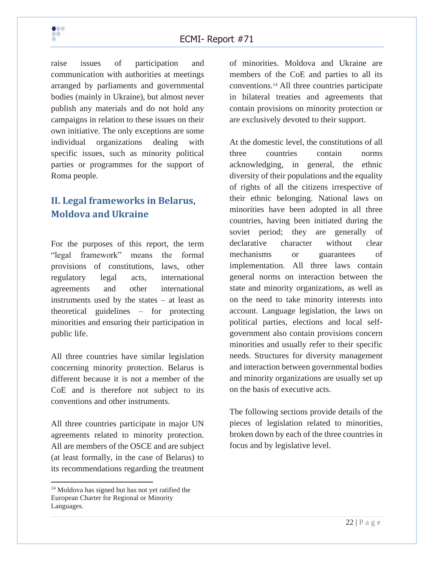raise issues of participation and communication with authorities at meetings arranged by parliaments and governmental bodies (mainly in Ukraine), but almost never publish any materials and do not hold any campaigns in relation to these issues on their own initiative. The only exceptions are some individual organizations dealing with specific issues, such as minority political parties or programmes for the support of Roma people.

# <span id="page-21-0"></span>**II. Legal frameworks in Belarus, Moldova and Ukraine**

For the purposes of this report, the term "legal framework" means the formal provisions of constitutions, laws, other regulatory legal acts, international agreements and other international instruments used by the states – at least as theoretical guidelines – for protecting minorities and ensuring their participation in public life.

All three countries have similar legislation concerning minority protection. Belarus is different because it is not a member of the CoE and is therefore not subject to its conventions and other instruments.

All three countries participate in major UN agreements related to minority protection. All are members of the OSCE and are subject (at least formally, in the case of Belarus) to its recommendations regarding the treatment

of minorities. Moldova and Ukraine are members of the CoE and parties to all its conventions.<sup>14</sup> All three countries participate in bilateral treaties and agreements that contain provisions on minority protection or are exclusively devoted to their support.

At the domestic level, the constitutions of all three countries contain norms acknowledging, in general, the ethnic diversity of their populations and the equality of rights of all the citizens irrespective of their ethnic belonging. National laws on minorities have been adopted in all three countries, having been initiated during the soviet period; they are generally of declarative character without clear mechanisms or guarantees of implementation. All three laws contain general norms on interaction between the state and minority organizations, as well as on the need to take minority interests into account. Language legislation, the laws on political parties, elections and local selfgovernment also contain provisions concern minorities and usually refer to their specific needs. Structures for diversity management and interaction between governmental bodies and minority organizations are usually set up on the basis of executive acts.

The following sections provide details of the pieces of legislation related to minorities, broken down by each of the three countries in focus and by legislative level.



<sup>14</sup> Moldova has signed but has not yet ratified the European Charter for Regional or Minority Languages.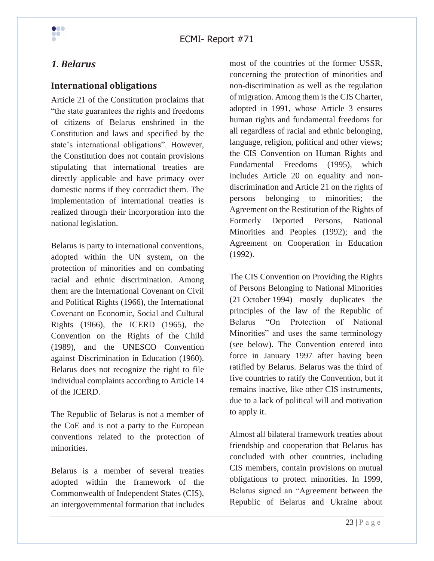# <span id="page-22-0"></span>*1. Belarus*

## <span id="page-22-1"></span>**International obligations**

Article 21 of the Constitution proclaims that "the state guarantees the rights and freedoms of citizens of Belarus enshrined in the Constitution and laws and specified by the state's international obligations". However, the Constitution does not contain provisions stipulating that international treaties are directly applicable and have primacy over domestic norms if they contradict them. The implementation of international treaties is realized through their incorporation into the national legislation.

Belarus is party to international conventions, adopted within the UN system, on the protection of minorities and on combating racial and ethnic discrimination. Among them are the International Covenant on Civil and Political Rights (1966), the International Covenant on Economic, Social and Cultural Rights (1966), the ICERD (1965), the Convention on the Rights of the Child (1989), and the UNESCO Convention against Discrimination in Education (1960). Belarus does not recognize the right to file individual complaints according to Article 14 of the ICERD.

The Republic of Belarus is not a member of the CoE and is not a party to the European conventions related to the protection of minorities.

Belarus is a member of several treaties adopted within the framework of the Commonwealth of Independent States (CIS), an intergovernmental formation that includes most of the countries of the former USSR, concerning the protection of minorities and non-discrimination as well as the regulation of migration. Among them is the CIS Charter, adopted in 1991, whose Article 3 ensures human rights and fundamental freedoms for all regardless of racial and ethnic belonging, language, religion, political and other views; the CIS Convention on Human Rights and Fundamental Freedoms (1995), which includes Article 20 on equality and nondiscrimination and Article 21 on the rights of persons belonging to minorities; the Agreement on the Restitution of the Rights of Formerly Deported Persons, National Minorities and Peoples (1992); and the Agreement on Cooperation in Education (1992).

The CIS Convention on Providing the Rights of Persons Belonging to National Minorities (21 October 1994) mostly duplicates the principles of the law of the Republic of Belarus "On Protection of National Minorities" and uses the same terminology (see below). The Convention entered into force in January 1997 after having been ratified by Belarus. Belarus was the third of five countries to ratify the Convention, but it remains inactive, like other CIS instruments, due to a lack of political will and motivation to apply it.

Almost all bilateral framework treaties about friendship and cooperation that Belarus has concluded with other countries, including CIS members, contain provisions on mutual obligations to protect minorities. In 1999, Belarus signed an "Agreement between the Republic of Belarus and Ukraine about

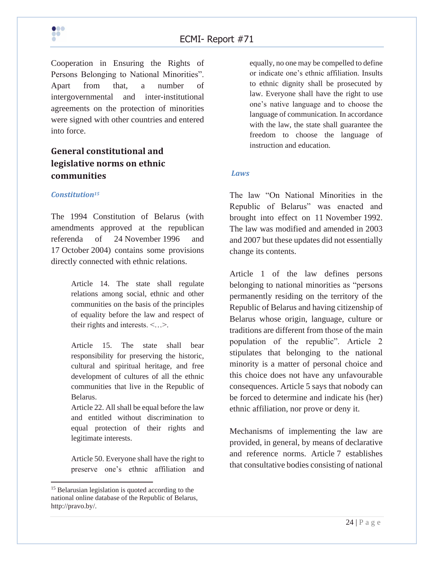

Cooperation in Ensuring the Rights of Persons Belonging to National Minorities". Apart from that, a number of intergovernmental and inter-institutional agreements on the protection of minorities were signed with other countries and entered into force.

# <span id="page-23-0"></span>**General constitutional and legislative norms on ethnic communities**

#### *Constitution<sup>15</sup>*

The 1994 Constitution of Belarus (with amendments approved at the republican referenda of 24 November 1996 and 17 October 2004) contains some provisions directly connected with ethnic relations.

> Article 14. The state shall regulate relations among social, ethnic and other communities on the basis of the principles of equality before the law and respect of their rights and interests. <…>.

Article 15. The state shall bear responsibility for preserving the historic, cultural and spiritual heritage, and free development of cultures of all the ethnic communities that live in the Republic of Belarus.

Article 22. All shall be equal before the law and entitled without discrimination to equal protection of their rights and legitimate interests.

Article 50. Everyone shall have the right to preserve one's ethnic affiliation and

equally, no one may be compelled to define or indicate one's ethnic affiliation. Insults to ethnic dignity shall be prosecuted by law. Everyone shall have the right to use one's native language and to choose the language of communication. In accordance with the law, the state shall guarantee the freedom to choose the language of instruction and education.

#### *Laws*

The law "On National Minorities in the Republic of Belarus" was enacted and brought into effect on 11 November 1992. The law was modified and amended in 2003 and 2007 but these updates did not essentially change its contents.

Article 1 of the law defines persons belonging to national minorities as "persons permanently residing on the territory of the Republic of Belarus and having citizenship of Belarus whose origin, language, culture or traditions are different from those of the main population of the republic". Article 2 stipulates that belonging to the national minority is a matter of personal choice and this choice does not have any unfavourable consequences. Article 5 says that nobody can be forced to determine and indicate his (her) ethnic affiliation, nor prove or deny it.

Mechanisms of implementing the law are provided, in general, by means of declarative and reference norms. Article 7 establishes that consultative bodies consisting of national

<sup>&</sup>lt;sup>15</sup> Belarusian legislation is quoted according to the national online database of the Republic of Belarus, http://pravo.by/.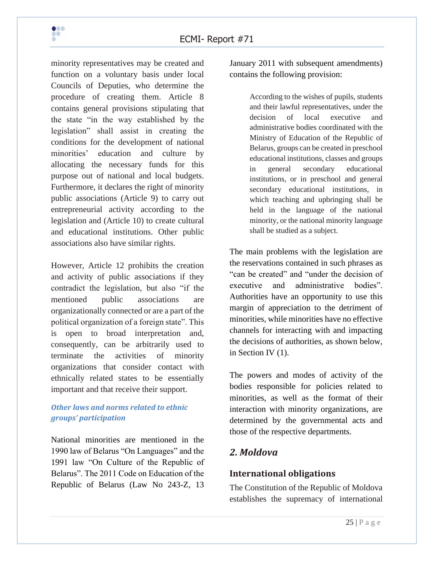minority representatives may be created and function on a voluntary basis under local Councils of Deputies, who determine the procedure of creating them. Article 8 contains general provisions stipulating that the state "in the way established by the legislation" shall assist in creating the conditions for the development of national minorities' education and culture by allocating the necessary funds for this purpose out of national and local budgets. Furthermore, it declares the right of minority public associations (Article 9) to carry out entrepreneurial activity according to the legislation and (Article 10) to create cultural and educational institutions. Other public associations also have similar rights.

However, Article 12 prohibits the creation and activity of public associations if they contradict the legislation, but also "if the mentioned public associations are organizationally connected or are a part of the political organization of a foreign state". This is open to broad interpretation and, consequently, can be arbitrarily used to terminate the activities of minority organizations that consider contact with ethnically related states to be essentially important and that receive their support.

#### *Other laws and norms related to ethnic groups' participation*

National minorities are mentioned in the 1990 law of Belarus "On Languages" and the 1991 law "On Culture of the Republic of Belarus". The 2011 Code on Education of the Republic of Belarus (Law No 243-Z, 13

January 2011 with subsequent amendments) contains the following provision:

> According to the wishes of pupils, students and their lawful representatives, under the decision of local executive and administrative bodies coordinated with the Ministry of Education of the Republic of Belarus, groups can be created in preschool educational institutions, classes and groups in general secondary educational institutions, or in preschool and general secondary educational institutions, in which teaching and upbringing shall be held in the language of the national minority, or the national minority language shall be studied as a subject.

The main problems with the legislation are the reservations contained in such phrases as "can be created" and "under the decision of executive and administrative bodies". Authorities have an opportunity to use this margin of appreciation to the detriment of minorities, while minorities have no effective channels for interacting with and impacting the decisions of authorities, as shown below, in Section IV (1).

The powers and modes of activity of the bodies responsible for policies related to minorities, as well as the format of their interaction with minority organizations, are determined by the governmental acts and those of the respective departments.

## <span id="page-24-0"></span>*2. Moldova*

#### <span id="page-24-1"></span>**International obligations**

The Constitution of the Republic of Moldova establishes the supremacy of international

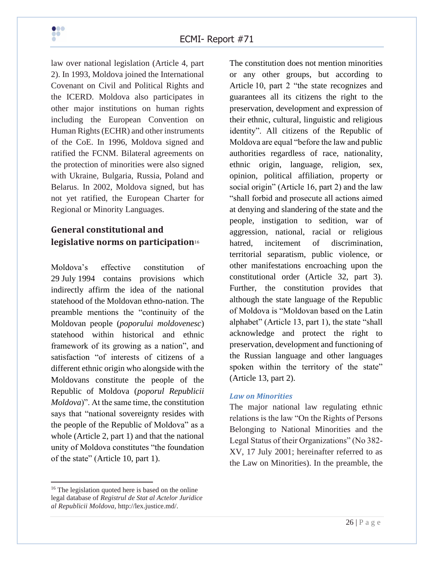

law over national legislation (Article 4, part 2). In 1993, Moldova joined the International Covenant on Civil and Political Rights and the ICERD. Moldova also participates in other major institutions on human rights including the European Convention on Human Rights (ECHR) and other instruments of the CoE. In 1996, Moldova signed and ratified the FCNM. Bilateral agreements on the protection of minorities were also signed with Ukraine, Bulgaria, Russia, Poland and Belarus. In 2002, Moldova signed, but has not yet ratified, the European Charter for Regional or Minority Languages.

# <span id="page-25-0"></span>**General constitutional and legislative norms on participation**<sup>16</sup>

Moldova's effective constitution of 29 July 1994 contains provisions which indirectly affirm the idea of the national statehood of the Moldovan ethno-nation. The preamble mentions the "continuity of the Moldovan people (*poporului moldovenesc*) statehood within historical and ethnic framework of its growing as a nation", and satisfaction "of interests of citizens of a different ethnic origin who alongside with the Moldovans constitute the people of the Republic of Moldova (*poporul Republicii Moldova*)". At the same time, the constitution says that "national sovereignty resides with the people of the Republic of Moldova" as a whole (Article 2, part 1) and that the national unity of Moldova constitutes "the foundation of the state" (Article 10, part 1).

The constitution does not mention minorities or any other groups, but according to Article 10, part 2 "the state recognizes and guarantees all its citizens the right to the preservation, development and expression of their ethnic, cultural, linguistic and religious identity". All citizens of the Republic of Moldova are equal "before the law and public authorities regardless of race, nationality, ethnic origin, language, religion, sex, opinion, political affiliation, property or social origin" (Article 16, part 2) and the law "shall forbid and prosecute all actions aimed at denying and slandering of the state and the people, instigation to sedition, war of aggression, national, racial or religious hatred, incitement of discrimination, territorial separatism, public violence, or other manifestations encroaching upon the constitutional order (Article 32, part 3). Further, the constitution provides that although the state language of the Republic of Moldova is "Moldovan based on the Latin alphabet" (Article 13, part 1), the state "shall acknowledge and protect the right to preservation, development and functioning of the Russian language and other languages spoken within the territory of the state" (Article 13, part 2).

#### *Law on Minorities*

The major national law regulating ethnic relations is the law "On the Rights of Persons Belonging to National Minorities and the Legal Status of their Organizations" (No 382- XV, 17 July 2001; hereinafter referred to as the Law on Minorities). In the preamble, the

<sup>&</sup>lt;sup>16</sup> The legislation quoted here is based on the online legal database of *Registrul de Stat al Actelor Juridice al Republicii Moldova*, http://lex.justice.md/.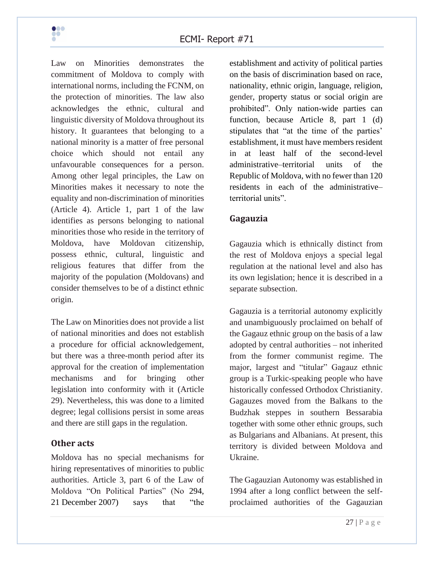

Law on Minorities demonstrates the commitment of Moldova to comply with international norms, including the FCNM, on the protection of minorities. The law also acknowledges the ethnic, cultural and linguistic diversity of Moldova throughout its history. It guarantees that belonging to a national minority is a matter of free personal choice which should not entail any unfavourable consequences for a person. Among other legal principles, the Law on Minorities makes it necessary to note the equality and non-discrimination of minorities (Article 4). Article 1, part 1 of the law identifies as persons belonging to national minorities those who reside in the territory of Moldova, have Moldovan citizenship, possess ethnic, cultural, linguistic and religious features that differ from the majority of the population (Moldovans) and consider themselves to be of a distinct ethnic origin.

The Law on Minorities does not provide a list of national minorities and does not establish a procedure for official acknowledgement, but there was a three-month period after its approval for the creation of implementation mechanisms and for bringing other legislation into conformity with it (Article 29). Nevertheless, this was done to a limited degree; legal collisions persist in some areas and there are still gaps in the regulation.

#### <span id="page-26-0"></span>**Other acts**

Moldova has no special mechanisms for hiring representatives of minorities to public authorities. Article 3, part 6 of the Law of Moldova "On Political Parties" (No 294, 21 December 2007) says that "the

establishment and activity of political parties on the basis of discrimination based on race, nationality, ethnic origin, language, religion, gender, property status or social origin are prohibited". Only nation-wide parties can function, because Article 8, part 1 (d) stipulates that "at the time of the parties' establishment, it must have members resident in at least half of the second-level administrative–territorial units of the Republic of Moldova, with no fewer than 120 residents in each of the administrative– territorial units".

#### <span id="page-26-1"></span>**Gagauzia**

Gagauzia which is ethnically distinct from the rest of Moldova enjoys a special legal regulation at the national level and also has its own legislation; hence it is described in a separate subsection.

Gagauzia is a territorial autonomy explicitly and unambiguously proclaimed on behalf of the Gagauz ethnic group on the basis of a law adopted by central authorities – not inherited from the former communist regime. The major, largest and "titular" Gagauz ethnic group is a Turkic-speaking people who have historically confessed Orthodox Christianity. Gagauzes moved from the Balkans to the Budzhak steppes in southern Bessarabia together with some other ethnic groups, such as Bulgarians and Albanians. At present, this territory is divided between Moldova and Ukraine.

The Gagauzian Autonomy was established in 1994 after a long conflict between the selfproclaimed authorities of the Gagauzian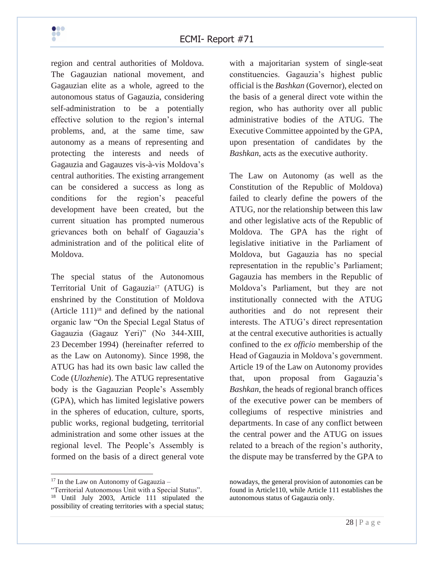

region and central authorities of Moldova. The Gagauzian national movement, and Gagauzian elite as a whole, agreed to the autonomous status of Gagauzia, considering self-administration to be a potentially effective solution to the region's internal problems, and, at the same time, saw autonomy as a means of representing and protecting the interests and needs of Gagauzia and Gagauzes vis-à-vis Moldova's central authorities. The existing arrangement can be considered a success as long as conditions for the region's peaceful development have been created, but the current situation has prompted numerous grievances both on behalf of Gagauzia's administration and of the political elite of Moldova.

The special status of the Autonomous Territorial Unit of Gagauzia<sup>17</sup> (ATUG) is enshrined by the Constitution of Moldova  $(A$ rticle 111)<sup>18</sup> and defined by the national organic law "On the Special Legal Status of Gagauzia (Gagauz Yeri)" (No 344-XIII, 23 December 1994) (hereinafter referred to as the Law on Autonomy). Since 1998, the ATUG has had its own basic law called the Code (*Ulozhenie*). The ATUG representative body is the Gagauzian People's Assembly (GPA), which has limited legislative powers in the spheres of education, culture, sports, public works, regional budgeting, territorial administration and some other issues at the regional level. The People's Assembly is formed on the basis of a direct general vote

with a majoritarian system of single-seat constituencies. Gagauzia's highest public official is the *Bashkan* (Governor), elected on the basis of a general direct vote within the region, who has authority over all public administrative bodies of the ATUG. The Executive Committee appointed by the GPA, upon presentation of candidates by the *Bashkan*, acts as the executive authority.

The Law on Autonomy (as well as the Constitution of the Republic of Moldova) failed to clearly define the powers of the ATUG, nor the relationship between this law and other legislative acts of the Republic of Moldova. The GPA has the right of legislative initiative in the Parliament of Moldova, but Gagauzia has no special representation in the republic's Parliament; Gagauzia has members in the Republic of Moldova's Parliament, but they are not institutionally connected with the ATUG authorities and do not represent their interests. The ATUG's direct representation at the central executive authorities is actually confined to the *ex officio* membership of the Head of Gagauzia in Moldova's government. Article 19 of the Law on Autonomy provides that, upon proposal from Gagauzia's *Bashkan*, the heads of regional branch offices of the executive power can be members of collegiums of respective ministries and departments. In case of any conflict between the central power and the ATUG on issues related to a breach of the region's authority, the dispute may be transferred by the GPA to

 $17$  In the Law on Autonomy of Gagauzia –

<sup>&</sup>quot;Territorial Autonomous Unit with a Special Status". <sup>18</sup> Until July 2003, Article 111 stipulated the possibility of creating territories with a special status;

nowadays, the general provision of autonomies can be found in Article110, while Article 111 establishes the autonomous status of Gagauzia only.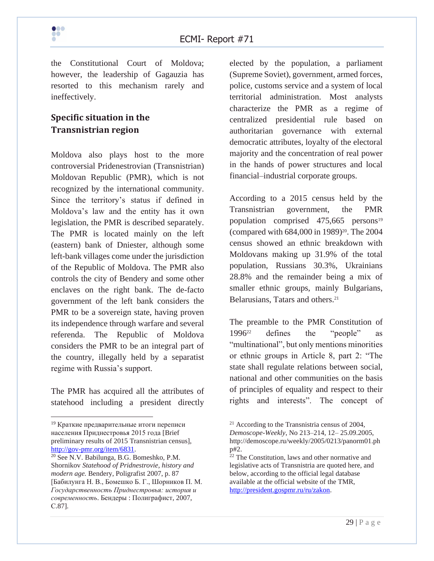

the Constitutional Court of Moldova; however, the leadership of Gagauzia has resorted to this mechanism rarely and ineffectively.

## <span id="page-28-0"></span>**Specific situation in the Transnistrian region**

Moldova also plays host to the more controversial Pridenestrovian (Transnistrian) Moldovan Republic (PMR), which is not recognized by the international community. Since the territory's status if defined in Moldova's law and the entity has it own legislation, the PMR is described separately. The PMR is located mainly on the left (eastern) bank of Dniester, although some left-bank villages come under the jurisdiction of the Republic of Moldova. The PMR also controls the city of Bendery and some other enclaves on the right bank. The de-facto government of the left bank considers the PMR to be a sovereign state, having proven its independence through warfare and several referenda. The Republic of Moldova considers the PMR to be an integral part of the country, illegally held by a separatist regime with Russia's support.

The PMR has acquired all the attributes of statehood including a president directly elected by the population, a parliament (Supreme Soviet), government, armed forces, police, customs service and a system of local territorial administration. Most analysts characterize the PMR as a regime of centralized presidential rule based on authoritarian governance with external democratic attributes, loyalty of the electoral majority and the concentration of real power in the hands of power structures and local financial–industrial corporate groups.

According to a 2015 census held by the Transnistrian government, the PMR population comprised  $475,665$  persons<sup>19</sup> (compared with  $684,000$  in  $1989)$ <sup>20</sup>. The 2004 census showed an ethnic breakdown with Moldovans making up 31.9% of the total population, Russians 30.3%, Ukrainians 28.8% and the remainder being a mix of smaller ethnic groups, mainly Bulgarians, Belarusians, Tatars and others.<sup>21</sup>

The preamble to the PMR Constitution of 1996<sup>22</sup> defines the "people" as "multinational", but only mentions minorities or ethnic groups in Article 8, part 2: "The state shall regulate relations between social, national and other communities on the basis of principles of equality and respect to their rights and interests". The concept of

<sup>19</sup> Краткие предварительные итоги переписи населения Приднестровья 2015 года [Brief preliminary results of 2015 Transnistrian census], [http://gov-pmr.org/item/6831.](http://gov-pmr.org/item/6831)

<sup>20</sup> See N.V. Babilunga, B.G. Bomeshko, P.M. Shornikov *Statehood of Pridnestrovie, history and modern age.* Bendery, Poligrafist 2007, p. 87 [Бабилунга Н. В., Бомешко Б. Г., Шорников П. М. *Государственность Приднестровья: история и современность*. Бендеры : Полиграфист, 2007, С.87]*.*

<sup>21</sup> According to the Transnistria census of 2004, *Demoscope-Weekly*, No 213–214, 12– 25.09.2005, http://demoscope.ru/weekly/2005/0213/panorm01.ph p#2.

 $22$  The Constitution, laws and other normative and legislative acts of Transnistria are quoted here, and below, according to the official legal database available at the official website of the TMR, [http://president.gospmr.ru/ru/zakon.](http://president.gospmr.ru/ru/zakon)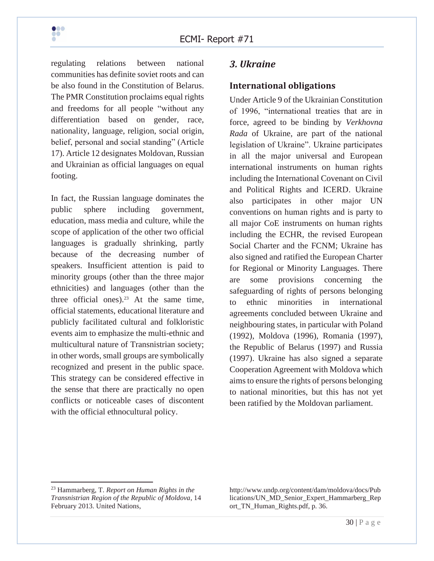regulating relations between national communities has definite soviet roots and can be also found in the Constitution of Belarus. The PMR Constitution proclaims equal rights and freedoms for all people "without any differentiation based on gender, race, nationality, language, religion, social origin, belief, personal and social standing" (Article 17). Article 12 designates Moldovan, Russian and Ukrainian as official languages on equal footing.

In fact, the Russian language dominates the public sphere including government, education, mass media and culture, while the scope of application of the other two official languages is gradually shrinking, partly because of the decreasing number of speakers. Insufficient attention is paid to minority groups (other than the three major ethnicities) and languages (other than the three official ones).<sup>23</sup> At the same time, official statements, educational literature and publicly facilitated cultural and folkloristic events aim to emphasize the multi-ethnic and multicultural nature of Transnistrian society; in other words, small groups are symbolically recognized and present in the public space. This strategy can be considered effective in the sense that there are practically no open conflicts or noticeable cases of discontent with the official ethnocultural policy.

## <span id="page-29-0"></span>*3. Ukraine*

#### <span id="page-29-1"></span>**International obligations**

Under Article 9 of the Ukrainian Constitution of 1996, "international treaties that are in force, agreed to be binding by *Verkhovna Rada* of Ukraine, are part of the national legislation of Ukraine". Ukraine participates in all the major universal and European international instruments on human rights including the International Covenant on Civil and Political Rights and ICERD. Ukraine also participates in other major UN conventions on human rights and is party to all major CoE instruments on human rights including the ECHR, the revised European Social Charter and the FCNM; Ukraine has also signed and ratified the European Charter for Regional or Minority Languages. There are some provisions concerning the safeguarding of rights of persons belonging to ethnic minorities in international agreements concluded between Ukraine and neighbouring states, in particular with Poland (1992), Moldova (1996), Romania (1997), the Republic of Belarus (1997) and Russia (1997). Ukraine has also signed a separate Cooperation Agreement with Moldova which aims to ensure the rights of persons belonging to national minorities, but this has not yet been ratified by the Moldovan parliament.



<sup>23</sup> Hammarberg, T. *Report on Human Rights in the Transnistrian Region of the Republic of Moldova*, 14 February 2013. United Nations,

http://www.undp.org/content/dam/moldova/docs/Pub lications/UN\_MD\_Senior\_Expert\_Hammarberg\_Rep ort\_TN\_Human\_Rights.pdf, p. 36.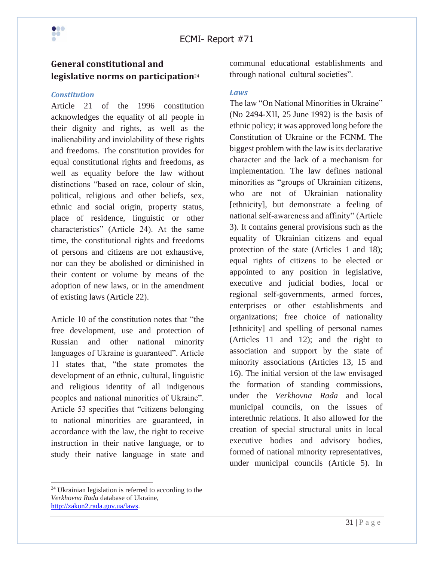

## <span id="page-30-0"></span>**General constitutional and legislative norms on participation**<sup>24</sup>

#### *Constitution*

Article 21 of the 1996 constitution acknowledges the equality of all people in their dignity and rights, as well as the inalienability and inviolability of these rights and freedoms. The constitution provides for equal constitutional rights and freedoms, as well as equality before the law without distinctions "based on race, colour of skin, political, religious and other beliefs, sex, ethnic and social origin, property status, place of residence, linguistic or other characteristics" (Article 24). At the same time, the constitutional rights and freedoms of persons and citizens are not exhaustive, nor can they be abolished or diminished in their content or volume by means of the adoption of new laws, or in the amendment of existing laws (Article 22).

Article 10 of the constitution notes that "the free development, use and protection of Russian and other national minority languages of Ukraine is guaranteed". Article 11 states that, "the state promotes the development of an ethnic, cultural, linguistic and religious identity of all indigenous peoples and national minorities of Ukraine". Article 53 specifies that "citizens belonging to national minorities are guaranteed, in accordance with the law, the right to receive instruction in their native language, or to study their native language in state and

communal educational establishments and through national–cultural societies".

#### *Laws*

The law "On National Minorities in Ukraine" (No 2494-XII, 25 June 1992) is the basis of ethnic policy; it was approved long before the Constitution of Ukraine or the FCNM. The biggest problem with the law is its declarative character and the lack of a mechanism for implementation. The law defines national minorities as "groups of Ukrainian citizens, who are not of Ukrainian nationality [ethnicity], but demonstrate a feeling of national self-awareness and affinity" (Article 3). It contains general provisions such as the equality of Ukrainian citizens and equal protection of the state (Articles 1 and 18); equal rights of citizens to be elected or appointed to any position in legislative, executive and judicial bodies, local or regional self-governments, armed forces, enterprises or other establishments and organizations; free choice of nationality [ethnicity] and spelling of personal names (Articles 11 and 12); and the right to association and support by the state of minority associations (Articles 13, 15 and 16). The initial version of the law envisaged the formation of standing commissions, under the *Verkhovna Rada* and local municipal councils, on the issues of interethnic relations. It also allowed for the creation of special structural units in local executive bodies and advisory bodies, formed of national minority representatives, under municipal councils (Article 5). In

<sup>24</sup> Ukrainian legislation is referred to according to the *Verkhovna Rada* database of Ukraine, [http://zakon2.rada.gov.ua/laws.](http://zakon2.rada.gov.ua/laws)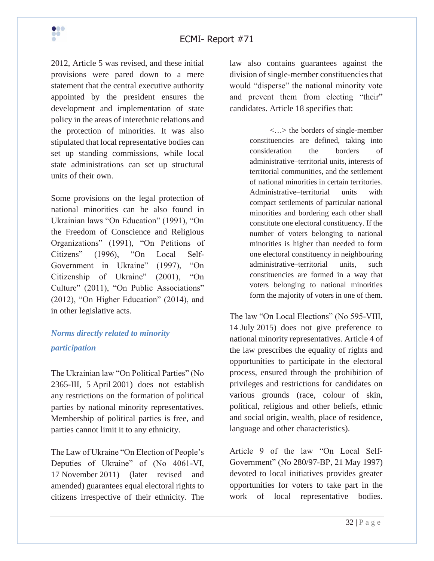2012, Article 5 was revised, and these initial provisions were pared down to a mere statement that the central executive authority appointed by the president ensures the development and implementation of state policy in the areas of interethnic relations and the protection of minorities. It was also stipulated that local representative bodies can set up standing commissions, while local state administrations can set up structural units of their own.

Some provisions on the legal protection of national minorities can be also found in Ukrainian laws "On Education" (1991), "On the Freedom of Conscience and Religious Organizations" (1991), "On Petitions of Citizens" (1996), "On Local Self-Government in Ukraine" (1997), "On Citizenship of Ukraine" (2001), "On Culture" (2011), "On Public Associations" (2012), "On Higher Education" (2014), and in other legislative acts.

# *Norms directly related to minority participation*

The Ukrainian law "On Political Parties" (No 2365-III, 5 April 2001) does not establish any restrictions on the formation of political parties by national minority representatives. Membership of political parties is free, and parties cannot limit it to any ethnicity.

The Law of Ukraine "On Election of People's Deputies of Ukraine" of (No 4061-VI, 17 November 2011) (later revised and amended) guarantees equal electoral rights to citizens irrespective of their ethnicity. The

law also contains guarantees against the division of single-member constituencies that would "disperse" the national minority vote and prevent them from electing "their" candidates. Article 18 specifies that:

> <…> the borders of single-member constituencies are defined, taking into consideration the borders of administrative–territorial units, interests of territorial communities, and the settlement of national minorities in certain territories. Administrative–territorial units with compact settlements of particular national minorities and bordering each other shall constitute one electoral constituency. If the number of voters belonging to national minorities is higher than needed to form one electoral constituency in neighbouring administrative–territorial units, such constituencies are formed in a way that voters belonging to national minorities form the majority of voters in one of them.

The law "On Local Elections" (No 595-VIII, 14 July 2015) does not give preference to national minority representatives. Article 4 of the law prescribes the equality of rights and opportunities to participate in the electoral process, ensured through the prohibition of privileges and restrictions for candidates on various grounds (race, colour of skin, political, religious and other beliefs, ethnic and social origin, wealth, place of residence, language and other characteristics).

Article 9 of the law "On Local Self-Government" (No 280/97-ВР, 21 May 1997) devoted to local initiatives provides greater opportunities for voters to take part in the work of local representative bodies.

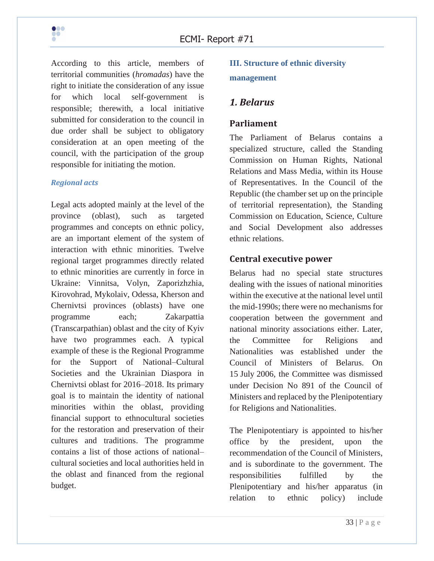According to this article, members of territorial communities (*hromadas*) have the right to initiate the consideration of any issue for which local self-government is responsible; therewith, a local initiative submitted for consideration to the council in due order shall be subject to obligatory consideration at an open meeting of the council, with the participation of the group responsible for initiating the motion.

#### *Regional acts*

Legal acts adopted mainly at the level of the province (oblast), such as targeted programmes and concepts on ethnic policy, are an important element of the system of interaction with ethnic minorities. Twelve regional target programmes directly related to ethnic minorities are currently in force in Ukraine: Vinnitsa, Volyn, Zaporizhzhia, Kirovohrad, Mykolaiv, Odessa, Kherson and Chernivtsi provinces (oblasts) have one programme each; Zakarpattia (Transcarpathian) oblast and the city of Kyiv have two programmes each. A typical example of these is the Regional Programme for the Support of National–Cultural Societies and the Ukrainian Diaspora in Chernivtsi oblast for 2016–2018. Its primary goal is to maintain the identity of national minorities within the oblast, providing financial support to ethnocultural societies for the restoration and preservation of their cultures and traditions. The programme contains a list of those actions of national– cultural societies and local authorities held in the oblast and financed from the regional budget.

# <span id="page-32-0"></span>**III. Structure of ethnic diversity management**

# <span id="page-32-1"></span>*1. Belarus*

#### <span id="page-32-2"></span>**Parliament**

The Parliament of Belarus contains a specialized structure, called the Standing Commission on Human Rights, National Relations and Mass Media, within its House of Representatives. In the Council of the Republic (the chamber set up on the principle of territorial representation), the Standing Commission on Education, Science, Culture and Social Development also addresses ethnic relations.

### <span id="page-32-3"></span>**Central executive power**

Belarus had no special state structures dealing with the issues of national minorities within the executive at the national level until the mid-1990s; there were no mechanisms for cooperation between the government and national minority associations either. Later, the Committee for Religions and Nationalities was established under the Council of Ministers of Belarus. On 15 July 2006, the Committee was dismissed under Decision No 891 of the Council of Ministers and replaced by the Plenipotentiary for Religions and Nationalities.

The Plenipotentiary is appointed to his/her office by the president, upon the recommendation of the Council of Ministers, and is subordinate to the government. The responsibilities fulfilled by the Plenipotentiary and his/her apparatus (in relation to ethnic policy) include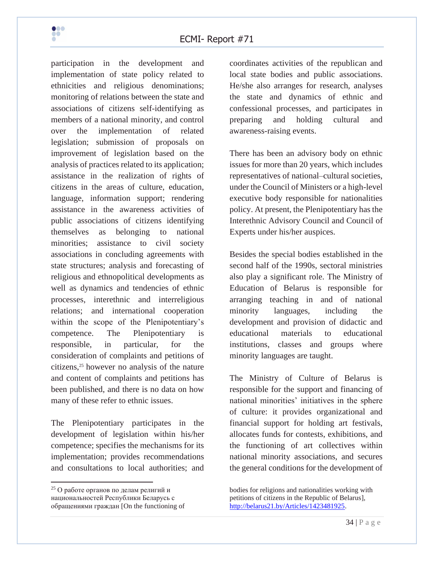

participation in the development and implementation of state policy related to ethnicities and religious denominations; monitoring of relations between the state and associations of citizens self-identifying as members of a national minority, and control over the implementation of related legislation; submission of proposals on improvement of legislation based on the analysis of practices related to its application; assistance in the realization of rights of citizens in the areas of culture, education, language, information support; rendering assistance in the awareness activities of public associations of citizens identifying themselves as belonging to national minorities; assistance to civil society associations in concluding agreements with state structures; analysis and forecasting of religious and ethnopolitical developments as well as dynamics and tendencies of ethnic processes, interethnic and interreligious relations; and international cooperation within the scope of the Plenipotentiary's competence. The Plenipotentiary is responsible, in particular, for the consideration of complaints and petitions of citizens,<sup>25</sup> however no analysis of the nature and content of complaints and petitions has been published, and there is no data on how many of these refer to ethnic issues.

The Plenipotentiary participates in the development of legislation within his/her competence; specifies the mechanisms for its implementation; provides recommendations and consultations to local authorities; and

coordinates activities of the republican and local state bodies and public associations. He/she also arranges for research, analyses the state and dynamics of ethnic and confessional processes, and participates in preparing and holding cultural and awareness-raising events.

There has been an advisory body on ethnic issues for more than 20 years, which includes representatives of national–cultural societies, under the Council of Ministers or a high-level executive body responsible for nationalities policy. At present, the Plenipotentiary has the Interethnic Advisory Council and Council of Experts under his/her auspices.

Besides the special bodies established in the second half of the 1990s, sectoral ministries also play a significant role. The Ministry of Education of Belarus is responsible for arranging teaching in and of national minority languages, including the development and provision of didactic and educational materials to educational institutions, classes and groups where minority languages are taught.

The Ministry of Culture of Belarus is responsible for the support and financing of national minorities' initiatives in the sphere of culture: it provides organizational and financial support for holding art festivals, allocates funds for contests, exhibitions, and the functioning of art collectives within national minority associations, and secures the general conditions for the development of

<sup>25</sup> О работе органов по делам религий и национальностей Республики Беларусь с обращениями граждан [On the functioning of

bodies for religions and nationalities working with petitions of citizens in the Republic of Belarus], [http://belarus21.by/Articles/1423481925.](http://belarus21.by/Articles/1423481925)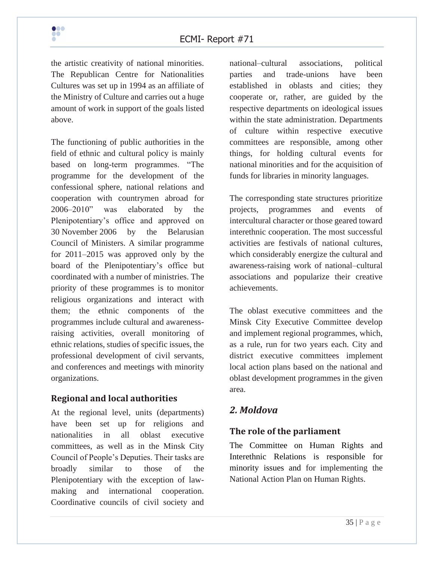the artistic creativity of national minorities. The Republican Centre for Nationalities Cultures was set up in 1994 as an affiliate of the Ministry of Culture and carries out a huge amount of work in support of the goals listed above.

The functioning of public authorities in the field of ethnic and cultural policy is mainly based on long-term programmes. "The programme for the development of the confessional sphere, national relations and cooperation with countrymen abroad for 2006–2010" was elaborated by the Plenipotentiary's office and approved on 30 November 2006 by the Belarusian Council of Ministers. A similar programme for 2011–2015 was approved only by the board of the Plenipotentiary's office but coordinated with a number of ministries. The priority of these programmes is to monitor religious organizations and interact with them; the ethnic components of the programmes include cultural and awarenessraising activities, overall monitoring of ethnic relations, studies of specific issues, the professional development of civil servants, and conferences and meetings with minority organizations.

## <span id="page-34-0"></span>**Regional and local authorities**

At the regional level, units (departments) have been set up for religions and nationalities in all oblast executive committees, as well as in the Minsk City Council of People's Deputies. Their tasks are broadly similar to those of the Plenipotentiary with the exception of lawmaking and international cooperation. Coordinative councils of civil society and

national–cultural associations, political parties and trade-unions have been established in oblasts and cities; they cooperate or, rather, are guided by the respective departments on ideological issues within the state administration. Departments of culture within respective executive committees are responsible, among other things, for holding cultural events for national minorities and for the acquisition of funds for libraries in minority languages.

The corresponding state structures prioritize projects, programmes and events of intercultural character or those geared toward interethnic cooperation. The most successful activities are festivals of national cultures, which considerably energize the cultural and awareness-raising work of national–cultural associations and popularize their creative achievements.

The oblast executive committees and the Minsk City Executive Committee develop and implement regional programmes, which, as a rule, run for two years each. City and district executive committees implement local action plans based on the national and oblast development programmes in the given area.

# <span id="page-34-1"></span>*2. Moldova*

## <span id="page-34-2"></span>**The role of the parliament**

The Committee on Human Rights and Interethnic Relations is responsible for minority issues and for implementing the National Action Plan on Human Rights.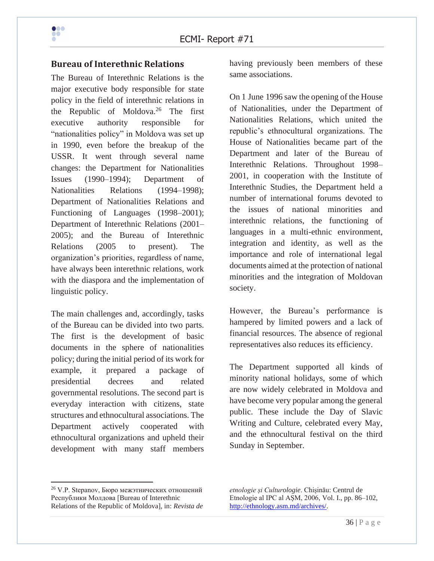

#### <span id="page-35-0"></span>**Bureau of Interethnic Relations**

The Bureau of Interethnic Relations is the major executive body responsible for state policy in the field of interethnic relations in the Republic of Moldova.<sup>26</sup> The first executive authority responsible for "nationalities policy" in Moldova was set up in 1990, even before the breakup of the USSR. It went through several name changes: the Department for Nationalities Issues (1990–1994); Department of Nationalities Relations (1994–1998); Department of Nationalities Relations and Functioning of Languages (1998–2001); Department of Interethnic Relations (2001– 2005); and the Bureau of Interethnic Relations (2005 to present). The organization's priorities, regardless of name, have always been interethnic relations, work with the diaspora and the implementation of linguistic policy.

The main challenges and, accordingly, tasks of the Bureau can be divided into two parts. The first is the development of basic documents in the sphere of nationalities policy; during the initial period of its work for example, it prepared a package of presidential decrees and related governmental resolutions. The second part is everyday interaction with citizens, state structures and ethnocultural associations. The Department actively cooperated with ethnocultural organizations and upheld their development with many staff members having previously been members of these same associations.

On 1 June 1996 saw the opening of the House of Nationalities, under the Department of Nationalities Relations, which united the republic's ethnocultural organizations. The House of Nationalities became part of the Department and later of the Bureau of Interethnic Relations. Throughout 1998– 2001, in cooperation with the Institute of Interethnic Studies, the Department held a number of international forums devoted to the issues of national minorities and interethnic relations, the functioning of languages in a multi-ethnic environment, integration and identity, as well as the importance and role of international legal documents aimed at the protection of national minorities and the integration of Moldovan society.

However, the Bureau's performance is hampered by limited powers and a lack of financial resources. The absence of regional representatives also reduces its efficiency.

The Department supported all kinds of minority national holidays, some of which are now widely celebrated in Moldova and have become very popular among the general public. These include the Day of Slavic Writing and Culture, celebrated every May, and the ethnocultural festival on the third Sunday in September.

<sup>26</sup> V.P. Stepanov, Бюро межэтнических отношений Республики Молдова [Bureau of Interethnic Relations of the Republic of Moldova], in: *Revista de* 

*etnologie și Culturologie*. Chișinău: Centrul de Etnologie al IPC al AȘM, 2006, Vol. I., pp. 86–102, [http://ethnology.asm.md/archives/.](http://ethnology.asm.md/archives/)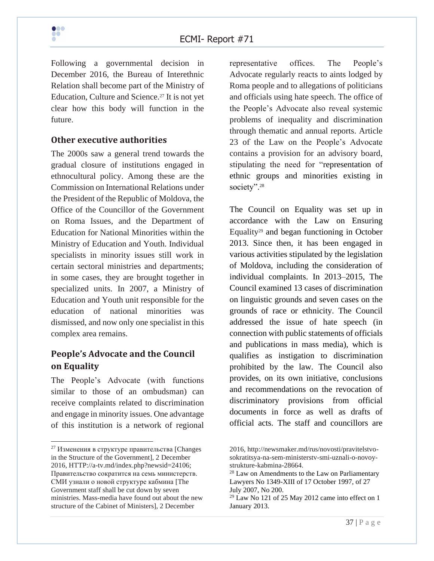

Following a governmental decision in December 2016, the Bureau of Interethnic Relation shall become part of the Ministry of Education, Culture and Science.<sup>27</sup> It is not yet clear how this body will function in the future.

#### **Other executive authorities**

The 2000s saw a general trend towards the gradual closure of institutions engaged in ethnocultural policy. Among these are the Commission on International Relations under the President of the Republic of Moldova, the Office of the Councillor of the Government on Roma Issues, and the Department of Education for National Minorities within the Ministry of Education and Youth. Individual specialists in minority issues still work in certain sectoral ministries and departments; in some cases, they are brought together in specialized units. In 2007, a Ministry of Education and Youth unit responsible for the education of national minorities was dismissed, and now only one specialist in this complex area remains.

## **People's Advocate and the Council on Equality**

The People's Advocate (with functions similar to those of an ombudsman) can receive complaints related to discrimination and engage in minority issues. One advantage of this institution is a network of regional

representative offices. The People's Advocate regularly reacts to aints lodged by Roma people and to allegations of politicians and officials using hate speech. The office of the People's Advocate also reveal systemic problems of inequality and discrimination through thematic and annual reports. Article 23 of the Law on the People's Advocate contains a provision for an advisory board, stipulating the need for "representation of ethnic groups and minorities existing in society".<sup>28</sup>

The Council on Equality was set up in accordance with the Law on Ensuring Equality<sup>29</sup> and began functioning in October 2013. Since then, it has been engaged in various activities stipulated by the legislation of Moldova, including the consideration of individual complaints. In 2013–2015, The Council examined 13 cases of discrimination on linguistic grounds and seven cases on the grounds of race or ethnicity. The Council addressed the issue of hate speech (in connection with public statements of officials and publications in mass media), which is qualifies as instigation to discrimination prohibited by the law. The Council also provides, on its own initiative, conclusions and recommendations on the revocation of discriminatory provisions from official documents in force as well as drafts of official acts. The staff and councillors are

<sup>&</sup>lt;sup>27</sup> Изменения в структуре правительства [Changes in the Structure of the Government], 2 December 2016, HTTP://a-tv.md/index.php?newsid=24106; Правительство сократится на семь министерств. СМИ узнали о новой структуре кабмина [The Government staff shall be cut down by seven ministries. Mass-media have found out about the new structure of the Cabinet of Ministers], 2 December

<sup>2016,</sup> http://newsmaker.md/rus/novosti/pravitelstvosokratitsya-na-sem-ministerstv-smi-uznali-o-novoystrukture-kabmina-28664.

<sup>&</sup>lt;sup>28</sup> Law on Amendments to the Law on Parliamentary Lawyers No 1349-XIII of 17 October 1997, of 27 July 2007, No 200.

 $29$  Law No 121 of 25 May 2012 came into effect on 1 January 2013.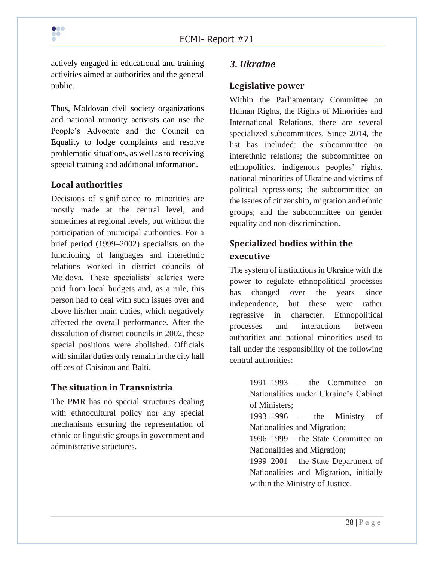

actively engaged in educational and training activities aimed at authorities and the general public.

Thus, Moldovan civil society organizations and national minority activists can use the People's Advocate and the Council on Equality to lodge complaints and resolve problematic situations, as well as to receiving special training and additional information.

#### **Local authorities**

Decisions of significance to minorities are mostly made at the central level, and sometimes at regional levels, but without the participation of municipal authorities. For a brief period (1999–2002) specialists on the functioning of languages and interethnic relations worked in district councils of Moldova. These specialists' salaries were paid from local budgets and, as a rule, this person had to deal with such issues over and above his/her main duties, which negatively affected the overall performance. After the dissolution of district councils in 2002, these special positions were abolished. Officials with similar duties only remain in the city hall offices of Chisinau and Balti.

#### **The situation in Transnistria**

The PMR has no special structures dealing with ethnocultural policy nor any special mechanisms ensuring the representation of ethnic or linguistic groups in government and administrative structures.

### *3. Ukraine*

#### **Legislative power**

Within the Parliamentary Committee on Human Rights, the Rights of Minorities and International Relations, there are several specialized subcommittees. Since 2014, the list has included: the subcommittee on interethnic relations; the subcommittee on ethnopolitics, indigenous peoples' rights, national minorities of Ukraine and victims of political repressions; the subcommittee on the issues of citizenship, migration and ethnic groups; and the subcommittee on gender equality and non-discrimination.

### **Specialized bodies within the executive**

The system of institutions in Ukraine with the power to regulate ethnopolitical processes has changed over the years since independence, but these were rather regressive in character. Ethnopolitical processes and interactions between authorities and national minorities used to fall under the responsibility of the following central authorities:

> 1991–1993 – the Committee on Nationalities under Ukraine's Cabinet of Ministers; 1993–1996 – the Ministry of Nationalities and Migration; 1996–1999 – the State Committee on Nationalities and Migration; 1999–2001 – the State Department of Nationalities and Migration, initially within the Ministry of Justice.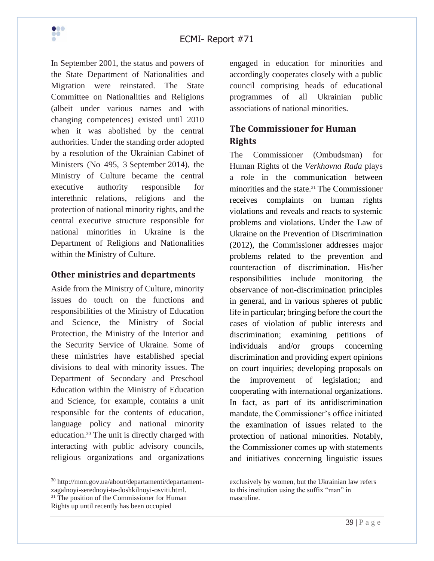

In September 2001, the status and powers of the State Department of Nationalities and Migration were reinstated. The State Committee on Nationalities and Religions (albeit under various names and with changing competences) existed until 2010 when it was abolished by the central authorities. Under the standing order adopted by a resolution of the Ukrainian Cabinet of Ministers (No 495, 3 September 2014), the Ministry of Culture became the central executive authority responsible for interethnic relations, religions and the protection of national minority rights, and the central executive structure responsible for national minorities in Ukraine is the Department of Religions and Nationalities within the Ministry of Culture.

#### **Other ministries and departments**

Aside from the Ministry of Culture, minority issues do touch on the functions and responsibilities of the Ministry of Education and Science, the Ministry of Social Protection, the Ministry of the Interior and the Security Service of Ukraine. Some of these ministries have established special divisions to deal with minority issues. The Department of Secondary and Preschool Education within the Ministry of Education and Science, for example, contains a unit responsible for the contents of education, language policy and national minority education.<sup>30</sup> The unit is directly charged with interacting with public advisory councils, religious organizations and organizations

engaged in education for minorities and accordingly cooperates closely with a public council comprising heads of educational programmes of all Ukrainian public associations of national minorities.

## **The Commissioner for Human Rights**

The Commissioner (Ombudsman) for Human Rights of the *Verkhovna Rada* plays a role in the communication between minorities and the state.<sup>31</sup> The Commissioner receives complaints on human rights violations and reveals and reacts to systemic problems and violations. Under the Law of Ukraine on the Prevention of Discrimination (2012), the Commissioner addresses major problems related to the prevention and counteraction of discrimination. His/her responsibilities include monitoring the observance of non-discrimination principles in general, and in various spheres of public life in particular; bringing before the court the cases of violation of public interests and discrimination; examining petitions of individuals and/or groups concerning discrimination and providing expert opinions on court inquiries; developing proposals on the improvement of legislation; and cooperating with international organizations. In fact, as part of its antidiscrimination mandate, the Commissioner's office initiated the examination of issues related to the protection of national minorities. Notably, the Commissioner comes up with statements and initiatives concerning linguistic issues

<sup>30</sup> http://mon.gov.ua/about/departamenti/departamentzagalnoyi-serednoyi-ta-doshkilnoyi-osviti.html. <sup>31</sup> The position of the Commissioner for Human Rights up until recently has been occupied

exclusively by women, but the Ukrainian law refers to this institution using the suffix "man" in masculine.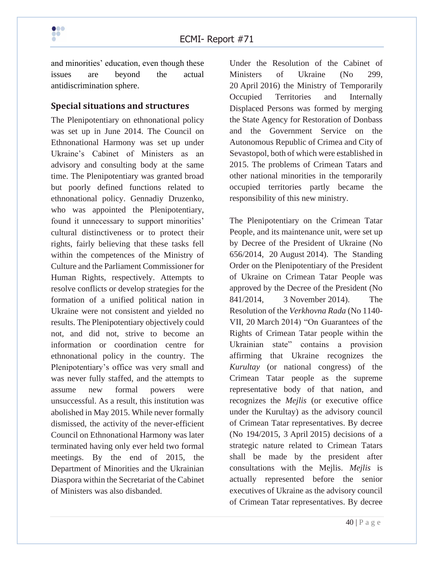



and minorities' education, even though these issues are beyond the actual antidiscrimination sphere.

#### **Special situations and structures**

The Plenipotentiary on ethnonational policy was set up in June 2014. The Council on Ethnonational Harmony was set up under Ukraine's Cabinet of Ministers as an advisory and consulting body at the same time. The Plenipotentiary was granted broad but poorly defined functions related to ethnonational policy. Gennadiy Druzenko, who was appointed the Plenipotentiary, found it unnecessary to support minorities' cultural distinctiveness or to protect their rights, fairly believing that these tasks fell within the competences of the Ministry of Culture and the Parliament Commissioner for Human Rights, respectively. Attempts to resolve conflicts or develop strategies for the formation of a unified political nation in Ukraine were not consistent and yielded no results. The Plenipotentiary objectively could not, and did not, strive to become an information or coordination centre for ethnonational policy in the country. The Plenipotentiary's office was very small and was never fully staffed, and the attempts to assume new formal powers were unsuccessful. As a result, this institution was abolished in May 2015. While never formally dismissed, the activity of the never-efficient Council on Ethnonational Harmony was later terminated having only ever held two formal meetings. By the end of 2015, the Department of Minorities and the Ukrainian Diaspora within the Secretariat of the Cabinet of Ministers was also disbanded.

Under the Resolution of the Cabinet of Ministers of Ukraine (No 299, 20 April 2016) the Ministry of Temporarily Occupied Territories and Internally Displaced Persons was formed by merging the State Agency for Restoration of Donbass and the Government Service on the Autonomous Republic of Crimea and City of Sevastopol, both of which were established in 2015. The problems of Crimean Tatars and other national minorities in the temporarily occupied territories partly became the responsibility of this new ministry.

The Plenipotentiary on the Crimean Tatar People, and its maintenance unit, were set up by Decree of the President of Ukraine (No 656/2014, 20 August 2014). The Standing Order on the Plenipotentiary of the President of Ukraine on Crimean Tatar People was approved by the Decree of the President (No 841/2014, 3 November 2014). The Resolution of the *Verkhovna Rada* (No 1140- VII, 20 March 2014) "On Guarantees of the Rights of Crimean Tatar people within the Ukrainian state" contains a provision affirming that Ukraine recognizes the *Kurultay* (or national congress) of the Crimean Tatar people as the supreme representative body of that nation, and recognizes the *Mejlis* (or executive office under the Kurultay) as the advisory council of Crimean Tatar representatives. By decree (No 194/2015, 3 April 2015) decisions of a strategic nature related to Crimean Tatars shall be made by the president after consultations with the Mejlis. *Mejlis* is actually represented before the senior executives of Ukraine as the advisory council of Crimean Tatar representatives. By decree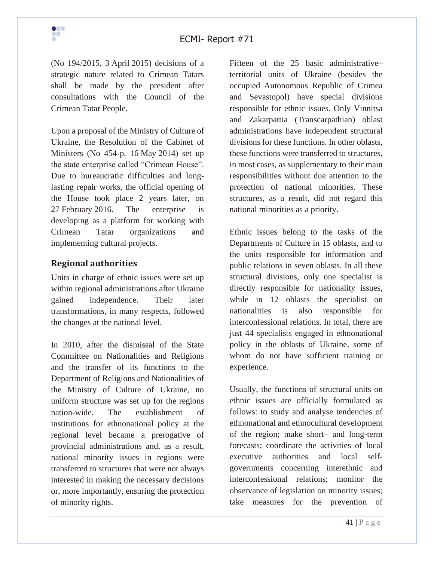(No 194/2015, 3 April 2015) decisions of a strategic nature related to Crimean Tatars shall be made by the president after consultations with the Council of the Crimean Tatar People.

Upon a proposal of the Ministry of Culture of Ukraine, the Resolution of the Cabinet of Ministers (No 454-p, 16 May 2014) set up the state enterprise called "Crimean House". Due to bureaucratic difficulties and longlasting repair works, the official opening of the House took place 2 years later, on 27 February 2016. The enterprise is developing as a platform for working with Crimean Tatar organizations and implementing cultural projects.

#### **Regional authorities**

Units in charge of ethnic issues were set up within regional administrations after Ukraine gained independence. Their later transformations, in many respects, followed the changes at the national level.

In 2010, after the dismissal of the State Committee on Nationalities and Religions and the transfer of its functions to the Department of Religions and Nationalities of the Ministry of Culture of Ukraine, no uniform structure was set up for the regions nation-wide. The establishment of institutions for ethnonational policy at the regional level became a prerogative of provincial administrations and, as a result, national minority issues in regions were transferred to structures that were not always interested in making the necessary decisions or, more importantly, ensuring the protection of minority rights.

Fifteen of the 25 basic administrative– territorial units of Ukraine (besides the occupied Autonomous Republic of Crimea and Sevastopol) have special divisions responsible for ethnic issues. Only Vinnitsa and Zakarpattia (Transcarpathian) oblast administrations have independent structural divisions for these functions. In other oblasts, these functions were transferred to structures, in most cases, as supplementary to their main responsibilities without due attention to the protection of national minorities. These structures, as a result, did not regard this national minorities as a priority.

Ethnic issues belong to the tasks of the Departments of Culture in 15 oblasts, and to the units responsible for information and public relations in seven oblasts. In all these structural divisions, only one specialist is directly responsible for nationality issues, while in 12 oblasts the specialist on nationalities is also responsible for interconfessional relations. In total, there are just 44 specialists engaged in ethnonational policy in the oblasts of Ukraine, some of whom do not have sufficient training or experience.

Usually, the functions of structural units on ethnic issues are officially formulated as follows: to study and analyse tendencies of ethnonational and ethnocultural development of the region; make short– and long-term forecasts; coordinate the activities of local executive authorities and local selfgovernments concerning interethnic and interconfessional relations; monitor the observance of legislation on minority issues; take measures for the prevention of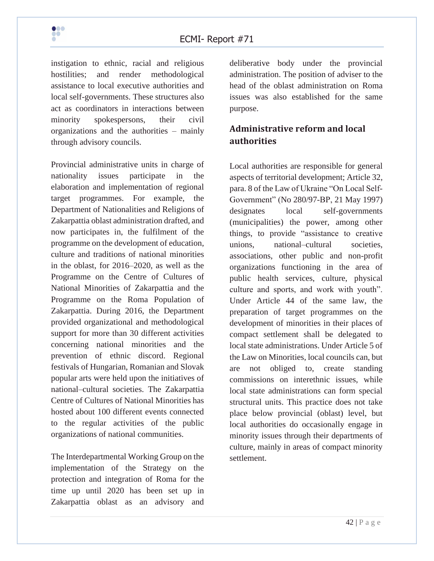

instigation to ethnic, racial and religious hostilities; and render methodological assistance to local executive authorities and local self-governments. These structures also act as coordinators in interactions between minority spokespersons, their civil organizations and the authorities – mainly through advisory councils.

Provincial administrative units in charge of nationality issues participate in the elaboration and implementation of regional target programmes. For example, the Department of Nationalities and Religions of Zakarpattia oblast administration drafted, and now participates in, the fulfilment of the programme on the development of education, culture and traditions of national minorities in the oblast, for 2016–2020, as well as the Programme on the Centre of Cultures of National Minorities of Zakarpattia and the Programme on the Roma Population of Zakarpattia. During 2016, the Department provided organizational and methodological support for more than 30 different activities concerning national minorities and the prevention of ethnic discord. Regional festivals of Hungarian, Romanian and Slovak popular arts were held upon the initiatives of national–cultural societies. The Zakarpattia Centre of Cultures of National Minorities has hosted about 100 different events connected to the regular activities of the public organizations of national communities.

The Interdepartmental Working Group on the implementation of the Strategy on the protection and integration of Roma for the time up until 2020 has been set up in Zakarpattia oblast as an advisory and deliberative body under the provincial administration. The position of adviser to the head of the oblast administration on Roma issues was also established for the same purpose.

## **Administrative reform and local authorities**

Local authorities are responsible for general aspects of territorial development; Article 32, para. 8 of the Law of Ukraine "On Local Self-Government" (No 280/97-ВР, 21 May 1997) designates local self-governments (municipalities) the power, among other things, to provide "assistance to creative unions, national–cultural societies, associations, other public and non-profit organizations functioning in the area of public health services, culture, physical culture and sports, and work with youth". Under Article 44 of the same law, the preparation of target programmes on the development of minorities in their places of compact settlement shall be delegated to local state administrations. Under Article 5 of the Law on Minorities, local councils can, but are not obliged to, create standing commissions on interethnic issues, while local state administrations can form special structural units. This practice does not take place below provincial (oblast) level, but local authorities do occasionally engage in minority issues through their departments of culture, mainly in areas of compact minority settlement.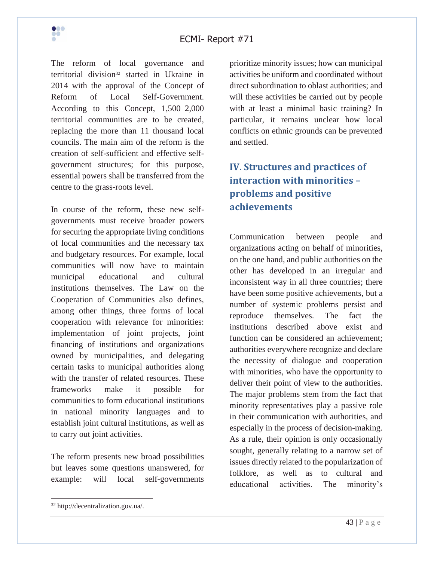

The reform of local governance and territorial division<sup>32</sup> started in Ukraine in 2014 with the approval of the Concept of Reform of Local Self-Government. According to this Concept, 1,500–2,000 territorial communities are to be created, replacing the more than 11 thousand local councils. The main aim of the reform is the creation of self-sufficient and effective selfgovernment structures; for this purpose, essential powers shall be transferred from the centre to the grass-roots level.

In course of the reform, these new selfgovernments must receive broader powers for securing the appropriate living conditions of local communities and the necessary tax and budgetary resources. For example, local communities will now have to maintain municipal educational and cultural institutions themselves. The Law on the Cooperation of Communities also defines, among other things, three forms of local cooperation with relevance for minorities: implementation of joint projects, joint financing of institutions and organizations owned by municipalities, and delegating certain tasks to municipal authorities along with the transfer of related resources. These frameworks make it possible for communities to form educational institutions in national minority languages and to establish joint cultural institutions, as well as to carry out joint activities.

The reform presents new broad possibilities but leaves some questions unanswered, for example: will local self-governments

prioritize minority issues; how can municipal activities be uniform and coordinated without direct subordination to oblast authorities; and will these activities be carried out by people with at least a minimal basic training? In particular, it remains unclear how local conflicts on ethnic grounds can be prevented and settled.

# **IV. Structures and practices of interaction with minorities – problems and positive achievements**

Communication between people and organizations acting on behalf of minorities, on the one hand, and public authorities on the other has developed in an irregular and inconsistent way in all three countries; there have been some positive achievements, but a number of systemic problems persist and reproduce themselves. The fact the institutions described above exist and function can be considered an achievement; authorities everywhere recognize and declare the necessity of dialogue and cooperation with minorities, who have the opportunity to deliver their point of view to the authorities. The major problems stem from the fact that minority representatives play a passive role in their communication with authorities, and especially in the process of decision-making. As a rule, their opinion is only occasionally sought, generally relating to a narrow set of issues directly related to the popularization of folklore, as well as to cultural and educational activities. The minority's

<sup>32</sup> http://decentralization.gov.ua/.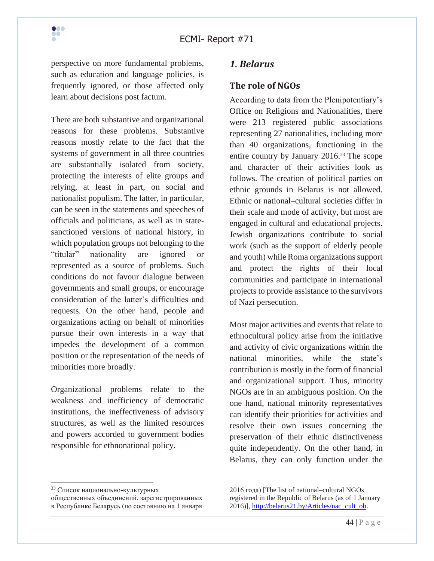perspective on more fundamental problems, such as education and language policies, is frequently ignored, or those affected only learn about decisions post factum.

There are both substantive and organizational reasons for these problems. Substantive reasons mostly relate to the fact that the systems of government in all three countries are substantially isolated from society, protecting the interests of elite groups and relying, at least in part, on social and nationalist populism. The latter, in particular, can be seen in the statements and speeches of officials and politicians, as well as in statesanctioned versions of national history, in which population groups not belonging to the "titular" nationality are ignored or represented as a source of problems. Such conditions do not favour dialogue between governments and small groups, or encourage consideration of the latter's difficulties and requests. On the other hand, people and organizations acting on behalf of minorities pursue their own interests in a way that impedes the development of a common position or the representation of the needs of minorities more broadly.

Organizational problems relate to the weakness and inefficiency of democratic institutions, the ineffectiveness of advisory structures, as well as the limited resources and powers accorded to government bodies responsible for ethnonational policy.

### *1. Belarus*

#### **The role of NGOs**

According to data from the Plenipotentiary's Office on Religions and Nationalities, there were 213 registered public associations representing 27 nationalities, including more than 40 organizations, functioning in the entire country by January 2016.<sup>33</sup> The scope and character of their activities look as follows. The creation of political parties on ethnic grounds in Belarus is not allowed. Ethnic or national–cultural societies differ in their scale and mode of activity, but most are engaged in cultural and educational projects. Jewish organizations contribute to social work (such as the support of elderly people and youth) while Roma organizations support and protect the rights of their local communities and participate in international projects to provide assistance to the survivors of Nazi persecution.

Most major activities and events that relate to ethnocultural policy arise from the initiative and activity of civic organizations within the national minorities, while the state's contribution is mostly in the form of financial and organizational support. Thus, minority NGOs are in an ambiguous position. On the one hand, national minority representatives can identify their priorities for activities and resolve their own issues concerning the preservation of their ethnic distinctiveness quite independently. On the other hand, in Belarus, they can only function under the

<sup>33</sup> Список национально-культурных

общественных объединений, зарегистрированных в Республике Беларусь (по состоянию на 1 января

<sup>2016</sup> года) [The list of national–cultural NGOs registered in the Republic of Belarus (as of 1 January 2016)][, http://belarus21.by/Articles/nac\\_cult\\_ob.](http://belarus21.by/Articles/nac_cult_ob)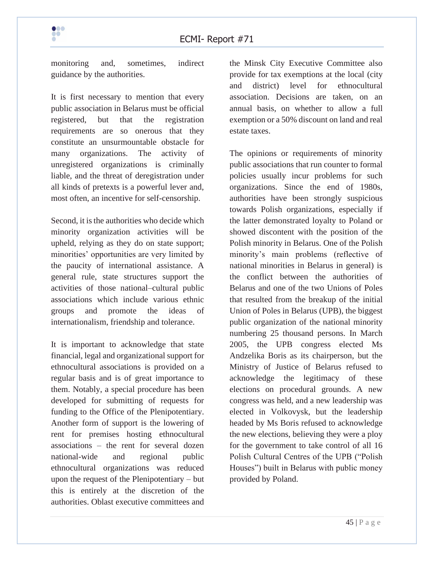

monitoring and, sometimes, indirect guidance by the authorities.

It is first necessary to mention that every public association in Belarus must be official registered, but that the registration requirements are so onerous that they constitute an unsurmountable obstacle for many organizations. The activity of unregistered organizations is criminally liable, and the threat of deregistration under all kinds of pretexts is a powerful lever and, most often, an incentive for self-censorship.

Second, it is the authorities who decide which minority organization activities will be upheld, relying as they do on state support; minorities' opportunities are very limited by the paucity of international assistance. A general rule, state structures support the activities of those national–cultural public associations which include various ethnic groups and promote the ideas of internationalism, friendship and tolerance.

It is important to acknowledge that state financial, legal and organizational support for ethnocultural associations is provided on a regular basis and is of great importance to them. Notably, a special procedure has been developed for submitting of requests for funding to the Office of the Plenipotentiary. Another form of support is the lowering of rent for premises hosting ethnocultural associations – the rent for several dozen national-wide and regional public ethnocultural organizations was reduced upon the request of the Plenipotentiary – but this is entirely at the discretion of the authorities. Oblast executive committees and

the Minsk City Executive Committee also provide for tax exemptions at the local (city and district) level for ethnocultural association. Decisions are taken, on an annual basis, on whether to allow a full exemption or a 50% discount on land and real estate taxes.

The opinions or requirements of minority public associations that run counter to formal policies usually incur problems for such organizations. Since the end of 1980s, authorities have been strongly suspicious towards Polish organizations, especially if the latter demonstrated loyalty to Poland or showed discontent with the position of the Polish minority in Belarus. One of the Polish minority's main problems (reflective of national minorities in Belarus in general) is the conflict between the authorities of Belarus and one of the two Unions of Poles that resulted from the breakup of the initial Union of Poles in Belarus (UPB), the biggest public organization of the national minority numbering 25 thousand persons. In March 2005, the UPB congress elected Ms Andzelika Boris as its chairperson, but the Ministry of Justice of Belarus refused to acknowledge the legitimacy of these elections on procedural grounds. A new congress was held, and a new leadership was elected in Volkovysk, but the leadership headed by Ms Boris refused to acknowledge the new elections, believing they were a ploy for the government to take control of all 16 Polish Cultural Centres of the UPB ("Polish Houses") built in Belarus with public money provided by Poland.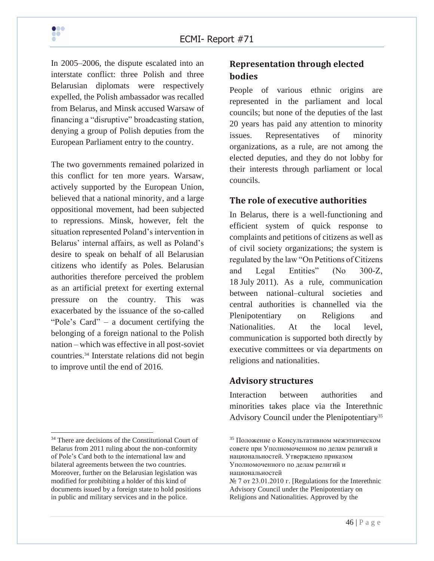In 2005–2006, the dispute escalated into an interstate conflict: three Polish and three Belarusian diplomats were respectively expelled, the Polish ambassador was recalled from Belarus, and Minsk accused Warsaw of financing a "disruptive" broadcasting station, denying a group of Polish deputies from the European Parliament entry to the country.

The two governments remained polarized in this conflict for ten more years. Warsaw, actively supported by the European Union, believed that a national minority, and a large oppositional movement, had been subjected to repressions. Minsk, however, felt the situation represented Poland's intervention in Belarus' internal affairs, as well as Poland's desire to speak on behalf of all Belarusian citizens who identify as Poles*.* Belarusian authorities therefore perceived the problem as an artificial pretext for exerting external pressure on the country. This was exacerbated by the issuance of the so-called "Pole's Card" – a document certifying the belonging of a foreign national to the Polish nation – which was effective in all post-soviet countries.<sup>34</sup> Interstate relations did not begin to improve until the end of 2016.

## **Representation through elected bodies**

People of various ethnic origins are represented in the parliament and local councils; but none of the deputies of the last 20 years has paid any attention to minority issues. Representatives of minority organizations, as a rule, are not among the elected deputies, and they do not lobby for their interests through parliament or local councils.

### **The role of executive authorities**

In Belarus, there is a well-functioning and efficient system of quick response to complaints and petitions of citizens as well as of civil society organizations; the system is regulated by the law "On Petitions of Citizens and Legal Entities" (No 300-Z, 18 July 2011). As a rule, communication between national–cultural societies and central authorities is channelled via the Plenipotentiary on Religions and Nationalities. At the local level, communication is supported both directly by executive committees or via departments on religions and nationalities.

### **Advisory structures**

Interaction between authorities and minorities takes place via the Interethnic Advisory Council under the Plenipotentiary<sup>35</sup>



<sup>34</sup> There are decisions of the Constitutional Court of Belarus from 2011 ruling about the non-conformity of Pole's Card both to the international law and bilateral agreements between the two countries. Moreover, further on the Belarusian legislation was modified for prohibiting a holder of this kind of documents issued by a foreign state to hold positions in public and military services and in the police.

<sup>35</sup> Положение о Консультативном межэтническом совете при Уполномоченном по делам религий и национальностей. Утверждено приказом Уполномоченного по делам религий и национальностей

<sup>№ 7</sup> от 23.01.2010 г. [Regulations for the Interethnic Advisory Council under the Plenipotentiary on Religions and Nationalities. Approved by the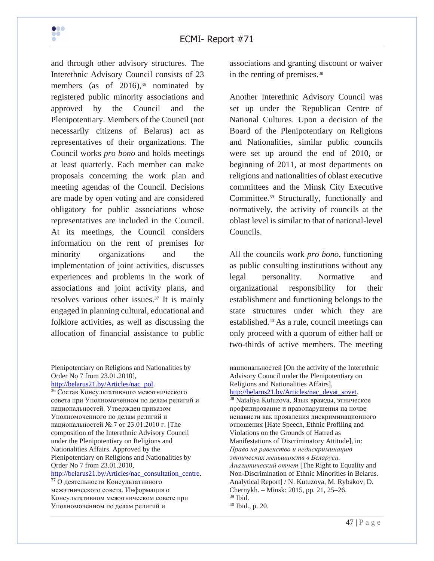

and through other advisory structures. The Interethnic Advisory Council consists of 23 members (as of  $2016$ ),<sup>36</sup> nominated by registered public minority associations and approved by the Council and the Plenipotentiary. Members of the Council (not necessarily citizens of Belarus) act as representatives of their organizations. The Council works *pro bono* and holds meetings at least quarterly. Each member can make proposals concerning the work plan and meeting agendas of the Council. Decisions are made by open voting and are considered obligatory for public associations whose representatives are included in the Council. At its meetings, the Council considers information on the rent of premises for minority organizations and the implementation of joint activities, discusses experiences and problems in the work of associations and joint activity plans, and resolves various other issues.<sup>37</sup> It is mainly engaged in planning cultural, educational and folklore activities, as well as discussing the allocation of financial assistance to public

[http://belarus21.by/Articles/nac\\_pol.](http://belarus21.by/Articles/nac_pol)

associations and granting discount or waiver in the renting of premises.<sup>38</sup>

Another Interethnic Advisory Council was set up under the Republican Centre of National Cultures. Upon a decision of the Board of the Plenipotentiary on Religions and Nationalities, similar public councils were set up around the end of 2010, or beginning of 2011, at most departments on religions and nationalities of oblast executive committees and the Minsk City Executive Committee.<sup>39</sup> Structurally, functionally and normatively, the activity of councils at the oblast level is similar to that of national-level Councils.

All the councils work *pro bono*, functioning as public consulting institutions without any legal personality. Normative and organizational responsibility for their establishment and functioning belongs to the state structures under which they are established.<sup>40</sup> As a rule, council meetings can only proceed with a quorum of either half or two-thirds of active members. The meeting

Plenipotentiary on Religions and Nationalities by Order No 7 from 23.01.2010],

<sup>36</sup> Состав Консультативного межэтнического совета при Уполномоченном по делам религий и национальностей. Утвержден приказом Уполномоченного по делам религий и национальностей № 7 от 23.01.2010 г. [The composition of the Interethnic Advisory Council under the Plenipotentiary on Religions and Nationalities Affairs. Approved by the Plenipotentiary on Religions and Nationalities by Order No 7 from 23.01.2010, [http://belarus21.by/Articles/nac\\_consultation\\_centre.](http://belarus21.by/Articles/nac_consultation_centre)

<sup>37</sup> О деятельности Консультативного межэтнического совета. Информация о Консультативном межэтническом совете при Уполномоченном по делам религий и

национальностей [On the activity of the Interethnic Advisory Council under the Plenipotentiary on Religions and Nationalities Affairs], [http://belarus21.by/Articles/nac\\_deyat\\_sovet.](http://belarus21.by/Articles/nac_deyat_sovet) <sup>38</sup> Nataliya Kutuzova, Язык вражды, этническое профилирование и правонарушения на почве ненависти как проявления дискриминационного отношения [Hate Speech, Ethnic Profiling and Violations on the Grounds of Hatred as Manifestations of Discriminatory Attitude], in: *Право на равенство и недискриминацию этнических меньшинств в Беларуси. Аналитический отчет* [The Right to Equality and Non-Discrimination of Ethnic Minorities in Belarus. Analytical Report] / N. Kutuzova, M. Rybakov, D. Chernykh. – Minsk: 2015, pp. 21, 25–26.  $39$  Ibid. <sup>40</sup> Ibid., p. 20.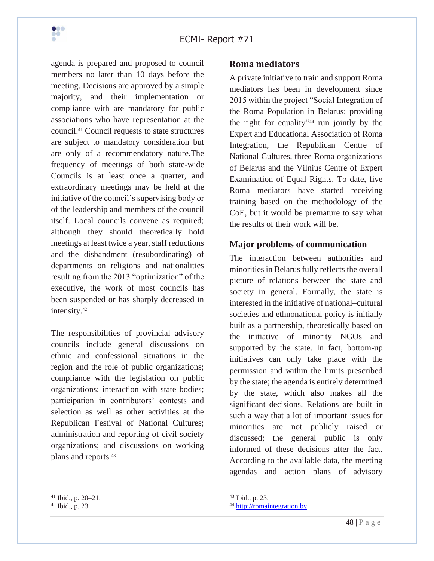

agenda is prepared and proposed to council members no later than 10 days before the meeting. Decisions are approved by a simple majority, and their implementation or compliance with are mandatory for public associations who have representation at the council.<sup>41</sup> Council requests to state structures are subject to mandatory consideration but are only of a recommendatory nature.The frequency of meetings of both state-wide Councils is at least once a quarter, and extraordinary meetings may be held at the initiative of the council's supervising body or of the leadership and members of the council itself. Local councils convene as required; although they should theoretically hold meetings at least twice a year, staff reductions and the disbandment (resubordinating) of departments on religions and nationalities resulting from the 2013 "optimization" of the executive, the work of most councils has been suspended or has sharply decreased in intensity.<sup>42</sup>

The responsibilities of provincial advisory councils include general discussions on ethnic and confessional situations in the region and the role of public organizations; compliance with the legislation on public organizations; interaction with state bodies; participation in contributors' contests and selection as well as other activities at the Republican Festival of National Cultures; administration and reporting of civil society organizations; and discussions on working plans and reports.<sup>43</sup>

### **Roma mediators**

A private initiative to train and support Roma mediators has been in development since 2015 within the project "Social Integration of the Roma Population in Belarus: providing the right for equality"<sup>44</sup> run jointly by the Expert and Educational Association of Roma Integration, the Republican Centre of National Cultures, three Roma organizations of Belarus and the Vilnius Centre of Expert Examination of Equal Rights. To date, five Roma mediators have started receiving training based on the methodology of the CoE, but it would be premature to say what the results of their work will be.

#### **Major problems of communication**

The interaction between authorities and minorities in Belarus fully reflects the overall picture of relations between the state and society in general. Formally, the state is interested in the initiative of national–cultural societies and ethnonational policy is initially built as a partnership, theoretically based on the initiative of minority NGOs and supported by the state. In fact, bottom-up initiatives can only take place with the permission and within the limits prescribed by the state; the agenda is entirely determined by the state, which also makes all the significant decisions. Relations are built in such a way that a lot of important issues for minorities are not publicly raised or discussed; the general public is only informed of these decisions after the fact. According to the available data, the meeting agendas and action plans of advisory

<sup>41</sup> Ibid., p. 20–21.

<sup>42</sup> Ibid., p. 23.

<sup>43</sup> Ibid., p. 23.

<sup>44</sup> [http://romaintegration.by.](http://romaintegration.by/)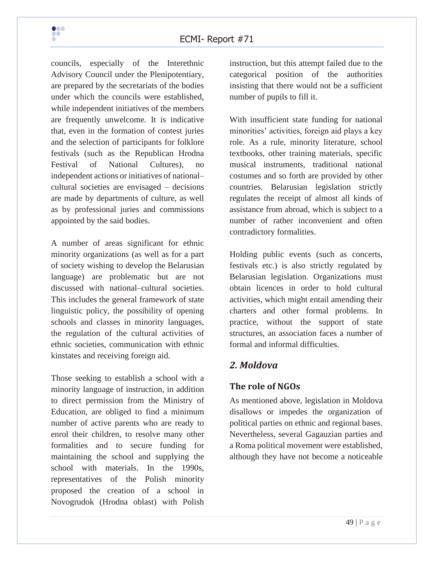

councils, especially of the Interethnic Advisory Council under the Plenipotentiary, are prepared by the secretariats of the bodies under which the councils were established, while independent initiatives of the members are frequently unwelcome. It is indicative that, even in the formation of contest juries and the selection of participants for folklore festivals (such as the Republican Hrodna Festival of National Cultures), no independent actions or initiatives of national– cultural societies are envisaged – decisions are made by departments of culture, as well as by professional juries and commissions appointed by the said bodies.

A number of areas significant for ethnic minority organizations (as well as for a part of society wishing to develop the Belarusian language) are problematic but are not discussed with national–cultural societies. This includes the general framework of state linguistic policy, the possibility of opening schools and classes in minority languages, the regulation of the cultural activities of ethnic societies, communication with ethnic kinstates and receiving foreign aid.

Those seeking to establish a school with a minority language of instruction, in addition to direct permission from the Ministry of Education, are obliged to find a minimum number of active parents who are ready to enrol their children, to resolve many other formalities and to secure funding for maintaining the school and supplying the school with materials. In the 1990s, representatives of the Polish minority proposed the creation of a school in Novogrudok (Hrodna oblast) with Polish

instruction, but this attempt failed due to the categorical position of the authorities insisting that there would not be a sufficient number of pupils to fill it.

With insufficient state funding for national minorities' activities, foreign aid plays a key role. As a rule, minority literature, school textbooks, other training materials, specific musical instruments, traditional national costumes and so forth are provided by other countries. Belarusian legislation strictly regulates the receipt of almost all kinds of assistance from abroad, which is subject to a number of rather inconvenient and often contradictory formalities.

Holding public events (such as concerts, festivals etc.) is also strictly regulated by Belarusian legislation. Organizations must obtain licences in order to hold cultural activities, which might entail amending their charters and other formal problems. In practice, without the support of state structures, an association faces a number of formal and informal difficulties.

## *2. Moldova*

### **The role of NGOs**

As mentioned above, legislation in Moldova disallows or impedes the organization of political parties on ethnic and regional bases. Nevertheless, several Gagauzian parties and a Roma political movement were established, although they have not become a noticeable

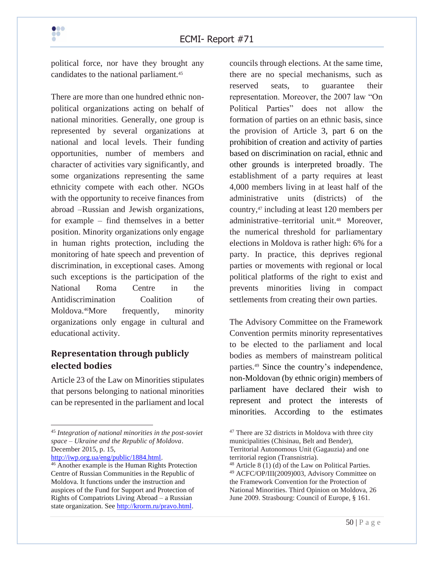political force, nor have they brought any candidates to the national parliament.<sup>45</sup>

There are more than one hundred ethnic nonpolitical organizations acting on behalf of national minorities. Generally, one group is represented by several organizations at national and local levels. Their funding opportunities, number of members and character of activities vary significantly, and some organizations representing the same ethnicity compete with each other. NGOs with the opportunity to receive finances from abroad –Russian and Jewish organizations, for example – find themselves in a better position. Minority organizations only engage in human rights protection, including the monitoring of hate speech and prevention of discrimination, in exceptional cases. Among such exceptions is the participation of the National Roma Centre in the Antidiscrimination Coalition of Moldova.<sup>46</sup>More frequently, minority organizations only engage in cultural and educational activity.

## **Representation through publicly elected bodies**

Article 23 of the Law on Minorities stipulates that persons belonging to national minorities can be represented in the parliament and local

[http://iwp.org.ua/eng/public/1884.html.](http://iwp.org.ua/eng/public/1884.html)

councils through elections. At the same time, there are no special mechanisms, such as reserved seats, to guarantee their representation. Moreover, the 2007 law "On Political Parties" does not allow the formation of parties on an ethnic basis, since the provision of Article 3, part 6 on the prohibition of creation and activity of parties based on discrimination on racial, ethnic and other grounds is interpreted broadly. The establishment of a party requires at least 4,000 members living in at least half of the administrative units (districts) of the country,<sup>47</sup> including at least 120 members per administrative–territorial unit.<sup>48</sup> Moreover, the numerical threshold for parliamentary elections in Moldova is rather high: 6% for a party. In practice, this deprives regional parties or movements with regional or local political platforms of the right to exist and prevents minorities living in compact settlements from creating their own parties.

The Advisory Committee on the Framework Convention permits minority representatives to be elected to the parliament and local bodies as members of mainstream political parties.<sup>49</sup> Since the country's independence, non-Moldovan (by ethnic origin) members of parliament have declared their wish to represent and protect the interests of minorities. According to the estimates

<sup>45</sup> *Integration of national minorities in the post-soviet space – Ukraine and the Republic of Moldova*. December 2015, p. 15,

<sup>46</sup> Another example is the Human Rights Protection Centre of Russian Communities in the Republic of Moldova. It functions under the instruction and auspices of the Fund for Support and Protection of Rights of Compatriots Living Abroad – a Russian state organization. Se[e http://krorm.ru/pravo.html.](http://krorm.ru/pravo.html) 

 $47$  There are 32 districts in Moldova with three city municipalities (Chisinau, Belt and Bender), Territorial Autonomous Unit (Gagauzia) and one territorial region (Transnistria).

 $48$  Article  $8(1)(d)$  of the Law on Political Parties. <sup>49</sup> ACFC/OP/III(2009)003, Advisory Committee on the Framework Convention for the Protection of National Minorities. Third Opinion on Moldova, 26 June 2009. Strasbourg: Council of Europe, § 161.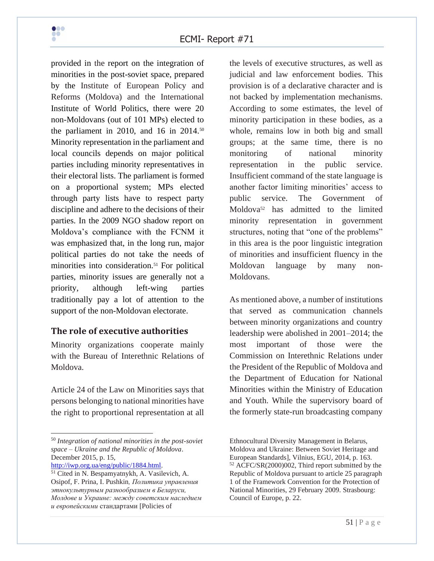

provided in the report on the integration of minorities in the post-soviet space, prepared by the Institute of European Policy and Reforms (Moldova) and the International Institute of World Politics, there were 20 non-Moldovans (out of 101 MPs) elected to the parliament in 2010, and 16 in  $2014.^{50}$ Minority representation in the parliament and local councils depends on major political parties including minority representatives in their electoral lists. The parliament is formed on a proportional system; MPs elected through party lists have to respect party discipline and adhere to the decisions of their parties. In the 2009 NGO shadow report on Moldova's compliance with the FCNM it was emphasized that, in the long run, major political parties do not take the needs of minorities into consideration.<sup>51</sup> For political parties, minority issues are generally not a priority, although left-wing parties traditionally pay a lot of attention to the support of the non-Moldovan electorate.

### **The role of executive authorities**

Minority organizations cooperate mainly with the Bureau of Interethnic Relations of Moldova.

Article 24 of the Law on Minorities says that persons belonging to national minorities have the right to proportional representation at all

[http://iwp.org.ua/eng/public/1884.html.](http://iwp.org.ua/eng/public/1884.html)

the levels of executive structures, as well as judicial and law enforcement bodies. This provision is of a declarative character and is not backed by implementation mechanisms. According to some estimates, the level of minority participation in these bodies, as a whole, remains low in both big and small groups; at the same time, there is no monitoring of national minority representation in the public service. Insufficient command of the state language is another factor limiting minorities' access to public service. The Government of Moldova<sup>52</sup> has admitted to the limited minority representation in government structures, noting that "one of the problems" in this area is the poor linguistic integration of minorities and insufficient fluency in the Moldovan language by many non-Moldovans.

As mentioned above, a number of institutions that served as communication channels between minority organizations and country leadership were abolished in 2001–2014; the most important of those were the Commission on Interethnic Relations under the President of the Republic of Moldova and the Department of Education for National Minorities within the Ministry of Education and Youth. While the supervisory board of the formerly state-run broadcasting company

<sup>50</sup> *Integration of national minorities in the post-soviet space – Ukraine and the Republic of Moldova*. December 2015, p. 15,

<sup>51</sup> Cited in N. Bespamyatnykh, A. Vasilevich, A. Osipof, F. Prina, I. Pushkin*, Политика управления этнокультурным разнообразием в Беларуси, Молдове и Украине: между советским наследием и европейскими* стандартами [Policies of

Ethnocultural Diversity Management in Belarus, Moldova and Ukraine: Between Soviet Heritage and European Standards], Vilnius, EGU, 2014, p. 163. <sup>52</sup> ACFC/SR(2000)002, Third report submitted by the Republic of Moldova pursuant to article 25 paragraph 1 of the Framework Convention for the Protection of National Minorities, 29 February 2009. Strasbourg: Council of Europe, p. 22.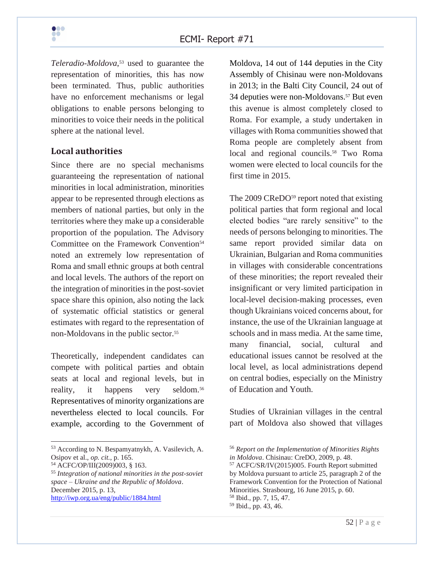

*Teleradio-Moldova*, <sup>53</sup> used to guarantee the representation of minorities, this has now been terminated. Thus, public authorities have no enforcement mechanisms or legal obligations to enable persons belonging to minorities to voice their needs in the political sphere at the national level.

#### **Local authorities**

Since there are no special mechanisms guaranteeing the representation of national minorities in local administration, minorities appear to be represented through elections as members of national parties, but only in the territories where they make up a considerable proportion of the population. The Advisory Committee on the Framework Convention<sup>54</sup> noted an extremely low representation of Roma and small ethnic groups at both central and local levels. The authors of the report on the integration of minorities in the post-soviet space share this opinion, also noting the lack of systematic official statistics or general estimates with regard to the representation of non-Moldovans in the public sector.<sup>55</sup>

Theoretically, independent candidates can compete with political parties and obtain seats at local and regional levels, but in reality, it happens very seldom.<sup>56</sup> Representatives of minority organizations are nevertheless elected to local councils. For example, according to the Government of Moldova, 14 out of 144 deputies in the City Assembly of Chisinau were non-Moldovans in 2013; in the Balti City Council, 24 out of 34 deputies were non-Moldovans.<sup>57</sup> But even this avenue is almost completely closed to Roma. For example, a study undertaken in villages with Roma communities showed that Roma people are completely absent from local and regional councils.<sup>58</sup> Two Roma women were elected to local councils for the first time in 2015.

The 2009 CReDO<sup>59</sup> report noted that existing political parties that form regional and local elected bodies "are rarely sensitive" to the needs of persons belonging to minorities. The same report provided similar data on Ukrainian, Bulgarian and Roma communities in villages with considerable concentrations of these minorities; the report revealed their insignificant or very limited participation in local-level decision-making processes, even though Ukrainians voiced concerns about, for instance, the use of the Ukrainian language at schools and in mass media. At the same time, many financial, social, cultural and educational issues cannot be resolved at the local level, as local administrations depend on central bodies, especially on the Ministry of Education and Youth.

Studies of Ukrainian villages in the central part of Moldova also showed that villages

<sup>53</sup> According to N. Bespamyatnykh, A. Vasilevich, A. Osipov et al., *op. cit.*, p. 165.

<sup>54</sup> ACFC/OP/III(2009)003, § 163.

<sup>55</sup> *Integration of national minorities in the post-soviet space – Ukraine and the Republic of Moldova*. December 2015, p. 13, <http://iwp.org.ua/eng/public/1884.html>

<sup>56</sup> *Report on the Implementation of Minorities Rights in Moldova*. Chisinau: CreDO, 2009, p. 48.

<sup>57</sup> ACFC/SR/IV(2015)005. Fourth Report submitted by Moldova pursuant to article 25, paragraph 2 of the Framework Convention for the Protection of National Minorities. Strasbourg, 16 June 2015, p. 60.

<sup>58</sup> Ibid., pp. 7, 15, 47. <sup>59</sup> Ibid., pp. 43, 46.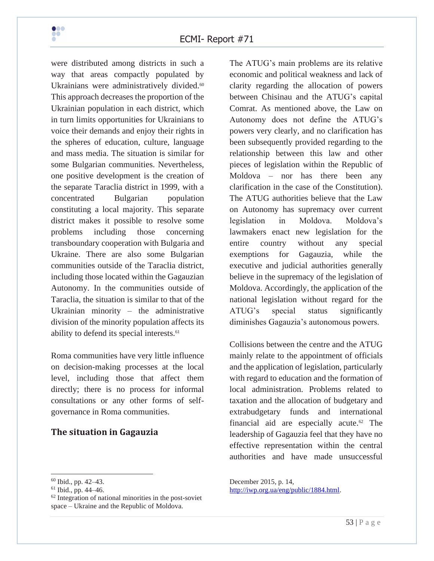

were distributed among districts in such a way that areas compactly populated by Ukrainians were administratively divided.<sup>60</sup> This approach decreases the proportion of the Ukrainian population in each district, which in turn limits opportunities for Ukrainians to voice their demands and enjoy their rights in the spheres of education, culture, language and mass media. The situation is similar for some Bulgarian communities. Nevertheless, one positive development is the creation of the separate Taraclia district in 1999, with a concentrated Bulgarian population constituting a local majority. This separate district makes it possible to resolve some problems including those concerning transboundary cooperation with Bulgaria and Ukraine. There are also some Bulgarian communities outside of the Taraclia district, including those located within the Gagauzian Autonomy. In the communities outside of Taraclia, the situation is similar to that of the Ukrainian minority – the administrative division of the minority population affects its ability to defend its special interests.<sup>61</sup>

Roma communities have very little influence on decision-making processes at the local level, including those that affect them directly; there is no process for informal consultations or any other forms of selfgovernance in Roma communities.

#### **The situation in Gagauzia**

The ATUG's main problems are its relative economic and political weakness and lack of clarity regarding the allocation of powers between Chisinau and the ATUG's capital Comrat. As mentioned above, the Law on Autonomy does not define the ATUG's powers very clearly, and no clarification has been subsequently provided regarding to the relationship between this law and other pieces of legislation within the Republic of Moldova – nor has there been any clarification in the case of the Constitution). The ATUG authorities believe that the Law on Autonomy has supremacy over current legislation in Moldova. Moldova's lawmakers enact new legislation for the entire country without any special exemptions for Gagauzia, while the executive and judicial authorities generally believe in the supremacy of the legislation of Moldova. Accordingly, the application of the national legislation without regard for the ATUG's special status significantly diminishes Gagauzia's autonomous powers.

Collisions between the centre and the ATUG mainly relate to the appointment of officials and the application of legislation, particularly with regard to education and the formation of local administration. Problems related to taxation and the allocation of budgetary and extrabudgetary funds and international financial aid are especially acute. $62$  The leadership of Gagauzia feel that they have no effective representation within the central authorities and have made unsuccessful

 $60$  Ibid., pp. 42–43.

<sup>61</sup> Ibid., pp. 44–46.

<sup>62</sup> Integration of national minorities in the post-soviet space – Ukraine and the Republic of Moldova.

December 2015, p. 14, [http://iwp.org.ua/eng/public/1884.html.](http://iwp.org.ua/eng/public/1884.html)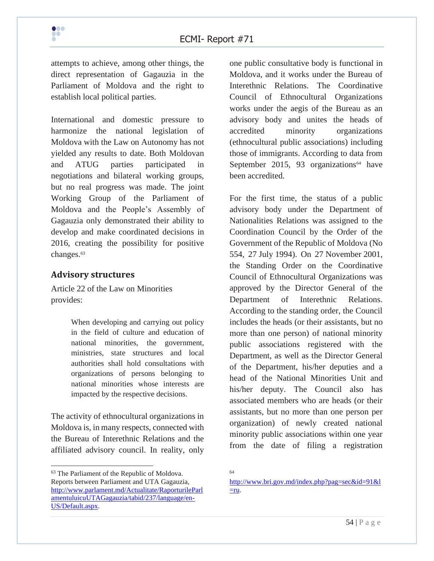attempts to achieve, among other things, the direct representation of Gagauzia in the Parliament of Moldova and the right to establish local political parties.

International and domestic pressure to harmonize the national legislation of Moldova with the Law on Autonomy has not yielded any results to date. Both Moldovan and ATUG parties participated in negotiations and bilateral working groups, but no real progress was made. The joint Working Group of the Parliament of Moldova and the People's Assembly of Gagauzia only demonstrated their ability to develop and make coordinated decisions in 2016, creating the possibility for positive changes.<sup>63</sup>

#### **Advisory structures**

Article 22 of the Law on Minorities provides:

> When developing and carrying out policy in the field of culture and education of national minorities, the government, ministries, state structures and local authorities shall hold consultations with organizations of persons belonging to national minorities whose interests are impacted by the respective decisions.

The activity of ethnocultural organizations in Moldova is, in many respects, connected with the Bureau of Interethnic Relations and the affiliated advisory council. In reality, only

one public consultative body is functional in Moldova, and it works under the Bureau of Interethnic Relations. The Coordinative Council of Ethnocultural Organizations works under the aegis of the Bureau as an advisory body and unites the heads of accredited minority organizations (ethnocultural public associations) including those of immigrants. According to data from September 2015, 93 organizations $64$  have been accredited.

For the first time, the status of a public advisory body under the Department of Nationalities Relations was assigned to the Coordination Council by the Order of the Government of the Republic of Moldova (No 554, 27 July 1994). On 27 November 2001, the Standing Order on the Coordinative Council of Ethnocultural Organizations was approved by the Director General of the Department of Interethnic Relations. According to the standing order, the Council includes the heads (or their assistants, but no more than one person) of national minority public associations registered with the Department, as well as the Director General of the Department, his/her deputies and a head of the National Minorities Unit and his/her deputy. The Council also has associated members who are heads (or their assistants, but no more than one person per organization) of newly created national minority public associations within one year from the date of filing a registration

<sup>63</sup> The Parliament of the Republic of Moldova. Reports between Parliament and UTA Gagauzia, [http://www.parlament.md/Actualitate/RaporturileParl](http://www.parlament.md/Actualitate/RaporturileParlamentuluicuUTAGagauzia/tabid/237/language/en-US/Default.aspx) [amentuluicuUTAGagauzia/tabid/237/language/en-](http://www.parlament.md/Actualitate/RaporturileParlamentuluicuUTAGagauzia/tabid/237/language/en-US/Default.aspx)[US/Default.aspx.](http://www.parlament.md/Actualitate/RaporturileParlamentuluicuUTAGagauzia/tabid/237/language/en-US/Default.aspx)

<sup>64</sup>

[http://www.bri.gov.md/index.php?pag=sec&id=91&l](http://www.bri.gov.md/index.php?pag=sec&id=91&l=ru)  $=$ ru.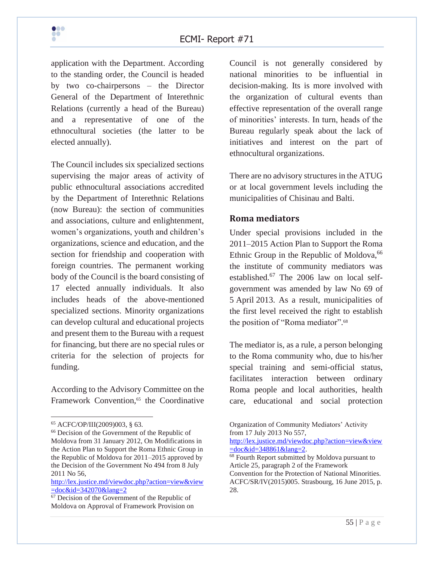

application with the Department. According to the standing order, the Council is headed by two co-chairpersons – the Director General of the Department of Interethnic Relations (currently a head of the Bureau) and a representative of one of the ethnocultural societies (the latter to be elected annually).

The Council includes six specialized sections supervising the major areas of activity of public ethnocultural associations accredited by the Department of Interethnic Relations (now Bureau): the section of communities and associations, culture and enlightenment, women's organizations, youth and children's organizations, science and education, and the section for friendship and cooperation with foreign countries. The permanent working body of the Council is the board consisting of 17 elected annually individuals. It also includes heads of the above-mentioned specialized sections. Minority organizations can develop cultural and educational projects and present them to the Bureau with a request for financing, but there are no special rules or criteria for the selection of projects for funding.

According to the Advisory Committee on the Framework Convention,<sup>65</sup> the Coordinative

Council is not generally considered by national minorities to be influential in decision-making. Its is more involved with the organization of cultural events than effective representation of the overall range of minorities' interests. In turn, heads of the Bureau regularly speak about the lack of initiatives and interest on the part of ethnocultural organizations.

There are no advisory structures in the ATUG or at local government levels including the municipalities of Chisinau and Balti.

#### **Roma mediators**

Under special provisions included in the 2011–2015 Action Plan to Support the Roma Ethnic Group in the Republic of Moldova,  $66$ the institute of community mediators was established.<sup>67</sup> The 2006 law on local selfgovernment was amended by law No 69 of 5 April 2013. As a result, municipalities of the first level received the right to establish the position of "Roma mediator". 68

The mediator is, as a rule, a person belonging to the Roma community who, due to his/her special training and semi-official status, facilitates interaction between ordinary Roma people and local authorities, health care, educational and social protection

 $=\frac{d\alpha \& \text{id}=348861 \& \text{lang}=2.}$ 

<sup>65</sup> ACFC/OP/III(2009)003, § 63.

<sup>66</sup> Decision of the Government of the Republic of Moldova from 31 January 2012, On Modifications in the Action Plan to Support the Roma Ethnic Group in the Republic of Moldova for 2011–2015 approved by the Decision of the Government No 494 from 8 July 2011 No 56,

[http://lex.justice.md/viewdoc.php?action=view&view](http://lex.justice.md/viewdoc.php?action=view&view=doc&id=342070&lang=2)  $=$ doc&id=342070&lang=2

 $67$  Decision of the Government of the Republic of Moldova on Approval of Framework Provision on

Organization of Community Mediators' Activity from 17 July 2013 No 557, [http://lex.justice.md/viewdoc.php?action=view&view](http://lex.justice.md/viewdoc.php?action=view&view=doc&id=348861&lang=2)

<sup>&</sup>lt;sup>68</sup> Fourth Report submitted by Moldova pursuant to Article 25, paragraph 2 of the Framework Convention for the Protection of National Minorities. ACFC/SR/IV(2015)005. Strasbourg, 16 June 2015, p. 28.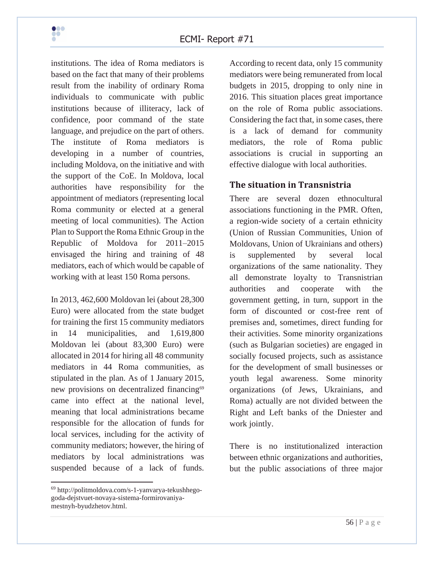institutions. The idea of Roma mediators is based on the fact that many of their problems result from the inability of ordinary Roma individuals to communicate with public institutions because of illiteracy, lack of confidence, poor command of the state language, and prejudice on the part of others. The institute of Roma mediators is developing in a number of countries, including Moldova, on the initiative and with the support of the CoE. In Moldova, local authorities have responsibility for the appointment of mediators (representing local Roma community or elected at a general meeting of local communities). The Action Plan to Support the Roma Ethnic Group in the Republic of Moldova for 2011–2015 envisaged the hiring and training of 48 mediators, each of which would be capable of working with at least 150 Roma persons.

In 2013, 462,600 Moldovan lei (about 28,300 Euro) were allocated from the state budget for training the first 15 community mediators in 14 municipalities, and 1,619,800 Moldovan lei (about 83,300 Euro) were allocated in 2014 for hiring all 48 community mediators in 44 Roma communities, as stipulated in the plan. As of 1 January 2015, new provisions on decentralized financing<sup>69</sup> came into effect at the national level, meaning that local administrations became responsible for the allocation of funds for local services, including for the activity of community mediators; however, the hiring of mediators by local administrations was suspended because of a lack of funds.

According to recent data, only 15 community mediators were being remunerated from local budgets in 2015, dropping to only nine in 2016. This situation places great importance on the role of Roma public associations. Considering the fact that, in some cases, there is a lack of demand for community mediators, the role of Roma public associations is crucial in supporting an effective dialogue with local authorities.

## **The situation in Transnistria**

There are several dozen ethnocultural associations functioning in the PMR. Often, a region-wide society of a certain ethnicity (Union of Russian Communities, Union of Moldovans, Union of Ukrainians and others) is supplemented by several local organizations of the same nationality. They all demonstrate loyalty to Transnistrian authorities and cooperate with the government getting, in turn, support in the form of discounted or cost-free rent of premises and, sometimes, direct funding for their activities. Some minority organizations (such as Bulgarian societies) are engaged in socially focused projects, such as assistance for the development of small businesses or youth legal awareness. Some minority organizations (of Jews, Ukrainians, and Roma) actually are not divided between the Right and Left banks of the Dniester and work jointly.

There is no institutionalized interaction between ethnic organizations and authorities, but the public associations of three major

<sup>69</sup> http://politmoldova.com/s-1-yanvarya-tekushhegogoda-dejstvuet-novaya-sistema-formirovaniyamestnyh-byudzhetov.html.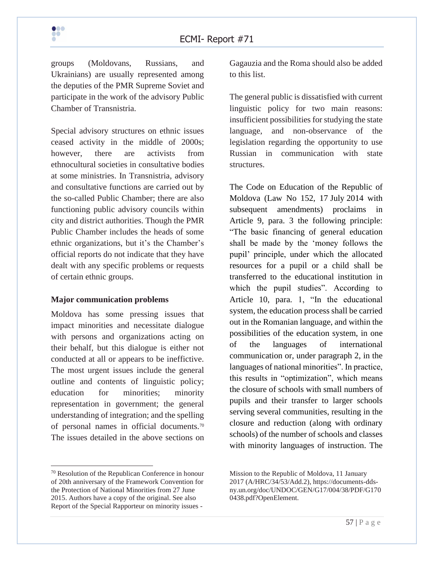groups (Moldovans, Russians, and Ukrainians) are usually represented among the deputies of the PMR Supreme Soviet and participate in the work of the advisory Public Chamber of Transnistria.

Special advisory structures on ethnic issues ceased activity in the middle of 2000s; however, there are activists from ethnocultural societies in consultative bodies at some ministries. In Transnistria, advisory and consultative functions are carried out by the so-called Public Chamber; there are also functioning public advisory councils within city and district authorities. Though the PMR Public Chamber includes the heads of some ethnic organizations, but it's the Chamber's official reports do not indicate that they have dealt with any specific problems or requests of certain ethnic groups.

#### **Major communication problems**

Moldova has some pressing issues that impact minorities and necessitate dialogue with persons and organizations acting on their behalf, but this dialogue is either not conducted at all or appears to be ineffictive. The most urgent issues include the general outline and contents of linguistic policy; education for minorities; minority representation in government; the general understanding of integration; and the spelling of personal names in official documents.<sup>70</sup> The issues detailed in the above sections on

<sup>70</sup> Resolution of the Republican Conference in honour of 20th anniversary of the Framework Convention for the Protection of National Minorities from 27 June 2015. Authors have a copy of the original. See also Report of the Special Rapporteur on minority issues -

Gagauzia and the Roma should also be added to this list.

The general public is dissatisfied with current linguistic policy for two main reasons: insufficient possibilities for studying the state language, and non-observance of the legislation regarding the opportunity to use Russian in communication with state structures.

The Code on Education of the Republic of Moldova (Law No 152, 17 July 2014 with subsequent amendments) proclaims in Article 9, para. 3 the following principle: "The basic financing of general education shall be made by the 'money follows the pupil' principle, under which the allocated resources for a pupil or a child shall be transferred to the educational institution in which the pupil studies". According to Article 10, para. 1, "In the educational system, the education process shall be carried out in the Romanian language, and within the possibilities of the education system, in one of the languages of international communication or, under paragraph 2, in the languages of national minorities". In practice, this results in "optimization", which means the closure of schools with small numbers of pupils and their transfer to larger schools serving several communities, resulting in the closure and reduction (along with ordinary schools) of the number of schools and classes with minority languages of instruction. The



Mission to the Republic of Moldova, 11 January 2017 (A/HRC/34/53/Add.2), https://documents-ddsny.un.org/doc/UNDOC/GEN/G17/004/38/PDF/G170 0438.pdf?OpenElement.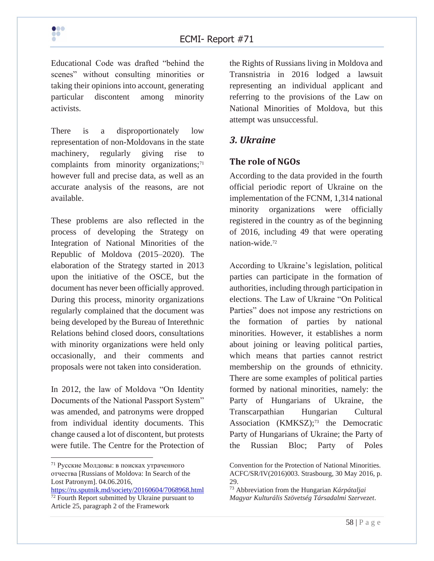Educational Code was drafted "behind the scenes" without consulting minorities or taking their opinions into account, generating particular discontent among minority activists.

There is a disproportionately low representation of non-Moldovans in the state machinery, regularly giving rise to complaints from minority organizations; $71$ however full and precise data, as well as an accurate analysis of the reasons, are not available.

These problems are also reflected in the process of developing the Strategy on Integration of National Minorities of the Republic of Moldova (2015–2020). The elaboration of the Strategy started in 2013 upon the initiative of the OSCE, but the document has never been officially approved. During this process, minority organizations regularly complained that the document was being developed by the Bureau of Interethnic Relations behind closed doors, consultations with minority organizations were held only occasionally, and their comments and proposals were not taken into consideration.

In 2012, the law of Moldova "On Identity Documents of the National Passport System" was amended, and patronyms were dropped from individual identity documents. This change caused a lot of discontent, but protests were futile. The Centre for the Protection of

the Rights of Russians living in Moldova and Transnistria in 2016 lodged a lawsuit representing an individual applicant and referring to the provisions of the Law on National Minorities of Moldova, but this attempt was unsuccessful.

### *3. Ukraine*

#### **The role of NGOs**

According to the data provided in the fourth official periodic report of Ukraine on the implementation of the FCNM, 1,314 national minority organizations were officially registered in the country as of the beginning of 2016, including 49 that were operating nation-wide.<sup>72</sup>

According to Ukraine's legislation, political parties can participate in the formation of authorities, including through participation in elections. The Law of Ukraine "On Political Parties" does not impose any restrictions on the formation of parties by national minorities. However, it establishes a norm about joining or leaving political parties, which means that parties cannot restrict membership on the grounds of ethnicity. There are some examples of political parties formed by national minorities, namely: the Party of Hungarians of Ukraine, the Transcarpathian Hungarian Cultural Association (KMKSZ);<sup>73</sup> the Democratic Party of Hungarians of Ukraine; the Party of the Russian Bloc; Party of Poles

<sup>71</sup> Русские Молдовы: в поисках утраченного отчества [Russians of Moldova: In Search of the Lost Patronym]. 04.06.2016,

<https://ru.sputnik.md/society/20160604/7068968.html>  $72$  Fourth Report submitted by Ukraine pursuant to Article 25, paragraph 2 of the Framework

Convention for the Protection of National Minorities. ACFC/SR/IV(2016)003. Strasbourg, 30 May 2016, p. 29.

<sup>73</sup> Abbreviation from the Hungarian *Kárpátaljai Magyar Kulturális Szövetség Társadalmi Szervezet*.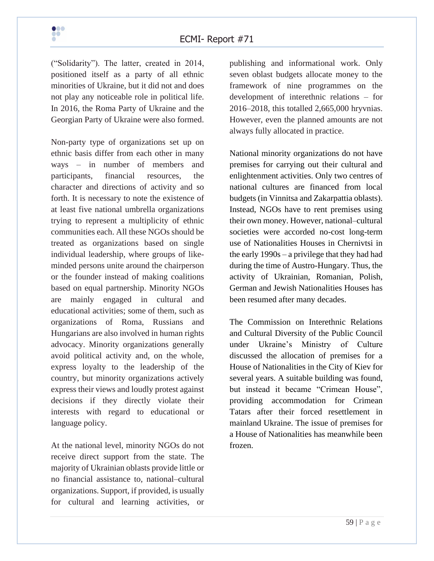("Solidarity"). The latter, created in 2014, positioned itself as a party of all ethnic minorities of Ukraine, but it did not and does not play any noticeable role in political life. In 2016, the Roma Party of Ukraine and the Georgian Party of Ukraine were also formed.

Non-party type of organizations set up on ethnic basis differ from each other in many ways – in number of members and participants, financial resources, the character and directions of activity and so forth. It is necessary to note the existence of at least five national umbrella organizations trying to represent a multiplicity of ethnic communities each. All these NGOs should be treated as organizations based on single individual leadership, where groups of likeminded persons unite around the chairperson or the founder instead of making coalitions based on equal partnership. Minority NGOs are mainly engaged in cultural and educational activities; some of them, such as organizations of Roma, Russians and Hungarians are also involved in human rights advocacy. Minority organizations generally avoid political activity and, on the whole, express loyalty to the leadership of the country, but minority organizations actively express their views and loudly protest against decisions if they directly violate their interests with regard to educational or language policy.

At the national level, minority NGOs do not receive direct support from the state. The majority of Ukrainian oblasts provide little or no financial assistance to, national–cultural organizations. Support, if provided, is usually for cultural and learning activities, or

publishing and informational work. Only seven oblast budgets allocate money to the framework of nine programmes on the development of interethnic relations – for 2016–2018, this totalled 2,665,000 hryvnias. However, even the planned amounts are not always fully allocated in practice.

National minority organizations do not have premises for carrying out their cultural and enlightenment activities. Only two centres of national cultures are financed from local budgets (in Vinnitsa and Zakarpattia oblasts). Instead, NGOs have to rent premises using their own money. However, national–cultural societies were accorded no-cost long-term use of Nationalities Houses in Chernivtsi in the early 1990s – a privilege that they had had during the time of Austro-Hungary. Thus, the activity of Ukrainian, Romanian, Polish, German and Jewish Nationalities Houses has been resumed after many decades.

The Commission on Interethnic Relations and Cultural Diversity of the Public Council under Ukraine's Ministry of Culture discussed the allocation of premises for a House of Nationalities in the City of Kiev for several years. A suitable building was found, but instead it became "Crimean House", providing accommodation for Crimean Tatars after their forced resettlement in mainland Ukraine. The issue of premises for a House of Nationalities has meanwhile been frozen.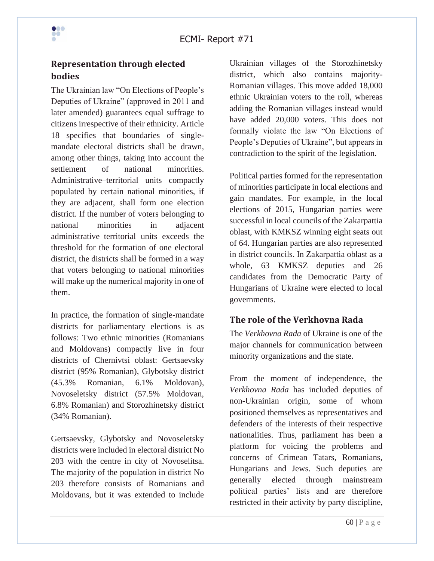## **Representation through elected bodies**

The Ukrainian law "On Elections of People's Deputies of Ukraine" (approved in 2011 and later amended) guarantees equal suffrage to citizens irrespective of their ethnicity. Article 18 specifies that boundaries of singlemandate electoral districts shall be drawn, among other things, taking into account the settlement of national minorities. Administrative–territorial units compactly populated by certain national minorities, if they are adjacent, shall form one election district. If the number of voters belonging to national minorities in adjacent administrative–territorial units exceeds the threshold for the formation of one electoral district, the districts shall be formed in a way that voters belonging to national minorities will make up the numerical majority in one of them.

In practice, the formation of single-mandate districts for parliamentary elections is as follows: Two ethnic minorities (Romanians and Moldovans) compactly live in four districts of Chernivtsi oblast: Gertsaevsky district (95% Romanian), Glybotsky district (45.3% Romanian, 6.1% Moldovan), Novoseletsky district (57.5% Moldovan, 6.8% Romanian) and Storozhinetsky district (34% Romanian).

Gertsaevsky, Glybotsky and Novoseletsky districts were included in electoral district No 203 with the centre in city of Novoselitsa. The majority of the population in district No 203 therefore consists of Romanians and Moldovans, but it was extended to include

Ukrainian villages of the Storozhinetsky district, which also contains majority-Romanian villages. This move added 18,000 ethnic Ukrainian voters to the roll, whereas adding the Romanian villages instead would have added 20,000 voters. This does not formally violate the law "On Elections of People's Deputies of Ukraine", but appears in contradiction to the spirit of the legislation.

Political parties formed for the representation of minorities participate in local elections and gain mandates. For example, in the local elections of 2015, Hungarian parties were successful in local councils of the Zakarpattia oblast, with KMKSZ winning eight seats out of 64. Hungarian parties are also represented in district councils. In Zakarpattia oblast as a whole, 63 KMKSZ deputies and 26 candidates from the Democratic Party of Hungarians of Ukraine were elected to local governments.

### **The role of the Verkhovna Rada**

The *Verkhovna Rada* of Ukraine is one of the major channels for communication between minority organizations and the state.

From the moment of independence, the *Verkhovna Rada* has included deputies of non-Ukrainian origin, some of whom positioned themselves as representatives and defenders of the interests of their respective nationalities. Thus, parliament has been a platform for voicing the problems and concerns of Crimean Tatars, Romanians, Hungarians and Jews. Such deputies are generally elected through mainstream political parties' lists and are therefore restricted in their activity by party discipline,

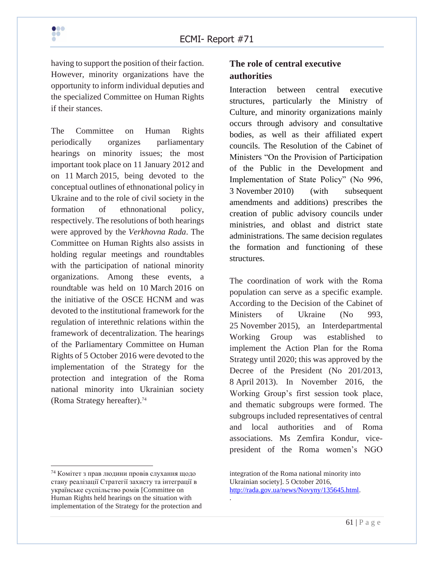having to support the position of their faction. However, minority organizations have the opportunity to inform individual deputies and the specialized Committee on Human Rights if their stances.

The Committee on Human Rights periodically organizes parliamentary hearings on minority issues; the most important took place on 11 January 2012 and on 11 March 2015, being devoted to the conceptual outlines of ethnonational policy in Ukraine and to the role of civil society in the formation of ethnonational policy, respectively. The resolutions of both hearings were approved by the *Verkhovna Rada*. The Committee on Human Rights also assists in holding regular meetings and roundtables with the participation of national minority organizations. Among these events, a roundtable was held on 10 March 2016 on the initiative of the OSCE HCNM and was devoted to the institutional framework for the regulation of interethnic relations within the framework of decentralization. The hearings of the Parliamentary Committee on Human Rights of 5 October 2016 were devoted to the implementation of the Strategy for the protection and integration of the Roma national minority into Ukrainian society (Roma Strategy hereafter).<sup>74</sup>

## **The role of central executive authorities**

Interaction between central executive structures, particularly the Ministry of Culture, and minority organizations mainly occurs through advisory and consultative bodies, as well as their affiliated expert councils. The Resolution of the Cabinet of Ministers "On the Provision of Participation of the Public in the Development and Implementation of State Policy" (No 996, 3 November 2010) (with subsequent amendments and additions) prescribes the creation of public advisory councils under ministries, and oblast and district state administrations. The same decision regulates the formation and functioning of these structures.

The coordination of work with the Roma population can serve as a specific example. According to the Decision of the Cabinet of Ministers of Ukraine (No 993, 25 November 2015), an Interdepartmental Working Group was established to implement the Action Plan for the Roma Strategy until 2020; this was approved by the Decree of the President (No 201/2013, 8 April 2013). In November 2016, the Working Group's first session took place, and thematic subgroups were formed. The subgroups included representatives of central and local authorities and of Roma associations. Ms Zemfira Kondur, vicepresident of the Roma women's NGO

.

<sup>74</sup> Комітет з прав людини провів слухання щодо стану реалізації Стратегії захисту та інтеграції в українське суспільство ромів [Committee on Human Rights held hearings on the situation with implementation of the Strategy for the protection and

integration of the Roma national minority into Ukrainian society]. 5 October 2016, [http://rada.gov.ua/news/Novyny/135645.html.](http://rada.gov.ua/news/Novyny/135645.html)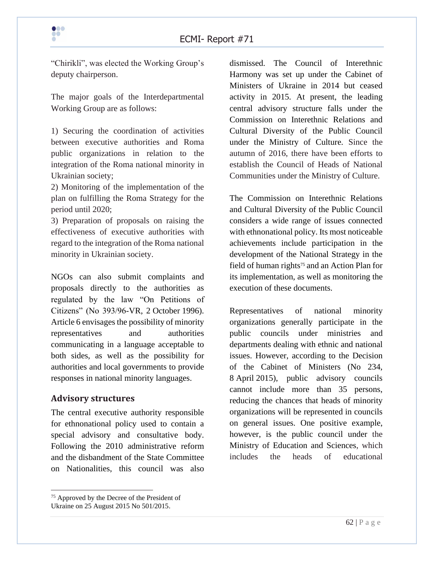"Chirikli", was elected the Working Group's deputy chairperson.

The major goals of the Interdepartmental Working Group are as follows:

1) Securing the coordination of activities between executive authorities and Roma public organizations in relation to the integration of the Roma national minority in Ukrainian society;

2) Monitoring of the implementation of the plan on fulfilling the Roma Strategy for the period until 2020;

3) Preparation of proposals on raising the effectiveness of executive authorities with regard to the integration of the Roma national minority in Ukrainian society.

NGOs can also submit complaints and proposals directly to the authorities as regulated by the law "On Petitions of Citizens" (No 393/96-VR, 2 October 1996). Article 6 envisages the possibility of minority representatives and authorities communicating in a language acceptable to both sides, as well as the possibility for authorities and local governments to provide responses in national minority languages.

### **Advisory structures**

The central executive authority responsible for ethnonational policy used to contain a special advisory and consultative body. Following the 2010 administrative reform and the disbandment of the State Committee on Nationalities, this council was also

dismissed. The Council of Interethnic Harmony was set up under the Cabinet of Ministers of Ukraine in 2014 but ceased activity in 2015. At present, the leading central advisory structure falls under the Commission on Interethnic Relations and Cultural Diversity of the Public Council under the Ministry of Culture. Since the autumn of 2016, there have been efforts to establish the Council of Heads of National Communities under the Ministry of Culture.

The Commission on Interethnic Relations and Cultural Diversity of the Public Council considers a wide range of issues connected with ethnonational policy. Its most noticeable achievements include participation in the development of the National Strategy in the field of human rights<sup> $75$ </sup> and an Action Plan for its implementation, as well as monitoring the execution of these documents.

Representatives of national minority organizations generally participate in the public councils under ministries and departments dealing with ethnic and national issues. However, according to the Decision of the Cabinet of Ministers (No 234, 8 April 2015), public advisory councils cannot include more than 35 persons, reducing the chances that heads of minority organizations will be represented in councils on general issues. One positive example, however, is the public council under the Ministry of Education and Sciences, which includes the heads of educational



<sup>75</sup> Approved by the Decree of the President of Ukraine on 25 August 2015 No 501/2015.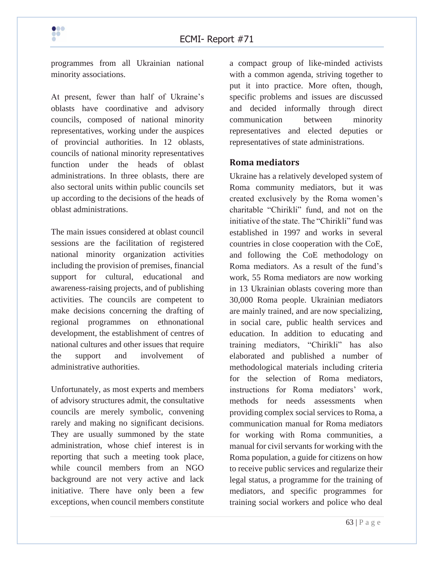

programmes from all Ukrainian national minority associations.

At present, fewer than half of Ukraine's oblasts have coordinative and advisory councils, composed of national minority representatives, working under the auspices of provincial authorities. In 12 oblasts, councils of national minority representatives function under the heads of oblast administrations. In three oblasts, there are also sectoral units within public councils set up according to the decisions of the heads of oblast administrations.

The main issues considered at oblast council sessions are the facilitation of registered national minority organization activities including the provision of premises, financial support for cultural, educational awareness-raising projects, and of publishing activities. The councils are competent to make decisions concerning the drafting of regional programmes on ethnonational development, the establishment of centres of national cultures and other issues that require the support and involvement of administrative authorities.

Unfortunately, as most experts and members of advisory structures admit, the consultative councils are merely symbolic, convening rarely and making no significant decisions. They are usually summoned by the state administration, whose chief interest is in reporting that such a meeting took place, while council members from an NGO background are not very active and lack initiative. There have only been a few exceptions, when council members constitute a compact group of like-minded activists with a common agenda, striving together to put it into practice. More often, though, specific problems and issues are discussed and decided informally through direct communication between minority representatives and elected deputies or representatives of state administrations.

#### **Roma mediators**

Ukraine has a relatively developed system of Roma community mediators, but it was created exclusively by the Roma women's charitable "Chirikli" fund, and not on the initiative of the state. The "Chirikli" fund was established in 1997 and works in several countries in close cooperation with the CoE, and following the CoE methodology on Roma mediators. As a result of the fund's work, 55 Roma mediators are now working in 13 Ukrainian oblasts covering more than 30,000 Roma people. Ukrainian mediators are mainly trained, and are now specializing, in social care, public health services and education. In addition to educating and training mediators, "Chirikli" has also elaborated and published a number of methodological materials including criteria for the selection of Roma mediators, instructions for Roma mediators' work, methods for needs assessments when providing complex social services to Roma, a communication manual for Roma mediators for working with Roma communities, a manual for civil servants for working with the Roma population, a guide for citizens on how to receive public services and regularize their legal status, a programme for the training of mediators, and specific programmes for training social workers and police who deal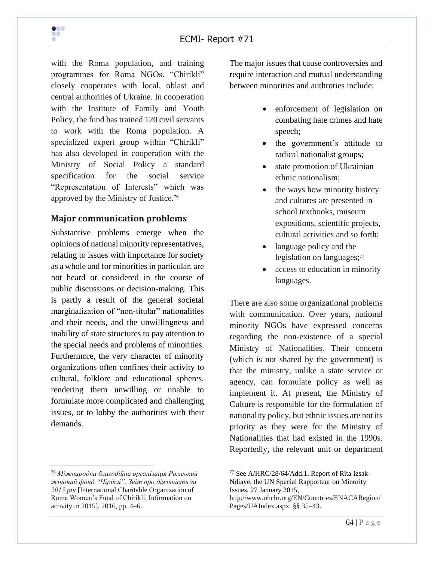with the Roma population, and training programmes for Roma NGOs. "Chirikli" closely cooperates with local, oblast and central authorities of Ukraine. In cooperation with the Institute of Family and Youth Policy, the fund has trained 120 civil servants to work with the Roma population. A specialized expert group within "Chirikli" has also developed in cooperation with the Ministry of Social Policy a standard specification for the social service "Representation of Interests" which was approved by the Ministry of Justice.<sup>76</sup>

### **Major communication problems**

Substantive problems emerge when the opinions of national minority representatives, relating to issues with importance for society as a whole and for minorities in particular, are not heard or considered in the course of public discussions or decision-making. This is partly a result of the general societal marginalization of "non-titular" nationalities and their needs, and the unwillingness and inability of state structures to pay attention to the special needs and problems of minorities. Furthermore, the very character of minority organizations often confines their activity to cultural, folklore and educational spheres, rendering them unwilling or unable to formulate more complicated and challenging issues, or to lobby the authorities with their demands.

The major issues that cause controversies and require interaction and mutual understanding between minorities and authroties include:

- enforcement of legislation on combating hate crimes and hate speech;
- the government's attitude to radical nationalist groups;
- state promotion of Ukrainian ethnic nationalism;
- the ways how minority history and cultures are presented in school textbooks, museum expositions, scientific projects, cultural activities and so forth;
- language policy and the legislation on languages; $77$
- access to education in minority languages.

There are also some organizational problems with communication. Over years, national minority NGOs have expressed concerns regarding the non-existence of a special Ministry of Nationalities. Their concern (which is not shared by the government) is that the ministry, unlike a state service or agency, can formulate policy as well as implement it. At present, the Ministry of Culture is responsible for the formulation of nationality policy, but ethnic issues are not its priority as they were for the Ministry of Nationalities that had existed in the 1990s. Reportedly, the relevant unit or department



<sup>76</sup> *Міжнародна благодійна організація Ромський жіночий фонд "Чіріклі". Звіт про діяльність за 2015 рік* [International Charitable Organization of Roma Women's Fund of Chirikli. Information on activity in 2015], 2016, pp. 4–6.

<sup>77</sup> See A/HRC/28/64/Add.1. Report of Rita Izsak-Ndiaye, the UN Special Rapporteur on Minority Issues. 27 January 2015, http://www.ohchr.org/EN/Countries/ENACARegion/ Pages/UAIndex.aspx. §§ 35–43.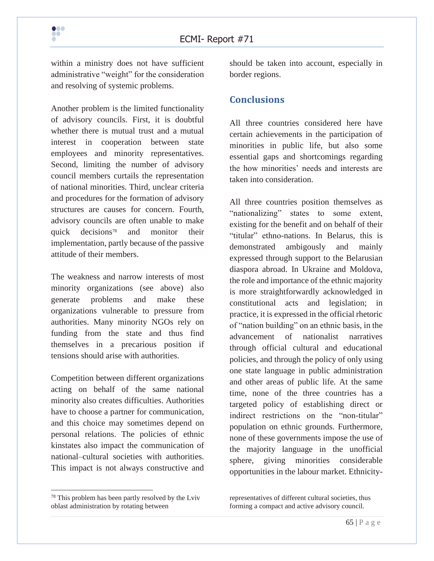within a ministry does not have sufficient administrative "weight" for the consideration and resolving of systemic problems.

Another problem is the limited functionality of advisory councils. First, it is doubtful whether there is mutual trust and a mutual interest in cooperation between state employees and minority representatives. Second, limiting the number of advisory council members curtails the representation of national minorities. Third, unclear criteria and procedures for the formation of advisory structures are causes for concern. Fourth, advisory councils are often unable to make quick decisions<sup>78</sup> and monitor their implementation, partly because of the passive attitude of their members.

The weakness and narrow interests of most minority organizations (see above) also generate problems and make these organizations vulnerable to pressure from authorities. Many minority NGOs rely on funding from the state and thus find themselves in a precarious position if tensions should arise with authorities.

Competition between different organizations acting on behalf of the same national minority also creates difficulties. Authorities have to choose a partner for communication, and this choice may sometimes depend on personal relations. The policies of ethnic kinstates also impact the communication of national–cultural societies with authorities. This impact is not always constructive and

should be taken into account, especially in border regions.

### **Conclusions**

All three countries considered here have certain achievements in the participation of minorities in public life, but also some essential gaps and shortcomings regarding the how minorities' needs and interests are taken into consideration.

All three countries position themselves as "nationalizing" states to some extent, existing for the benefit and on behalf of their "titular" ethno-nations. In Belarus, this is demonstrated ambigously and mainly expressed through support to the Belarusian diaspora abroad. In Ukraine and Moldova, the role and importance of the ethnic majority is more straightforwardly acknowledged in constitutional acts and legislation; in practice, it is expressed in the official rhetoric of "nation building" on an ethnic basis, in the advancement of nationalist narratives through official cultural and educational policies, and through the policy of only using one state language in public administration and other areas of public life. At the same time, none of the three countries has a targeted policy of establishing direct or indirect restrictions on the "non-titular" population on ethnic grounds. Furthermore, none of these governments impose the use of the majority language in the unofficial sphere, giving minorities considerable opportunities in the labour market. Ethnicity-



<sup>78</sup> This problem has been partly resolved by the Lviv oblast administration by rotating between

representatives of different cultural societies, thus forming a compact and active advisory council.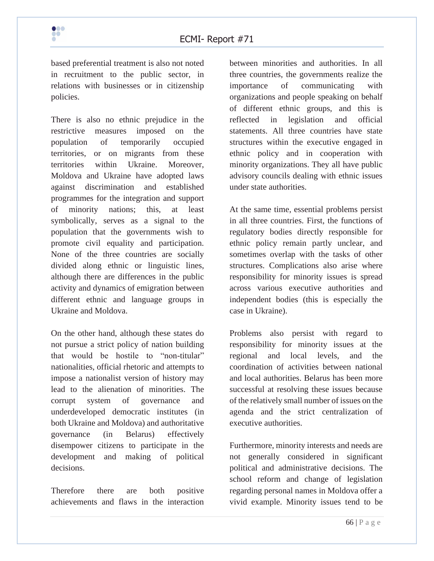based preferential treatment is also not noted in recruitment to the public sector, in relations with businesses or in citizenship policies.

There is also no ethnic prejudice in the restrictive measures imposed on the population of temporarily occupied territories, or on migrants from these territories within Ukraine. Moreover, Moldova and Ukraine have adopted laws against discrimination and established programmes for the integration and support of minority nations; this, at least symbolically, serves as a signal to the population that the governments wish to promote civil equality and participation. None of the three countries are socially divided along ethnic or linguistic lines, although there are differences in the public activity and dynamics of emigration between different ethnic and language groups in Ukraine and Moldova.

On the other hand, although these states do not pursue a strict policy of nation building that would be hostile to "non-titular" nationalities, official rhetoric and attempts to impose a nationalist version of history may lead to the alienation of minorities. The corrupt system of governance and underdeveloped democratic institutes (in both Ukraine and Moldova) and authoritative governance (in Belarus) effectively disempower citizens to participate in the development and making of political decisions.

Therefore there are both positive achievements and flaws in the interaction between minorities and authorities. In all three countries, the governments realize the importance of communicating with organizations and people speaking on behalf of different ethnic groups, and this is reflected in legislation and official statements. All three countries have state structures within the executive engaged in ethnic policy and in cooperation with minority organizations. They all have public advisory councils dealing with ethnic issues under state authorities.

At the same time, essential problems persist in all three countries. First, the functions of regulatory bodies directly responsible for ethnic policy remain partly unclear, and sometimes overlap with the tasks of other structures. Complications also arise where responsibility for minority issues is spread across various executive authorities and independent bodies (this is especially the case in Ukraine).

Problems also persist with regard to responsibility for minority issues at the regional and local levels, and the coordination of activities between national and local authorities. Belarus has been more successful at resolving these issues because of the relatively small number of issues on the agenda and the strict centralization of executive authorities.

Furthermore, minority interests and needs are not generally considered in significant political and administrative decisions. The school reform and change of legislation regarding personal names in Moldova offer a vivid example. Minority issues tend to be

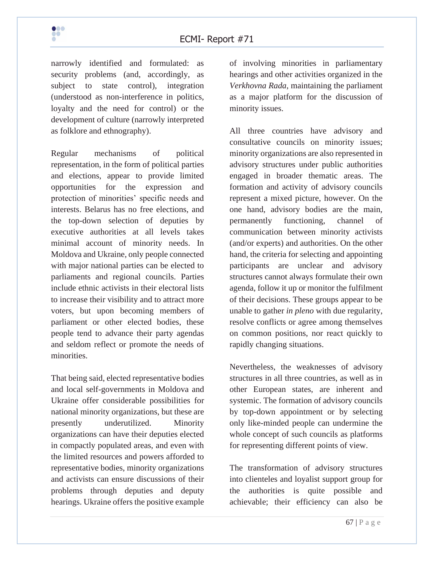

narrowly identified and formulated: as security problems (and, accordingly, as subject to state control), integration (understood as non-interference in politics, loyalty and the need for control) or the development of culture (narrowly interpreted as folklore and ethnography).

Regular mechanisms of political representation, in the form of political parties and elections, appear to provide limited opportunities for the expression and protection of minorities' specific needs and interests. Belarus has no free elections, and the top-down selection of deputies by executive authorities at all levels takes minimal account of minority needs. In Moldova and Ukraine, only people connected with major national parties can be elected to parliaments and regional councils. Parties include ethnic activists in their electoral lists to increase their visibility and to attract more voters, but upon becoming members of parliament or other elected bodies, these people tend to advance their party agendas and seldom reflect or promote the needs of minorities.

That being said, elected representative bodies and local self-governments in Moldova and Ukraine offer considerable possibilities for national minority organizations, but these are presently underutilized. Minority organizations can have their deputies elected in compactly populated areas, and even with the limited resources and powers afforded to representative bodies, minority organizations and activists can ensure discussions of their problems through deputies and deputy hearings. Ukraine offers the positive example of involving minorities in parliamentary hearings and other activities organized in the *Verkhovna Rada*, maintaining the parliament as a major platform for the discussion of minority issues.

All three countries have advisory and consultative councils on minority issues; minority organizations are also represented in advisory structures under public authorities engaged in broader thematic areas. The formation and activity of advisory councils represent a mixed picture, however. On the one hand, advisory bodies are the main, permanently functioning, channel of communication between minority activists (and/or experts) and authorities. On the other hand, the criteria for selecting and appointing participants are unclear and advisory structures cannot always formulate their own agenda, follow it up or monitor the fulfilment of their decisions. These groups appear to be unable to gather *in pleno* with due regularity, resolve conflicts or agree among themselves on common positions, nor react quickly to rapidly changing situations.

Nevertheless, the weaknesses of advisory structures in all three countries, as well as in other European states, are inherent and systemic. The formation of advisory councils by top-down appointment or by selecting only like-minded people can undermine the whole concept of such councils as platforms for representing different points of view.

The transformation of advisory structures into clienteles and loyalist support group for the authorities is quite possible and achievable; their efficiency can also be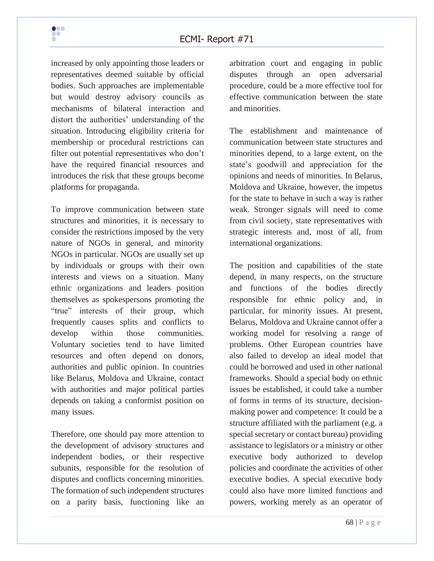increased by only appointing those leaders or representatives deemed suitable by official bodies. Such approaches are implementable but would destroy advisory councils as mechanisms of bilateral interaction and distort the authorities' understanding of the situation. Introducing eligibility criteria for membership or procedural restrictions can filter out potential representatives who don't have the required financial resources and introduces the risk that these groups become platforms for propaganda.

To improve communication between state structures and minorities, it is necessary to consider the restrictions imposed by the very nature of NGOs in general, and minority NGOs in particular. NGOs are usually set up by individuals or groups with their own interests and views on a situation. Many ethnic organizations and leaders position themselves as spokespersons promoting the "true" interests of their group, which frequently causes splits and conflicts to develop within those communities. Voluntary societies tend to have limited resources and often depend on donors, authorities and public opinion. In countries like Belarus, Moldova and Ukraine, contact with authorities and major political parties depends on taking a conformist position on many issues.

Therefore, one should pay more attention to the development of advisory structures and independent bodies, or their respective subunits, responsible for the resolution of disputes and conflicts concerning minorities. The formation of such independent structures on a parity basis, functioning like an arbitration court and engaging in public disputes through an open adversarial procedure, could be a more effective tool for effective communication between the state and minorities.

The establishment and maintenance of communication between state structures and minorities depend, to a large extent, on the state's goodwill and appreciation for the opinions and needs of minorities. In Belarus, Moldova and Ukraine, however, the impetus for the state to behave in such a way is rather weak. Stronger signals will need to come from civil society, state representatives with strategic interests and, most of all, from international organizations.

The position and capabilities of the state depend, in many respects, on the structure and functions of the bodies directly responsible for ethnic policy and, in particular, for minority issues. At present, Belarus, Moldova and Ukraine cannot offer a working model for resolving a range of problems. Other European countries have also failed to develop an ideal model that could be borrowed and used in other national frameworks. Should a special body on ethnic issues be established, it could take a number of forms in terms of its structure, decisionmaking power and competence: It could be a structure affiliated with the parliament (e.g. a special secretary or contact bureau) providing assistance to legislators or a ministry or other executive body authorized to develop policies and coordinate the activities of other executive bodies. A special executive body could also have more limited functions and powers, working merely as an operator of

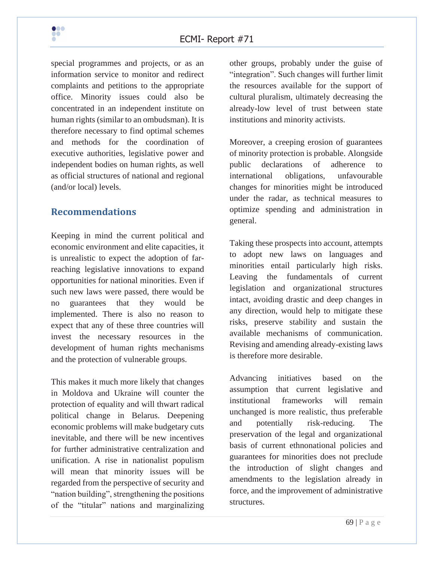

special programmes and projects, or as an information service to monitor and redirect complaints and petitions to the appropriate office. Minority issues could also be concentrated in an independent institute on human rights (similar to an ombudsman). It is therefore necessary to find optimal schemes and methods for the coordination of executive authorities, legislative power and independent bodies on human rights, as well as official structures of national and regional (and/or local) levels.

### **Recommendations**

Keeping in mind the current political and economic environment and elite capacities, it is unrealistic to expect the adoption of farreaching legislative innovations to expand opportunities for national minorities. Even if such new laws were passed, there would be no guarantees that they would be implemented. There is also no reason to expect that any of these three countries will invest the necessary resources in the development of human rights mechanisms and the protection of vulnerable groups.

This makes it much more likely that changes in Moldova and Ukraine will counter the protection of equality and will thwart radical political change in Belarus. Deepening economic problems will make budgetary cuts inevitable, and there will be new incentives for further administrative centralization and unification. A rise in nationalist populism will mean that minority issues will be regarded from the perspective of security and "nation building", strengthening the positions of the "titular" nations and marginalizing

other groups, probably under the guise of "integration". Such changes will further limit the resources available for the support of cultural pluralism, ultimately decreasing the already-low level of trust between state institutions and minority activists.

Moreover, a creeping erosion of guarantees of minority protection is probable. Alongside public declarations of adherence to international obligations, unfavourable changes for minorities might be introduced under the radar, as technical measures to optimize spending and administration in general.

Taking these prospects into account, attempts to adopt new laws on languages and minorities entail particularly high risks. Leaving the fundamentals of current legislation and organizational structures intact, avoiding drastic and deep changes in any direction, would help to mitigate these risks, preserve stability and sustain the available mechanisms of communication. Revising and amending already-existing laws is therefore more desirable.

Advancing initiatives based on the assumption that current legislative and institutional frameworks will remain unchanged is more realistic, thus preferable and potentially risk-reducing. The preservation of the legal and organizational basis of current ethnonational policies and guarantees for minorities does not preclude the introduction of slight changes and amendments to the legislation already in force, and the improvement of administrative structures.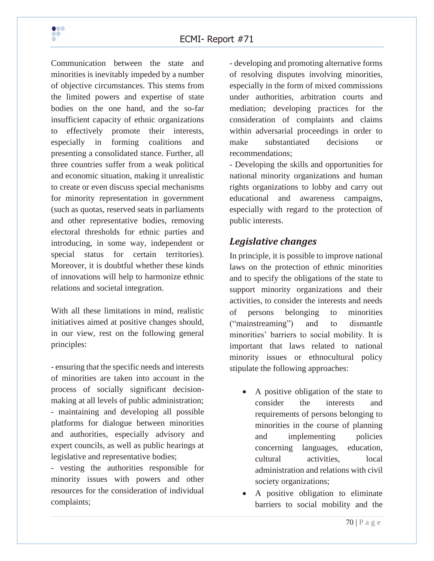

Communication between the state and minorities is inevitably impeded by a number of objective circumstances. This stems from the limited powers and expertise of state bodies on the one hand, and the so-far insufficient capacity of ethnic organizations to effectively promote their interests, especially in forming coalitions and presenting a consolidated stance. Further, all three countries suffer from a weak political and economic situation, making it unrealistic to create or even discuss special mechanisms for minority representation in government (such as quotas, reserved seats in parliaments and other representative bodies, removing electoral thresholds for ethnic parties and introducing, in some way, independent or special status for certain territories). Moreover, it is doubtful whether these kinds of innovations will help to harmonize ethnic relations and societal integration.

With all these limitations in mind, realistic initiatives aimed at positive changes should, in our view, rest on the following general principles:

- ensuring that the specific needs and interests of minorities are taken into account in the process of socially significant decisionmaking at all levels of public administration; - maintaining and developing all possible platforms for dialogue between minorities and authorities, especially advisory and expert councils, as well as public hearings at legislative and representative bodies;

- vesting the authorities responsible for minority issues with powers and other resources for the consideration of individual complaints;

- developing and promoting alternative forms of resolving disputes involving minorities, especially in the form of mixed commissions under authorities, arbitration courts and mediation; developing practices for the consideration of complaints and claims within adversarial proceedings in order to make substantiated decisions or recommendations;

- Developing the skills and opportunities for national minority organizations and human rights organizations to lobby and carry out educational and awareness campaigns, especially with regard to the protection of public interests.

### *Legislative changes*

In principle, it is possible to improve national laws on the protection of ethnic minorities and to specify the obligations of the state to support minority organizations and their activities, to consider the interests and needs of persons belonging to minorities ("mainstreaming") and to dismantle minorities' barriers to social mobility. It is important that laws related to national minority issues or ethnocultural policy stipulate the following approaches:

- A positive obligation of the state to consider the interests and requirements of persons belonging to minorities in the course of planning and implementing policies concerning languages, education, cultural activities, local administration and relations with civil society organizations;
- A positive obligation to eliminate barriers to social mobility and the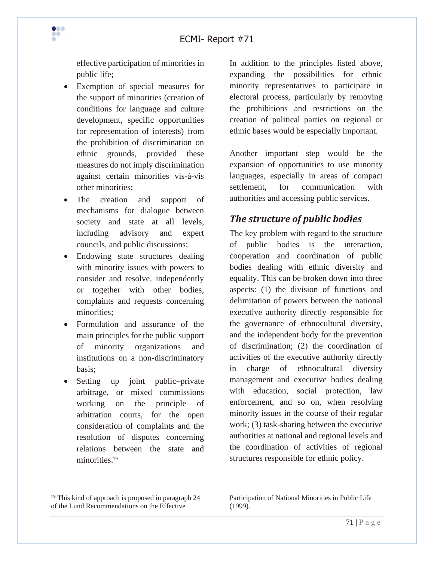

effective participation of minorities in public life;

- Exemption of special measures for the support of minorities (creation of conditions for language and culture development, specific opportunities for representation of interests) from the prohibition of discrimination on ethnic grounds, provided these measures do not imply discrimination against certain minorities vis-à-vis other minorities;
- The creation and support of mechanisms for dialogue between society and state at all levels, including advisory and expert councils, and public discussions;
- Endowing state structures dealing with minority issues with powers to consider and resolve, independently or together with other bodies, complaints and requests concerning minorities;
- Formulation and assurance of the main principles for the public support of minority organizations and institutions on a non-discriminatory basis;
- Setting up joint public–private arbitrage, or mixed commissions working on the principle of arbitration courts, for the open consideration of complaints and the resolution of disputes concerning relations between the state and minorities.<sup>79</sup>

In addition to the principles listed above, expanding the possibilities for ethnic minority representatives to participate in electoral process, particularly by removing the prohibitions and restrictions on the creation of political parties on regional or ethnic bases would be especially important.

Another important step would be the expansion of opportunities to use minority languages, especially in areas of compact settlement, for communication with authorities and accessing public services.

## *The structure of public bodies*

The key problem with regard to the structure of public bodies is the interaction, cooperation and coordination of public bodies dealing with ethnic diversity and equality. This can be broken down into three aspects: (1) the division of functions and delimitation of powers between the national executive authority directly responsible for the governance of ethnocultural diversity, and the independent body for the prevention of discrimination; (2) the coordination of activities of the executive authority directly in charge of ethnocultural diversity management and executive bodies dealing with education, social protection, law enforcement, and so on, when resolving minority issues in the course of their regular work; (3) task-sharing between the executive authorities at national and regional levels and the coordination of activities of regional structures responsible for ethnic policy.

<sup>79</sup> This kind of approach is proposed in paragraph 24 of the Lund Recommendations on the Effective

Participation of National Minorities in Public Life (1999).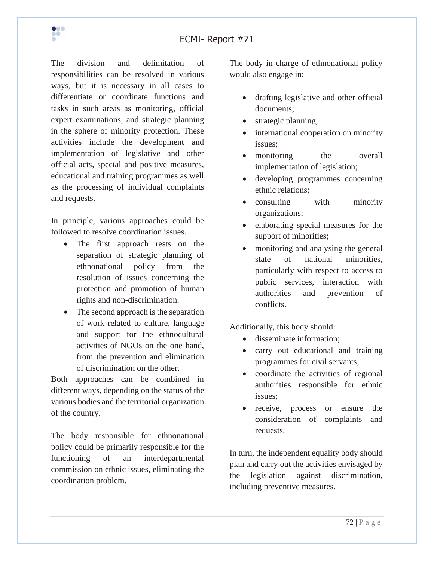The division and delimitation of responsibilities can be resolved in various ways, but it is necessary in all cases to differentiate or coordinate functions and tasks in such areas as monitoring, official expert examinations, and strategic planning in the sphere of minority protection. These activities include the development and implementation of legislative and other official acts, special and positive measures, educational and training programmes as well as the processing of individual complaints and requests.

In principle, various approaches could be followed to resolve coordination issues.

- The first approach rests on the separation of strategic planning of ethnonational policy from the resolution of issues concerning the protection and promotion of human rights and non-discrimination.
- The second approach is the separation of work related to culture, language and support for the ethnocultural activities of NGOs on the one hand, from the prevention and elimination of discrimination on the other.

Both approaches can be combined in different ways, depending on the status of the various bodies and the territorial organization of the country.

The body responsible for ethnonational policy could be primarily responsible for the functioning of an interdepartmental commission on ethnic issues, eliminating the coordination problem.

The body in charge of ethnonational policy would also engage in:

- drafting legislative and other official documents;
- strategic planning;
- international cooperation on minority issues;
- monitoring the overall implementation of legislation;
- developing programmes concerning ethnic relations;
- consulting with minority organizations;
- elaborating special measures for the support of minorities;
- monitoring and analysing the general state of national minorities, particularly with respect to access to public services, interaction with authorities and prevention of conflicts.

Additionally, this body should:

- disseminate information;
- carry out educational and training programmes for civil servants;
- coordinate the activities of regional authorities responsible for ethnic issues;
- receive, process or ensure the consideration of complaints and requests.

In turn, the independent equality body should plan and carry out the activities envisaged by the legislation against discrimination, including preventive measures.

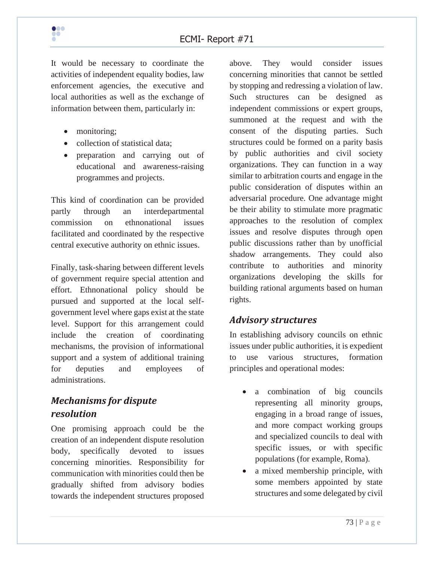

It would be necessary to coordinate the activities of independent equality bodies, law enforcement agencies, the executive and local authorities as well as the exchange of information between them, particularly in:

- monitoring;
- collection of statistical data;
- preparation and carrying out of educational and awareness-raising programmes and projects.

This kind of coordination can be provided partly through an interdepartmental commission on ethnonational issues facilitated and coordinated by the respective central executive authority on ethnic issues.

Finally, task-sharing between different levels of government require special attention and effort. Ethnonational policy should be pursued and supported at the local selfgovernment level where gaps exist at the state level. Support for this arrangement could include the creation of coordinating mechanisms, the provision of informational support and a system of additional training for deputies and employees of administrations.

# *Mechanisms for dispute resolution*

One promising approach could be the creation of an independent dispute resolution body, specifically devoted to issues concerning minorities. Responsibility for communication with minorities could then be gradually shifted from advisory bodies towards the independent structures proposed above. They would consider issues concerning minorities that cannot be settled by stopping and redressing a violation of law. Such structures can be designed as independent commissions or expert groups, summoned at the request and with the consent of the disputing parties. Such structures could be formed on a parity basis by public authorities and civil society organizations. They can function in a way similar to arbitration courts and engage in the public consideration of disputes within an adversarial procedure. One advantage might be their ability to stimulate more pragmatic approaches to the resolution of complex issues and resolve disputes through open public discussions rather than by unofficial shadow arrangements. They could also contribute to authorities and minority organizations developing the skills for building rational arguments based on human rights.

#### *Advisory structures*

In establishing advisory councils on ethnic issues under public authorities, it is expedient to use various structures, formation principles and operational modes:

- a combination of big councils representing all minority groups, engaging in a broad range of issues, and more compact working groups and specialized councils to deal with specific issues, or with specific populations (for example, Roma).
- a mixed membership principle, with some members appointed by state structures and some delegated by civil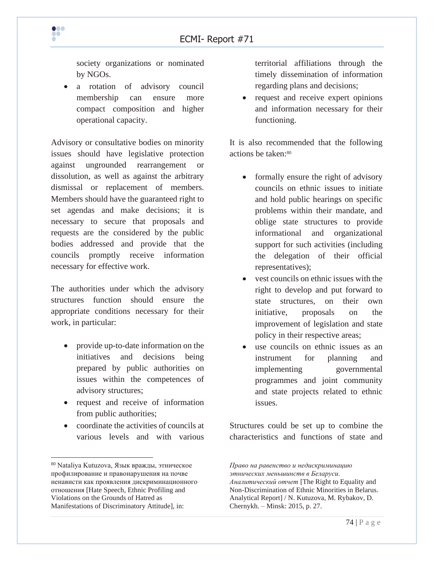society organizations or nominated by NGOs.

a rotation of advisory council membership can ensure more compact composition and higher operational capacity.

Advisory or consultative bodies on minority issues should have legislative protection against ungrounded rearrangement or dissolution, as well as against the arbitrary dismissal or replacement of members. Members should have the guaranteed right to set agendas and make decisions; it is necessary to secure that proposals and requests are the considered by the public bodies addressed and provide that the councils promptly receive information necessary for effective work.

The authorities under which the advisory structures function should ensure the appropriate conditions necessary for their work, in particular:

- provide up-to-date information on the initiatives and decisions being prepared by public authorities on issues within the competences of advisory structures;
- request and receive of information from public authorities;
- coordinate the activities of councils at various levels and with various

territorial affiliations through the timely dissemination of information regarding plans and decisions;

request and receive expert opinions and information necessary for their functioning.

It is also recommended that the following actions be taken:<sup>80</sup>

- formally ensure the right of advisory councils on ethnic issues to initiate and hold public hearings on specific problems within their mandate, and oblige state structures to provide informational and organizational support for such activities (including the delegation of their official representatives);
- vest councils on ethnic issues with the right to develop and put forward to state structures, on their own initiative, proposals on the improvement of legislation and state policy in their respective areas;
- use councils on ethnic issues as an instrument for planning and implementing governmental programmes and joint community and state projects related to ethnic issues.

Structures could be set up to combine the characteristics and functions of state and

<sup>80</sup> Nataliya Kutuzova, Язык вражды, этническое профилирование и правонарушения на почве ненависти как проявления дискриминационного отношения [Hate Speech, Ethnic Profiling and Violations on the Grounds of Hatred as Manifestations of Discriminatory Attitude], in:

*Право на равенство и недискриминацию этнических меньшинств в Беларуси. Аналитический отчет* [The Right to Equality and Non-Discrimination of Ethnic Minorities in Belarus. Analytical Report] / N. Kutuzova, M. Rybakov, D. Chernykh. – Minsk: 2015, p. 27.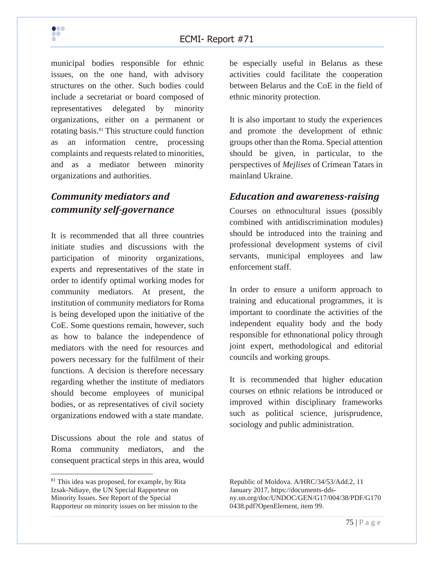

municipal bodies responsible for ethnic issues, on the one hand, with advisory structures on the other. Such bodies could include a secretariat or board composed of representatives delegated by minority organizations, either on a permanent or rotating basis.<sup>81</sup> This structure could function as an information centre, processing complaints and requests related to minorities, and as a mediator between minority organizations and authorities.

# *Community mediators and community self-governance*

It is recommended that all three countries initiate studies and discussions with the participation of minority organizations, experts and representatives of the state in order to identify optimal working modes for community mediators. At present, the institution of community mediators for Roma is being developed upon the initiative of the CoE. Some questions remain, however, such as how to balance the independence of mediators with the need for resources and powers necessary for the fulfilment of their functions. A decision is therefore necessary regarding whether the institute of mediators should become employees of municipal bodies, or as representatives of civil society organizations endowed with a state mandate.

Discussions about the role and status of Roma community mediators, and the consequent practical steps in this area, would be especially useful in Belarus as these activities could facilitate the cooperation between Belarus and the CoE in the field of ethnic minority protection.

It is also important to study the experiences and promote the development of ethnic groups other than the Roma. Special attention should be given, in particular, to the perspectives of *Mejlises* of Crimean Tatars in mainland Ukraine.

### *Education and awareness-raising*

Courses on ethnocultural issues (possibly combined with antidiscrimination modules) should be introduced into the training and professional development systems of civil servants, municipal employees and law enforcement staff.

In order to ensure a uniform approach to training and educational programmes, it is important to coordinate the activities of the independent equality body and the body responsible for ethnonational policy through joint expert, methodological and editorial councils and working groups.

It is recommended that higher education courses on ethnic relations be introduced or improved within disciplinary frameworks such as political science, jurisprudence, sociology and public administration.

<sup>81</sup> This idea was proposed, for example, by Rita Izsak-Ndiaye, the UN Special Rapporteur on Minority Issues. See Report of the Special Rapporteur on minority issues on her mission to the

Republic of Moldova. A/HRC/34/53/Add.2, 11 January 2017, https://documents-ddsny.un.org/doc/UNDOC/GEN/G17/004/38/PDF/G170 0438.pdf?OpenElement, item 99.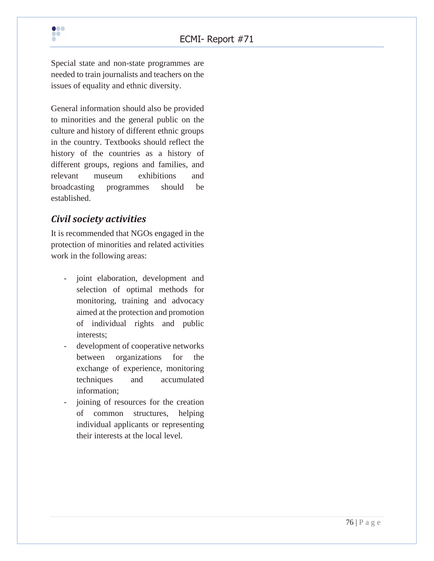Special state and non-state programmes are needed to train journalists and teachers on the issues of equality and ethnic diversity.

General information should also be provided to minorities and the general public on the culture and history of different ethnic groups in the country. Textbooks should reflect the history of the countries as a history of different groups, regions and families, and relevant museum exhibitions and broadcasting programmes should be established.

### *Civil society activities*

It is recommended that NGOs engaged in the protection of minorities and related activities work in the following areas:

- joint elaboration, development and selection of optimal methods for monitoring, training and advocacy aimed at the protection and promotion of individual rights and public interests;
- development of cooperative networks between organizations for the exchange of experience, monitoring techniques and accumulated information;
- joining of resources for the creation of common structures, helping individual applicants or representing their interests at the local level.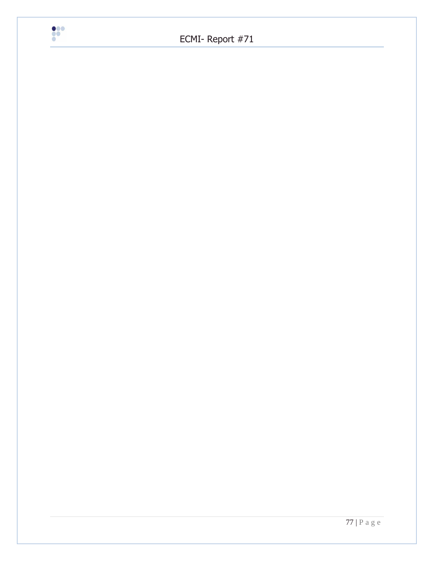